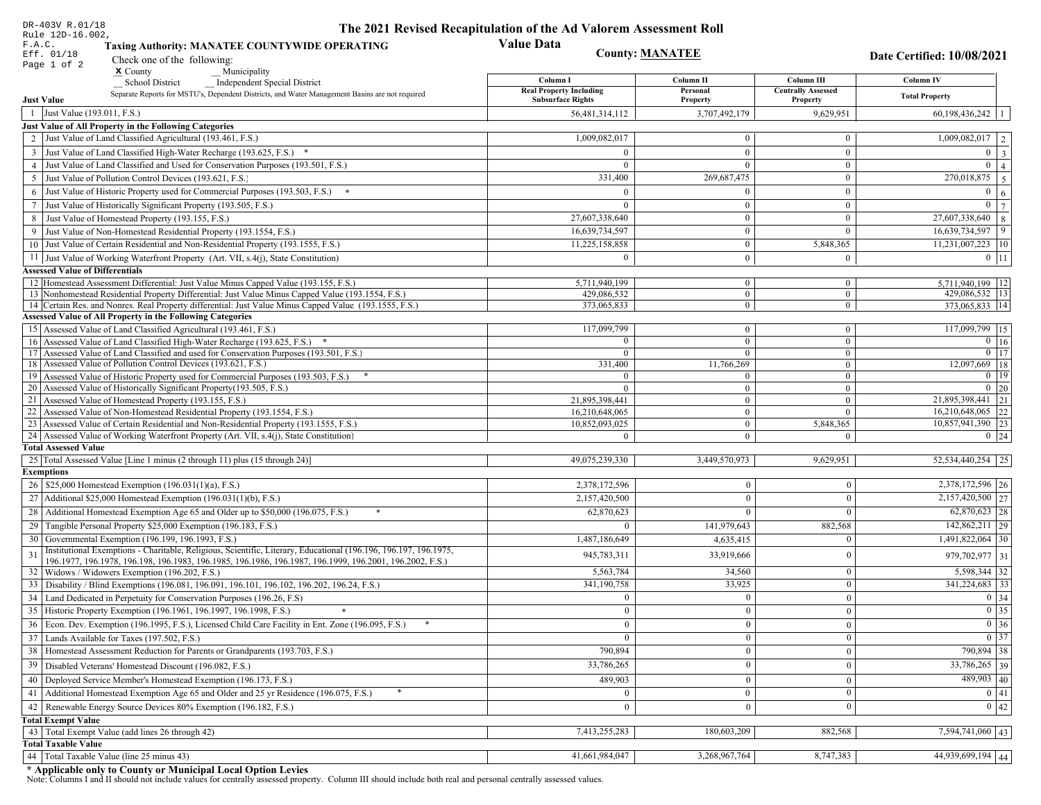| DR-403V R.01/18                                                                                                                                                                                                              | The 2021 Revised Recapitulation of the Ad Valorem Assessment Roll |                                  |                                         |                                        |
|------------------------------------------------------------------------------------------------------------------------------------------------------------------------------------------------------------------------------|-------------------------------------------------------------------|----------------------------------|-----------------------------------------|----------------------------------------|
| Rule 12D-16.002,<br>F.A.C.<br><b>Taxing Authority: MANATEE COUNTYWIDE OPERATING</b>                                                                                                                                          | <b>Value Data</b>                                                 |                                  |                                         |                                        |
| Eff. 01/18<br>Check one of the following:                                                                                                                                                                                    |                                                                   | <b>County: MANATEE</b>           |                                         | Date Certified: 10/08/2021             |
| Page 1 of 2<br>$x$ County<br>Municipality                                                                                                                                                                                    |                                                                   |                                  |                                         |                                        |
| <b>School District</b><br><b>Independent Special District</b>                                                                                                                                                                | Column I<br><b>Real Property Including</b>                        | Column II<br>Personal            | Column III<br><b>Centrally Assessed</b> | Column IV                              |
| Separate Reports for MSTU's, Dependent Districts, and Water Management Basins are not required<br><b>Just Value</b>                                                                                                          | <b>Subsurface Rights</b>                                          | Property                         | Property                                | <b>Total Property</b>                  |
| 1 Just Value (193.011, F.S.)                                                                                                                                                                                                 | 56,481,314,112                                                    | 3,707,492,179                    | 9,629,951                               | $60,198,436,242$   1                   |
| Just Value of All Property in the Following Categories                                                                                                                                                                       |                                                                   |                                  |                                         |                                        |
| 2 Just Value of Land Classified Agricultural (193.461, F.S.)                                                                                                                                                                 | 1,009,082,017                                                     | $\bf{0}$                         | $\bf{0}$                                | $1,009,082,017$   2                    |
| 3 Just Value of Land Classified High-Water Recharge (193.625, F.S.) *                                                                                                                                                        | $\Omega$                                                          | $\mathbf{0}$                     | $\mathbf{0}$                            | $0 \mid 3$                             |
| 4 Just Value of Land Classified and Used for Conservation Purposes (193.501, F.S.)                                                                                                                                           | $\Omega$                                                          | $\Omega$                         | $\boldsymbol{0}$                        | $\overline{0}$<br>$\vert 4 \vert$      |
| 5 Just Value of Pollution Control Devices (193.621, F.S.)                                                                                                                                                                    | 331,400                                                           | 269,687,475                      | $\bf{0}$                                | $\boxed{270,018,875}$ 5                |
| 6 Just Value of Historic Property used for Commercial Purposes (193.503, F.S.) *                                                                                                                                             | $\Omega$                                                          | $\theta$                         | $\mathbf{0}$                            | $\mathbf{0}$<br>6                      |
| 7 Just Value of Historically Significant Property (193.505, F.S.)                                                                                                                                                            | $\Omega$                                                          | $\bf{0}$                         | $\bf{0}$                                | $0 \overline{7}$                       |
| 8 Just Value of Homestead Property (193.155, F.S.)                                                                                                                                                                           | 27,607,338,640                                                    | $\bf{0}$                         | $\mathbf{0}$                            | $27,607,338,640$ 8                     |
| 9 Just Value of Non-Homestead Residential Property (193.1554, F.S.)                                                                                                                                                          | 16,639,734,597                                                    | $\bf{0}$                         | $\theta$                                | 16,639,734,597<br>$ 9\rangle$          |
| 10 Just Value of Certain Residential and Non-Residential Property (193.1555, F.S.)                                                                                                                                           | 11,225,158,858                                                    | $\mathbf{0}$                     | 5,848,365                               | $11,231,007,223$   10                  |
| 11 Just Value of Working Waterfront Property (Art. VII, s.4(j), State Constitution)                                                                                                                                          | $\Omega$                                                          | $\bf{0}$                         | $\bf{0}$                                | $0$   11                               |
| <b>Assessed Value of Differentials</b>                                                                                                                                                                                       |                                                                   |                                  |                                         |                                        |
| 12   Homestead Assessment Differential: Just Value Minus Capped Value (193.155, F.S.)<br>13 Nonhomestead Residential Property Differential: Just Value Minus Capped Value (193.1554, F.S.)                                   | 5,711,940,199<br>429,086,532                                      | $\bf{0}$<br>$\overline{0}$       | $\bf{0}$<br>$\mathbf{0}$                | 5,711,940,199   12<br>429,086,532   13 |
| 14 Certain Res. and Nonres. Real Property differential: Just Value Minus Capped Value (193.1555, F.S.)                                                                                                                       | 373,065,833                                                       | $\overline{0}$                   | $\overline{0}$                          | 373,065,833   14                       |
| <b>Assessed Value of All Property in the Following Categories</b>                                                                                                                                                            |                                                                   |                                  |                                         |                                        |
| 15 Assessed Value of Land Classified Agricultural (193.461, F.S.)                                                                                                                                                            | 117,099,799                                                       | $\mathbf{0}$                     | $\mathbf{0}$                            | 117,099,799 15                         |
| Assessed Value of Land Classified High-Water Recharge (193.625, F.S.) *                                                                                                                                                      | $\Omega$                                                          | $\overline{0}$                   | $\mathbf{0}$                            | $\overline{0}$ 16                      |
| Assessed Value of Land Classified and used for Conservation Purposes (193.501, F.S.)<br>17                                                                                                                                   | $\overline{0}$                                                    | $\overline{0}$                   | $\boldsymbol{0}$                        | $0$   17                               |
| Assessed Value of Pollution Control Devices (193.621, F.S.)<br>18                                                                                                                                                            | 331,400                                                           | 11,766,269                       | $\mathbf{0}$                            | $12,097,669$ 18                        |
| 19 Assessed Value of Historic Property used for Commercial Purposes (193.503, F.S.)<br>20 Assessed Value of Historically Significant Property (193.505, F.S.)                                                                | $\overline{0}$<br>$\Omega$                                        | $\overline{0}$                   | $\overline{0}$                          | $0 \mid 19$                            |
| 21 Assessed Value of Homestead Property (193.155, F.S.)                                                                                                                                                                      | 21,895,398,441                                                    | $\overline{0}$<br>$\overline{0}$ | $\overline{0}$<br>$\boldsymbol{0}$      | $0 \mid 20$<br>21,895,398,441 21       |
| 22 Assessed Value of Non-Homestead Residential Property (193.1554, F.S.)                                                                                                                                                     | 16,210,648,065                                                    | $\overline{0}$                   | $\mathbf{0}$                            | $16,210,648,065$ 22                    |
| 23 Assessed Value of Certain Residential and Non-Residential Property (193.1555, F.S.)                                                                                                                                       | 10,852,093,025                                                    | $\overline{0}$                   | 5,848,365                               | 10,857,941,390 23                      |
| 24 Assessed Value of Working Waterfront Property (Art. VII, s.4(j), State Constitution)                                                                                                                                      | $\Omega$                                                          | $\overline{0}$                   | $\mathbf{0}$                            | $0 \mid 24$                            |
| <b>Total Assessed Value</b>                                                                                                                                                                                                  |                                                                   |                                  |                                         |                                        |
| 25 Total Assessed Value [Line 1 minus (2 through 11) plus (15 through 24)]                                                                                                                                                   | 49,075,239,330                                                    | 3,449,570,973                    | 9,629,951                               | 52,534,440,254 25                      |
| <b>Exemptions</b>                                                                                                                                                                                                            |                                                                   |                                  |                                         |                                        |
| 26   \$25,000 Homestead Exemption (196.031(1)(a), F.S.)                                                                                                                                                                      | 2,378,172,596                                                     | $\mathbf{0}$                     | $\mathbf{0}$                            | 2,378,172,596 26                       |
| 27   Additional \$25,000 Homestead Exemption $(196.031(1)(b), F.S.)$                                                                                                                                                         | 2,157,420,500                                                     | $\Omega$                         | $\Omega$                                | 2,157,420,500 27                       |
| 28 Additional Homestead Exemption Age 65 and Older up to \$50,000 (196.075, F.S.)                                                                                                                                            | 62,870,623                                                        | $\Omega$                         | $\Omega$                                | $62,870,623$ 28                        |
| 29 Tangible Personal Property \$25,000 Exemption (196.183, F.S.)                                                                                                                                                             |                                                                   | 141,979,643                      | 882,568                                 | 142,862,211 29                         |
| 30 Governmental Exemption (196.199, 196.1993, F.S.)                                                                                                                                                                          | 1,487,186,649                                                     | 4,635,415                        |                                         | 1,491,822,064 30                       |
| Institutional Exemptions - Charitable, Religious, Scientific, Literary, Educational (196.196, 196.197, 196.1975,<br>196.1977, 196.1978, 196.198, 196.1983, 196.1985, 196.1986, 196.1987, 196.1999, 196.2001, 196.2002, F.S.) | 945,783,311                                                       | 33,919,666                       | $\Omega$                                | 979, 702, 977 31                       |
| 32 Widows / Widowers Exemption (196.202, F.S.)                                                                                                                                                                               | 5,563,784                                                         | 34,560                           | $\mathbf{0}$                            | 5,598,344 32                           |
| 33 Disability / Blind Exemptions (196.081, 196.091, 196.101, 196.102, 196.202, 196.24, F.S.)                                                                                                                                 | 341,190,758                                                       | 33,925                           | $\Omega$                                | $341,224,683$ 33                       |
| 34 Land Dedicated in Perpetuity for Conservation Purposes (196.26, F.S)                                                                                                                                                      | $\Omega$                                                          | $\mathbf{0}$                     | $\Omega$                                | 0 34                                   |
| 35 Historic Property Exemption (196.1961, 196.1997, 196.1998, F.S.)                                                                                                                                                          | $\mathbf{U}$                                                      | $\mathbf{0}$                     | $\mathbf{0}$                            | $\boxed{0}$ 35                         |
| 36 Econ. Dev. Exemption (196.1995, F.S.), Licensed Child Care Facility in Ent. Zone (196.095, F.S.)                                                                                                                          | $\Omega$                                                          | $\mathbf{0}$                     | $\Omega$                                | $\boxed{0}$ 36                         |
| 37 Lands Available for Taxes (197.502, F.S.)                                                                                                                                                                                 | $\theta$                                                          | $\Omega$                         | $\Omega$                                | 0 37                                   |
| 38   Homestead Assessment Reduction for Parents or Grandparents (193.703, F.S.)                                                                                                                                              | 790,894                                                           | $\mathbf{0}$                     | $\overline{0}$                          | 790,894 38                             |
| 39   Disabled Veterans' Homestead Discount (196.082, F.S.)                                                                                                                                                                   | 33,786,265                                                        | $\mathbf{0}$                     | $\overline{0}$                          | $33,786,265$ 39                        |
| 40   Deployed Service Member's Homestead Exemption (196.173, F.S.)                                                                                                                                                           | 489,903                                                           | $\mathbf{0}$                     | $\Omega$                                | $\frac{489,903}{40}$                   |
| 41 Additional Homestead Exemption Age 65 and Older and 25 yr Residence (196.075, F.S.)                                                                                                                                       | $\overline{0}$                                                    | $\mathbf{0}$                     | $\mathbf{0}$                            | 0 41                                   |
| 42 Renewable Energy Source Devices 80% Exemption (196.182, F.S.)                                                                                                                                                             | $\mathbf{0}$                                                      | $\mathbf{0}$                     | $\Omega$                                | 0 42                                   |
| <b>Total Exempt Value</b>                                                                                                                                                                                                    |                                                                   |                                  |                                         |                                        |
| 43 Total Exempt Value (add lines 26 through 42)                                                                                                                                                                              | 7,413,255,283                                                     | 180,603,209                      | 882,568                                 | 7,594,741,060 43                       |
| <b>Total Taxable Value</b>                                                                                                                                                                                                   |                                                                   |                                  |                                         |                                        |
| 44 Total Taxable Value (line 25 minus 43)                                                                                                                                                                                    | 41,661,984,047                                                    | 3,268,967,764                    | 8,747,383                               | 44,939,699,194 44                      |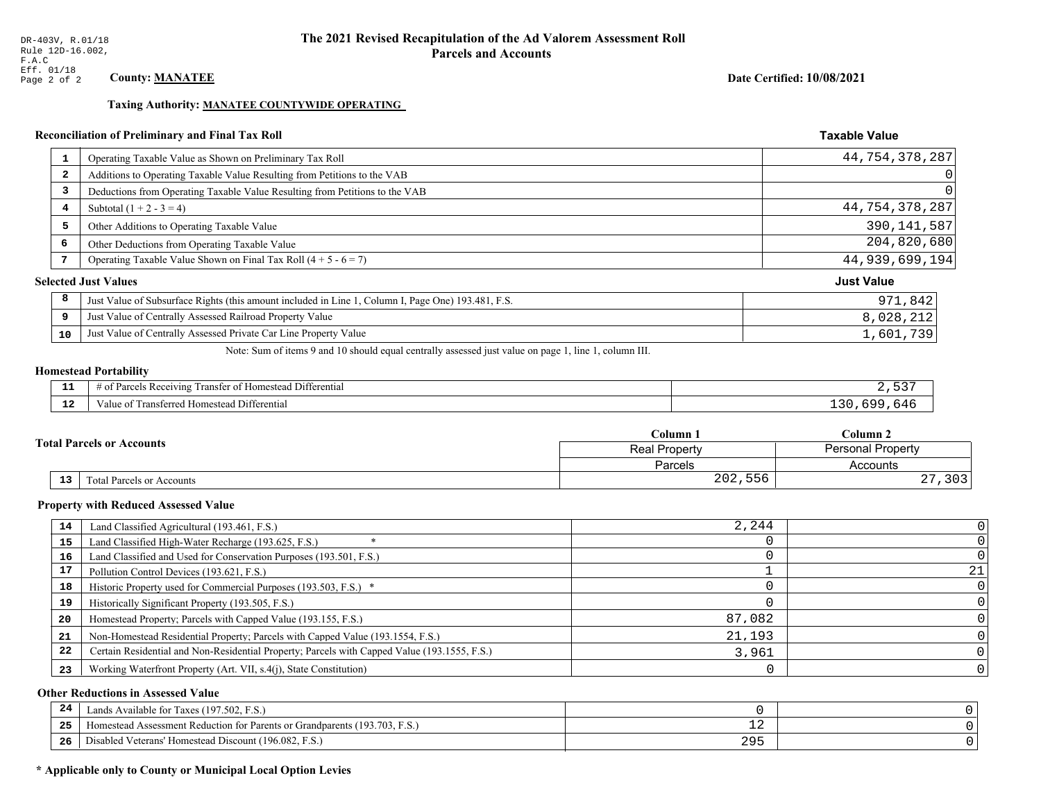## Date Certified: 10/08/2021

**Taxable Value** 

#### **Taxing Authority: MANATEE COUNTYWIDE OPERATING**

## Reconciliation of Preliminary and Final Tax Roll

|                         | Operating Taxable Value as Shown on Preliminary Tax Roll                                           | 44,754,378,287    |
|-------------------------|----------------------------------------------------------------------------------------------------|-------------------|
| $\overline{\mathbf{2}}$ | Additions to Operating Taxable Value Resulting from Petitions to the VAB                           | 0                 |
| 3                       | Deductions from Operating Taxable Value Resulting from Petitions to the VAB                        | $\Omega$          |
| 4                       | Subtotal $(1 + 2 - 3 = 4)$                                                                         | 44,754,378,287    |
| 5                       | Other Additions to Operating Taxable Value                                                         | 390, 141, 587     |
| 6                       | Other Deductions from Operating Taxable Value                                                      | 204,820,680       |
|                         | Operating Taxable Value Shown on Final Tax Roll $(4 + 5 - 6 = 7)$                                  | 44,939,699,194    |
|                         | <b>Selected Just Values</b>                                                                        | <b>Just Value</b> |
| 8                       | Just Value of Subsurface Rights (this amount included in Line 1, Column I, Page One) 193.481, F.S. | 971,842           |
| 9                       | Just Value of Centrally Assessed Railroad Property Value                                           | 8,028,212         |
| 10                      | Just Value of Centrally Assessed Private Car Line Property Value                                   | 1,601,739         |
|                         |                                                                                                    |                   |

Note: Sum of items 9 and 10 should equal centrally assessed just value on page 1, line 1, column III.

## **Homestead Portability**

| ---         | <b>The Contract Contract Contract</b><br>.<br>Differential<br>ranster<br>$\cdot$ D $\sim$<br><b>011711</b><br>$\sim$ +<br>'omesteac<br>н.<br>'NU |  |
|-------------|--------------------------------------------------------------------------------------------------------------------------------------------------|--|
| $\sim$<br>. | i Differential<br>Transferred Homestead<br>'aiue ot                                                                                              |  |

|                                              | $C$ olumn $1$<br>Column 2<br><b>Personal Property</b><br><b>Real Property</b> |                     |
|----------------------------------------------|-------------------------------------------------------------------------------|---------------------|
| <b>Total Parcels or Accounts</b>             |                                                                               |                     |
|                                              | <b>Parcels</b>                                                                | Accounts            |
| $\overline{13}$<br>Total Parcels or Accounts | 202,556                                                                       | つのつ<br>د ∪ د<br>، ب |

#### **Property with Reduced Assessed Value**

| 14 | Land Classified Agricultural (193.461, F.S.)                                                 | 2,244  |    |
|----|----------------------------------------------------------------------------------------------|--------|----|
| 15 | Land Classified High-Water Recharge (193.625, F.S.)                                          |        |    |
| 16 | Land Classified and Used for Conservation Purposes (193.501, F.S.)                           |        |    |
| 17 | Pollution Control Devices (193.621, F.S.)                                                    |        | 21 |
| 18 | Historic Property used for Commercial Purposes (193.503, F.S.) *                             |        |    |
| 19 | Historically Significant Property (193.505, F.S.)                                            |        |    |
| 20 | Homestead Property; Parcels with Capped Value (193.155, F.S.)                                | 87,082 |    |
| 21 | Non-Homestead Residential Property; Parcels with Capped Value (193.1554, F.S.)               | 21,193 |    |
| 22 | Certain Residential and Non-Residential Property; Parcels with Capped Value (193.1555, F.S.) | 3,961  |    |
| 23 | Working Waterfront Property (Art. VII, s.4(j), State Constitution)                           |        |    |

## **Other Reductions in Assessed Value**

| -24   | (197.502, F.S.)<br>Lands Available for Taxes (                                 |            |  |
|-------|--------------------------------------------------------------------------------|------------|--|
| - - - | (193.703, 1)<br>t Assessment Reduction for Parents or Grandparents<br>omestead | — <u>—</u> |  |
| -26   | (196.082, F.S.)<br>. Veterans' Homestead Discount (<br>Disabled                | つのに<br>么つつ |  |

## \* Applicable only to County or Municipal Local Option Levies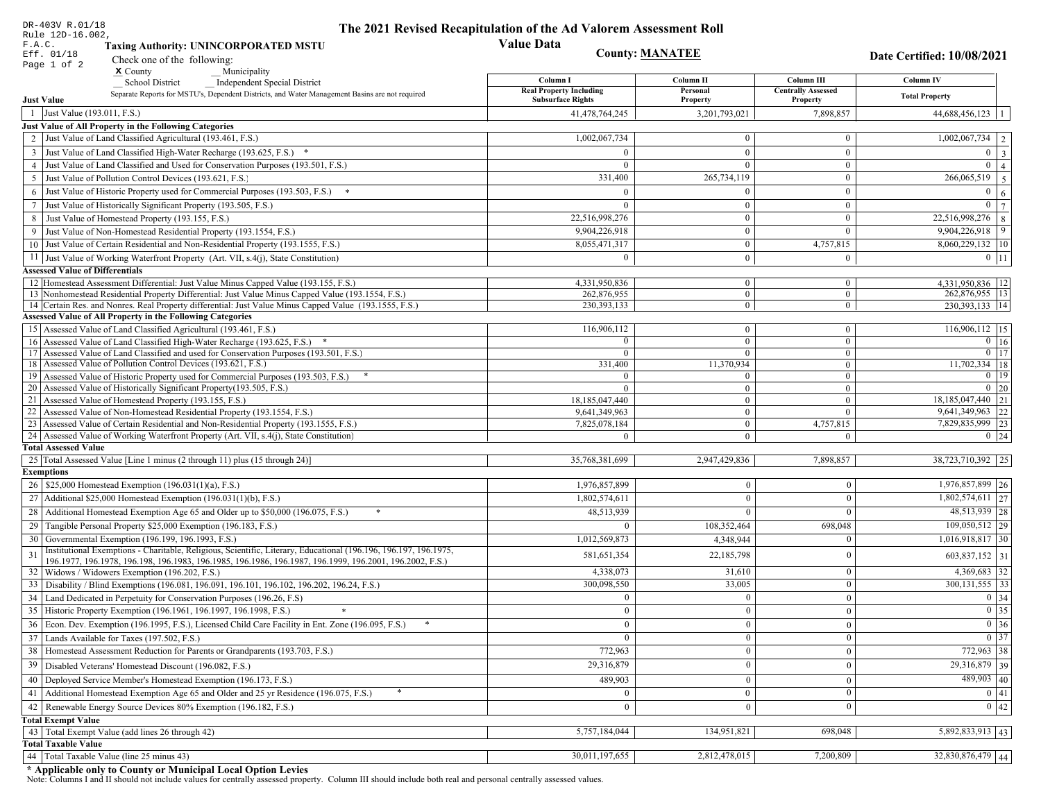| DR-403V R.01/18                        |                                                                                                                                                                                                             | The 2021 Revised Recapitulation of the Ad Valorem Assessment Roll |                                |                              |                                                                       |
|----------------------------------------|-------------------------------------------------------------------------------------------------------------------------------------------------------------------------------------------------------------|-------------------------------------------------------------------|--------------------------------|------------------------------|-----------------------------------------------------------------------|
| Rule 12D-16.002,<br>F.A.C.             | <b>Taxing Authority: UNINCORPORATED MSTU</b>                                                                                                                                                                | <b>Value Data</b>                                                 |                                |                              |                                                                       |
| Eff. 01/18                             |                                                                                                                                                                                                             | <b>County: MANATEE</b>                                            |                                |                              | Date Certified: 10/08/2021                                            |
| Page 1 of 2                            | Check one of the following:<br>$x$ County<br>Municipality                                                                                                                                                   |                                                                   |                                |                              |                                                                       |
|                                        | <b>School District</b><br><b>Independent Special District</b>                                                                                                                                               | Column I                                                          | Column II                      | Column III                   | Column IV                                                             |
|                                        | Separate Reports for MSTU's, Dependent Districts, and Water Management Basins are not required                                                                                                              | <b>Real Property Including</b>                                    | Personal                       | <b>Centrally Assessed</b>    | <b>Total Property</b>                                                 |
| <b>Just Value</b>                      |                                                                                                                                                                                                             | <b>Subsurface Rights</b>                                          | Property                       | Property                     |                                                                       |
| 1 Just Value (193.011, F.S.)           |                                                                                                                                                                                                             | 41,478,764,245                                                    | 3,201,793,021                  | 7,898,857                    | $44,688,456,123$   1                                                  |
|                                        | <b>Just Value of All Property in the Following Categories</b><br>2 Just Value of Land Classified Agricultural (193.461, F.S.)                                                                               | 1,002,067,734                                                     | $\overline{0}$                 | $\bf{0}$                     | $\boxed{1,002,067,734}$   2                                           |
|                                        |                                                                                                                                                                                                             |                                                                   |                                |                              |                                                                       |
|                                        | 3 Just Value of Land Classified High-Water Recharge (193.625, F.S.) *                                                                                                                                       | $\theta$                                                          | $\mathbf{0}$                   | $\mathbf{0}$                 | $0 \mid 3 \mid$<br>$\overline{0}$                                     |
|                                        | 4 Just Value of Land Classified and Used for Conservation Purposes (193.501, F.S.)                                                                                                                          | $\overline{0}$                                                    | $\overline{0}$<br>265,734,119  | $\bf{0}$<br>$\mathbf{0}$     | $\overline{4}$<br>266,065,519                                         |
|                                        | 5 Just Value of Pollution Control Devices (193.621, F.S.)                                                                                                                                                   | 331,400                                                           |                                |                              | 5                                                                     |
|                                        | 6 Just Value of Historic Property used for Commercial Purposes (193.503, F.S.) *                                                                                                                            | $\Omega$                                                          | $\overline{0}$                 | $\mathbf{0}$                 | $0 \mid 6 \mid$                                                       |
|                                        | 7 Just Value of Historically Significant Property (193.505, F.S.)                                                                                                                                           | $\overline{0}$                                                    | $\overline{0}$                 | $\mathbf{0}$                 | $\overline{0}$<br>$7\phantom{.0}$                                     |
|                                        | 8 Just Value of Homestead Property (193.155, F.S.)                                                                                                                                                          | 22,516,998,276                                                    | $\Omega$                       | $\bf{0}$                     | $\overline{22,516,998,276}$ 8                                         |
|                                        | 9 Just Value of Non-Homestead Residential Property (193.1554, F.S.)                                                                                                                                         | 9,904,226,918                                                     | $\mathbf{0}$                   | $\overline{0}$               | $9,904,226,918$ 9                                                     |
|                                        | 10 Just Value of Certain Residential and Non-Residential Property (193.1555, F.S.)                                                                                                                          | 8,055,471,317                                                     | $\bf{0}$                       | 4,757,815                    | 8,060,229,132   10                                                    |
|                                        | 11 Just Value of Working Waterfront Property (Art. VII, s.4(j), State Constitution)                                                                                                                         | $\theta$                                                          | $\bf{0}$                       | $\bf{0}$                     | $0$   11                                                              |
| <b>Assessed Value of Differentials</b> |                                                                                                                                                                                                             |                                                                   |                                |                              |                                                                       |
|                                        | 12 Homestead Assessment Differential: Just Value Minus Capped Value (193.155, F.S.)                                                                                                                         | 4,331,950,836<br>262.876.955                                      | $\mathbf{0}$<br>$\overline{0}$ | $\bf{0}$                     | 4,331,950,836   12<br>262,876,955 13                                  |
|                                        | 13 Nonhomestead Residential Property Differential: Just Value Minus Capped Value (193.1554, F.S.)<br>14 Certain Res. and Nonres. Real Property differential: Just Value Minus Capped Value (193.1555, F.S.) | 230, 393, 133                                                     | $\overline{0}$                 | $\mathbf{0}$<br>$\mathbf{0}$ | 230, 393, 133   14                                                    |
|                                        | <b>Assessed Value of All Property in the Following Categories</b>                                                                                                                                           |                                                                   |                                |                              |                                                                       |
|                                        | 15 Assessed Value of Land Classified Agricultural (193.461, F.S.)                                                                                                                                           | 116,906,112                                                       | $\overline{0}$                 | $\bf{0}$                     | 116,906,112   15                                                      |
|                                        | 16 Assessed Value of Land Classified High-Water Recharge (193.625, F.S.)                                                                                                                                    | $\Omega$                                                          | $\overline{0}$                 | $\mathbf{0}$                 | $0 \mid 16$                                                           |
|                                        | 17 Assessed Value of Land Classified and used for Conservation Purposes (193.501, F.S.)                                                                                                                     | $\bf{0}$                                                          | $\overline{0}$                 | $\bf{0}$                     | $\boxed{0}$ $\boxed{17}$                                              |
|                                        | 18 Assessed Value of Pollution Control Devices (193.621, F.S.)                                                                                                                                              | 331,400                                                           | 11,370,934                     | $\overline{0}$               | $11,702,334$ 18                                                       |
|                                        | 19 Assessed Value of Historic Property used for Commercial Purposes (193.503, F.S.)                                                                                                                         |                                                                   | $\mathbf{0}$                   | $\mathbf{0}$                 | $\boxed{0}$ 19                                                        |
|                                        | 20 Assessed Value of Historically Significant Property (193.505, F.S.)                                                                                                                                      | $\Omega$                                                          | $\overline{0}$                 | $\overline{0}$               | $0 \mid 20$                                                           |
|                                        | 21 Assessed Value of Homestead Property (193.155, F.S.)                                                                                                                                                     | 18,185,047,440                                                    | $\overline{0}$                 | $\bf{0}$                     | 18,185,047,440   21                                                   |
|                                        | 22 Assessed Value of Non-Homestead Residential Property (193.1554, F.S.)                                                                                                                                    | 9,641,349,963                                                     | $\overline{0}$                 | $\mathbf{0}$                 | 9,641,349,963 22                                                      |
|                                        | 23 Assessed Value of Certain Residential and Non-Residential Property (193.1555, F.S.)                                                                                                                      | 7,825,078,184                                                     | $\overline{0}$                 | 4,757,815                    | 7,829,835,999 23                                                      |
|                                        | 24 Assessed Value of Working Waterfront Property (Art. VII, s.4(j), State Constitution                                                                                                                      | $\Omega$                                                          | $\overline{0}$                 | $\mathbf{0}$                 | $0 \mid 24$                                                           |
| <b>Total Assessed Value</b>            |                                                                                                                                                                                                             |                                                                   |                                |                              |                                                                       |
|                                        | 25   Total Assessed Value [Line 1 minus (2 through 11) plus (15 through 24)]                                                                                                                                | 35,768,381,699                                                    | 2,947,429,836                  | 7,898,857                    | 38,723,710,392 25                                                     |
| <b>Exemptions</b>                      |                                                                                                                                                                                                             |                                                                   |                                |                              |                                                                       |
|                                        | 26   \$25,000 Homestead Exemption (196.031(1)(a), F.S.)                                                                                                                                                     | 1,976,857,899                                                     | $\theta$                       | $\mathbf{0}$                 | 1,976,857,899 26                                                      |
|                                        | 27 Additional \$25,000 Homestead Exemption (196.031(1)(b), F.S.)                                                                                                                                            | 1,802,574,611                                                     | $\Omega$                       | $\Omega$                     | $1,802,574,611$ 27                                                    |
|                                        | 28 Additional Homestead Exemption Age 65 and Older up to \$50,000 (196.075, F.S.)<br>*                                                                                                                      | 48,513,939                                                        |                                | $\Omega$                     | 48,513,939 28                                                         |
|                                        | 29 Tangible Personal Property \$25,000 Exemption (196.183, F.S.)                                                                                                                                            |                                                                   | 108,352,464                    | 698,048                      | $109,050,512$  29                                                     |
|                                        | 30 Governmental Exemption (196.199, 196.1993, F.S.)                                                                                                                                                         | 1,012,569,873                                                     | 4,348,944                      | $\Omega$                     | $1,016,918,817$ 30                                                    |
|                                        | Institutional Exemptions - Charitable, Religious, Scientific, Literary, Educational (196.196, 196.197, 196.1975,                                                                                            | 581,651,354                                                       | 22,185,798                     | $\mathbf{0}$                 | 603,837,152 31                                                        |
|                                        | 196.1977, 196.1978, 196.198, 196.1983, 196.1985, 196.1986, 196.1987, 196.1999, 196.2001, 196.2002, F.S.)<br>32   Widows / Widowers Exemption (196.202, F.S.)                                                | 4,338,073                                                         | 31,610                         | $\mathbf{0}$                 | $4,369,683$ 32                                                        |
|                                        | 33 Disability / Blind Exemptions (196.081, 196.091, 196.101, 196.102, 196.202, 196.24, F.S.)                                                                                                                | 300,098,550                                                       | 33,005                         | $\mathbf{0}$                 | $300, 131, 555$   33                                                  |
|                                        | 34   Land Dedicated in Perpetuity for Conservation Purposes (196.26, F.S)                                                                                                                                   | $\Omega$                                                          | $\mathbf{0}$                   | $\mathbf{0}$                 | $0 \mid 34 \mid$                                                      |
|                                        | 35 Historic Property Exemption (196.1961, 196.1997, 196.1998, F.S.)                                                                                                                                         | $\Omega$                                                          | $\bf{0}$                       |                              |                                                                       |
|                                        |                                                                                                                                                                                                             |                                                                   |                                | $\boldsymbol{0}$             | $\begin{array}{ c c }\n\hline\n0 & 35 \\ \hline\n0 & 36\n\end{array}$ |
|                                        | 36 Econ. Dev. Exemption (196.1995, F.S.), Licensed Child Care Facility in Ent. Zone (196.095, F.S.)                                                                                                         | $\Omega$                                                          | $\Omega$                       | $\Omega$                     |                                                                       |
|                                        | 37 Lands Available for Taxes (197.502, F.S.)                                                                                                                                                                | $\theta$                                                          | $\mathbf{0}$                   | $\mathbf{0}$                 | $\boxed{0}$ 37                                                        |
|                                        | 38   Homestead Assessment Reduction for Parents or Grandparents (193.703, F.S.)                                                                                                                             | 772,963                                                           |                                | $\mathbf{0}$                 | 772,963 38                                                            |
|                                        | 39   Disabled Veterans' Homestead Discount (196.082, F.S.)                                                                                                                                                  | 29,316,879                                                        | $\overline{0}$                 | $\mathbf{0}$                 | 29,316,879 39                                                         |
|                                        | 40   Deployed Service Member's Homestead Exemption (196.173, F.S.)                                                                                                                                          | 489,903                                                           | $\overline{0}$                 | $\boldsymbol{0}$             | $489,903$ 40                                                          |
|                                        | 41 Additional Homestead Exemption Age 65 and Older and 25 yr Residence (196.075, F.S.)                                                                                                                      |                                                                   | $\mathbf{0}$                   | $\mathbf{0}$                 | 0 41                                                                  |
|                                        | 42 Renewable Energy Source Devices 80% Exemption (196.182, F.S.)                                                                                                                                            |                                                                   |                                | $\theta$                     | 0 42                                                                  |
| <b>Total Exempt Value</b>              |                                                                                                                                                                                                             |                                                                   |                                |                              |                                                                       |
|                                        | 43 Total Exempt Value (add lines 26 through 42)                                                                                                                                                             | 5,757,184,044                                                     | 134,951,821                    | 698,048                      | $\overline{5,892,833,913}$ 43                                         |
| <b>Total Taxable Value</b>             |                                                                                                                                                                                                             |                                                                   |                                |                              |                                                                       |
|                                        | 44 Total Taxable Value (line 25 minus 43)                                                                                                                                                                   | 30,011,197,655                                                    | 2,812,478,015                  | 7,200,809                    | 32,830,876,479 44                                                     |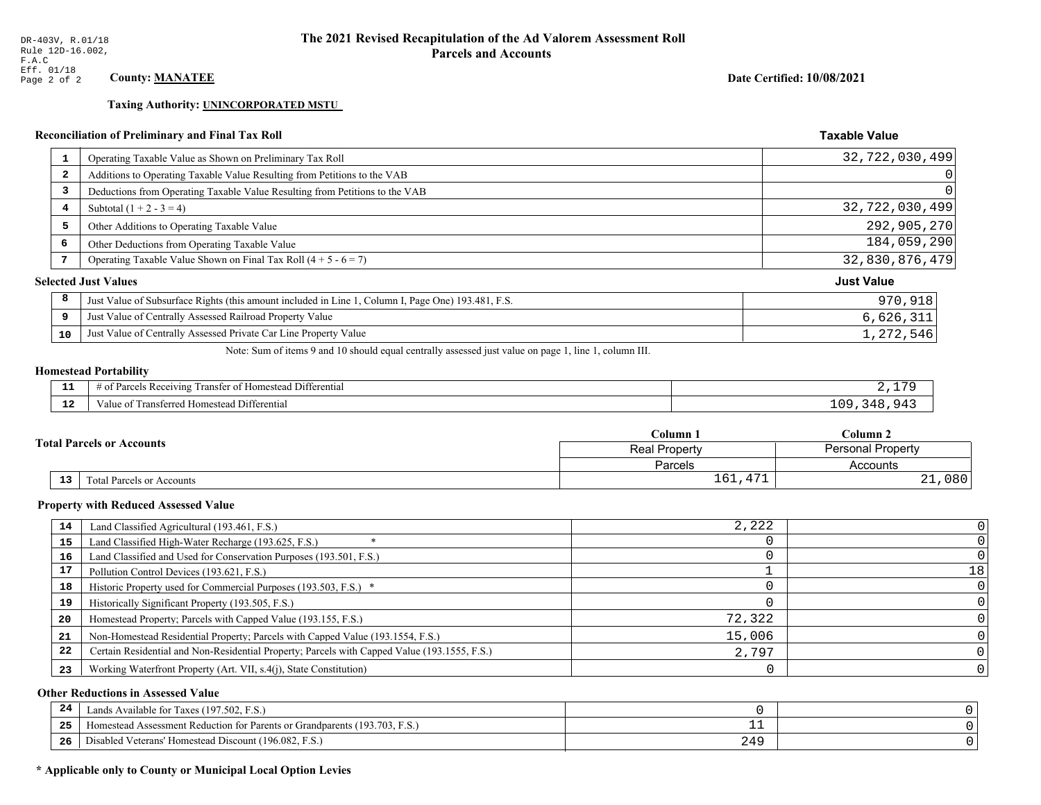**Taxing Authority: UNINCORPORATED MSTU** 

## Reconciliation of Preliminary and Final Tax Roll

| $\mathbf{1}$            | Operating Taxable Value as Shown on Preliminary Tax Roll                                           | 32,722,030,499    |
|-------------------------|----------------------------------------------------------------------------------------------------|-------------------|
| $\overline{\mathbf{2}}$ | Additions to Operating Taxable Value Resulting from Petitions to the VAB                           | 0                 |
| 3                       | Deductions from Operating Taxable Value Resulting from Petitions to the VAB                        |                   |
| 4                       | Subtotal $(1 + 2 - 3 = 4)$                                                                         | 32,722,030,499    |
| 5                       | Other Additions to Operating Taxable Value                                                         | 292,905,270       |
| 6                       | Other Deductions from Operating Taxable Value                                                      | 184,059,290       |
| 7                       | Operating Taxable Value Shown on Final Tax Roll $(4 + 5 - 6 = 7)$                                  | 32,830,876,479    |
|                         | <b>Selected Just Values</b>                                                                        | <b>Just Value</b> |
| 8                       | Just Value of Subsurface Rights (this amount included in Line 1, Column I, Page One) 193.481, F.S. | 970,918           |
| 9                       | Just Value of Centrally Assessed Railroad Property Value                                           | 6,626,311         |
| 10                      | Just Value of Centrally Assessed Private Car Line Property Value                                   | 1,272,546         |

Note: Sum of items 9 and 10 should equal centrally assessed just value on page 1, line 1, column III.

## **Homestead Portability**

| - -<br>.     | $\cdots$<br>. Differential<br>-Rec<br>enving<br>ranster<br>$\Delta$<br>,,,,, |                |
|--------------|------------------------------------------------------------------------------|----------------|
| $\sim$<br>-- | <b>Differential</b><br>' Homestead L<br>ransterred.<br>, anie i<br>$\Omega$  | n c<br>.<br>-- |

|  |    |                                  | Column 1                                         | Column 2   |  |
|--|----|----------------------------------|--------------------------------------------------|------------|--|
|  |    | <b>Total Parcels or Accounts</b> | <b>Personal Property</b><br><b>Real Property</b> |            |  |
|  |    |                                  | Parcels                                          | Accounts   |  |
|  | 13 | <b>Fotal Parcels or Accounts</b> | 1.7.7<br>$\epsilon$<br>ᆂᇦᆂ<br>.                  | 080<br>∸ ∸ |  |

#### **Property with Reduced Assessed Value**

| 14 | Land Classified Agricultural (193.461, F.S.)                                                 | 2,222  |    |
|----|----------------------------------------------------------------------------------------------|--------|----|
| 15 | Land Classified High-Water Recharge (193.625, F.S.)                                          |        |    |
| 16 | Land Classified and Used for Conservation Purposes (193.501, F.S.)                           |        |    |
| 17 | Pollution Control Devices (193.621, F.S.)                                                    |        | 18 |
| 18 | Historic Property used for Commercial Purposes (193.503, F.S.) *                             |        |    |
| 19 | Historically Significant Property (193.505, F.S.)                                            |        |    |
| 20 | Homestead Property; Parcels with Capped Value (193.155, F.S.)                                | 72,322 |    |
| 21 | Non-Homestead Residential Property; Parcels with Capped Value (193.1554, F.S.)               | 15,006 |    |
| 22 | Certain Residential and Non-Residential Property; Parcels with Capped Value (193.1555, F.S.) | 2,797  |    |
| 23 | Working Waterfront Property (Art. VII, s.4(j), State Constitution)                           |        |    |

## **Other Reductions in Assessed Value**

| 24    | (197.502, F.S.)<br>Lands Available for Taxes (                       |     |  |
|-------|----------------------------------------------------------------------|-----|--|
| - - - | Iomestead Assessment Reduction for Parents or Grandparents (193.703, | --  |  |
| -26   | I Veterans' Homestead Discount (196.082, F.S.)<br>Disabled           | 249 |  |

## \* Applicable only to County or Municipal Local Option Levies

Date Certified: 10/08/2021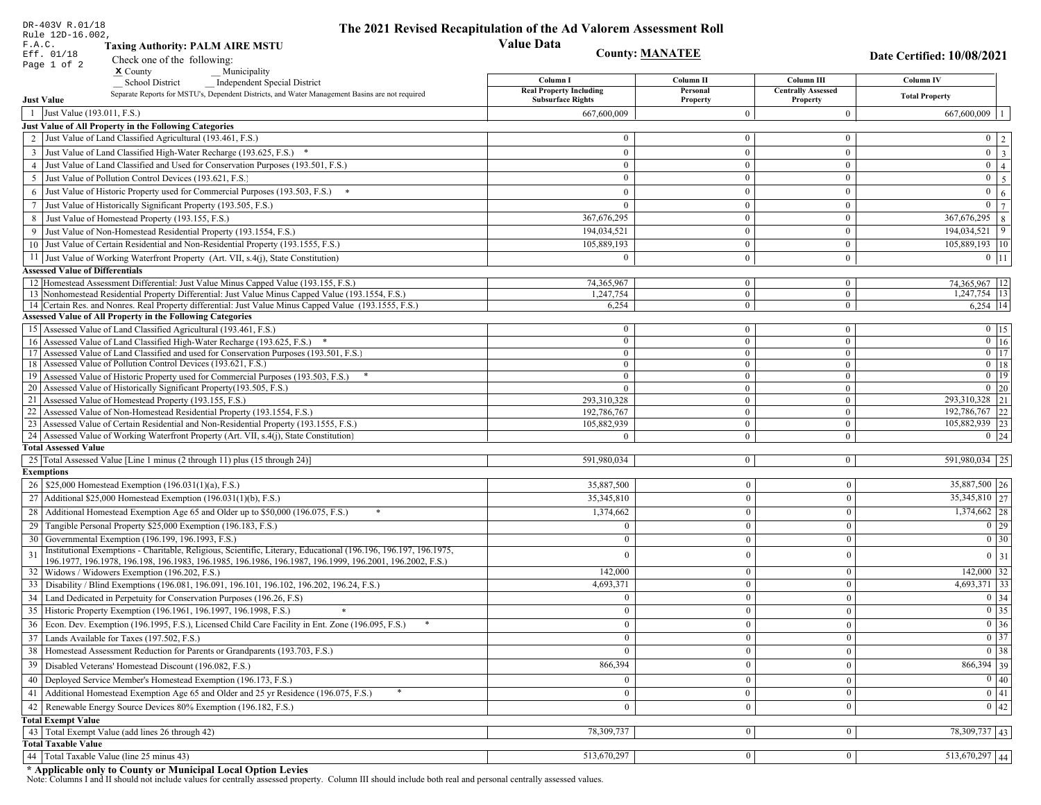| DR-403V R.01/18                                                                                                                                                                                                                    | The 2021 Revised Recapitulation of the Ad Valorem Assessment Roll |                                |                                       |                                                                                                   |
|------------------------------------------------------------------------------------------------------------------------------------------------------------------------------------------------------------------------------------|-------------------------------------------------------------------|--------------------------------|---------------------------------------|---------------------------------------------------------------------------------------------------|
| Rule 12D-16.002,<br>F.A.C.<br><b>Taxing Authority: PALM AIRE MSTU</b>                                                                                                                                                              | <b>Value Data</b>                                                 |                                |                                       |                                                                                                   |
| Eff. 01/18<br>Check one of the following:                                                                                                                                                                                          | <b>County: MANATEE</b>                                            |                                |                                       | Date Certified: 10/08/2021                                                                        |
| Page 1 of 2<br>$\boldsymbol{\mathsf{x}}$ County<br>Municipality                                                                                                                                                                    |                                                                   |                                |                                       |                                                                                                   |
| <b>School District</b><br><b>Independent Special District</b>                                                                                                                                                                      | Column I                                                          | Column II                      | Column III                            | <b>Column IV</b>                                                                                  |
| Separate Reports for MSTU's, Dependent Districts, and Water Management Basins are not required<br><b>Just Value</b>                                                                                                                | <b>Real Property Including</b><br><b>Subsurface Rights</b>        | Personal<br>Property           | <b>Centrally Assessed</b><br>Property | <b>Total Property</b>                                                                             |
| 1 Just Value (193.011, F.S.)                                                                                                                                                                                                       | 667,600,009                                                       | $\theta$                       | $\mathbf{0}$                          | 667,600,009                                                                                       |
| Just Value of All Property in the Following Categories                                                                                                                                                                             |                                                                   |                                |                                       |                                                                                                   |
| 2 Just Value of Land Classified Agricultural (193.461, F.S.)                                                                                                                                                                       | $\bf{0}$                                                          | $\mathbf{0}$                   | $\bf{0}$                              | $0 \quad 2$                                                                                       |
| 3 Just Value of Land Classified High-Water Recharge (193.625, F.S.) *                                                                                                                                                              | $\theta$                                                          | $\theta$                       | $\boldsymbol{0}$                      | $\overline{\mathbf{3}}$<br>$\mathbf{0}$                                                           |
| 4 Just Value of Land Classified and Used for Conservation Purposes (193.501, F.S.)                                                                                                                                                 | $\bf{0}$                                                          | $\mathbf{0}$                   | $\bf{0}$                              | $\overline{0}$<br>$\overline{4}$                                                                  |
| 5 Just Value of Pollution Control Devices (193.621, F.S.)                                                                                                                                                                          | $\bf{0}$                                                          | $\mathbf{0}$                   | $\mathbf{0}$                          | $\overline{5}$<br>$\overline{0}$                                                                  |
| 6 Just Value of Historic Property used for Commercial Purposes (193.503, F.S.) *                                                                                                                                                   | $\theta$                                                          | $\theta$                       | $\boldsymbol{0}$                      | $\overline{0}$<br>$\sqrt{6}$                                                                      |
| 7 Just Value of Historically Significant Property (193.505, F.S.)                                                                                                                                                                  | $\bf{0}$                                                          | $\bf{0}$                       | $\mathbf{0}$                          | $\overline{7}$<br>$\overline{0}$                                                                  |
| 8 Just Value of Homestead Property (193.155, F.S.)                                                                                                                                                                                 | 367, 676, 295                                                     | $\boldsymbol{0}$               | $\mathbf{0}$                          | 367,676,295<br>$\,8\,$                                                                            |
| 9 Just Value of Non-Homestead Residential Property (193.1554, F.S.)                                                                                                                                                                | 194,034,521                                                       | $\theta$                       | $\boldsymbol{0}$                      | 9<br>194,034,521                                                                                  |
| 10 Just Value of Certain Residential and Non-Residential Property (193.1555, F.S.)                                                                                                                                                 | 105,889,193                                                       | $\boldsymbol{0}$               | $\mathbf{0}$                          | 105,889,193   10                                                                                  |
|                                                                                                                                                                                                                                    | $\theta$                                                          |                                |                                       |                                                                                                   |
| 11 Just Value of Working Waterfront Property (Art. VII, s.4(j), State Constitution)                                                                                                                                                |                                                                   | $\overline{0}$                 | $\bf{0}$                              | $0$ 11                                                                                            |
| <b>Assessed Value of Differentials</b><br>12 Homestead Assessment Differential: Just Value Minus Capped Value (193.155, F.S.)                                                                                                      |                                                                   |                                |                                       |                                                                                                   |
| 13 Nonhomestead Residential Property Differential: Just Value Minus Capped Value (193.1554, F.S.)                                                                                                                                  | 74,365,967<br>1,247,754                                           | $\overline{0}$<br>$\mathbf{0}$ | $\mathbf{0}$<br>$\bf{0}$              | 74,365,967 12<br>$1,247,754$ 13                                                                   |
| 14 Certain Res. and Nonres. Real Property differential: Just Value Minus Capped Value (193.1555, F.S.)                                                                                                                             | 6,254                                                             | $\overline{0}$                 | $\overline{0}$                        | $6,254$ 14                                                                                        |
| <b>Assessed Value of All Property in the Following Categories</b>                                                                                                                                                                  |                                                                   |                                |                                       |                                                                                                   |
| 15 Assessed Value of Land Classified Agricultural (193.461, F.S.)                                                                                                                                                                  | $\bf{0}$                                                          | $\mathbf{0}$                   | $\mathbf{0}$                          | $0$ 15                                                                                            |
| 16 Assessed Value of Land Classified High-Water Recharge (193.625, F.S.) *                                                                                                                                                         | $\overline{0}$                                                    | $\theta$                       | $\overline{0}$                        | $\boxed{0}$ 16                                                                                    |
| 17 Assessed Value of Land Classified and used for Conservation Purposes (193.501, F.S.)                                                                                                                                            | $\overline{0}$                                                    | $\mathbf{0}$                   | $\bf{0}$                              | $\overline{0}$ 17                                                                                 |
| 18 Assessed Value of Pollution Control Devices (193.621, F.S.)                                                                                                                                                                     | $\bf{0}$                                                          | $\mathbf{0}$                   | $\mathbf{0}$                          | $0$   18                                                                                          |
| 19 Assessed Value of Historic Property used for Commercial Purposes (193.503, F.S.)                                                                                                                                                | $\mathbf{0}$                                                      | $\mathbf{0}$                   | $\mathbf{0}$                          | $\boxed{0}$ 19                                                                                    |
| 20 Assessed Value of Historically Significant Property (193.505, F.S.)                                                                                                                                                             | $\theta$                                                          | $\mathbf{0}$                   | $\mathbf{0}$                          | $0$ 20                                                                                            |
| 21 Assessed Value of Homestead Property (193.155, F.S.)                                                                                                                                                                            | 293,310,328                                                       | $\mathbf{0}$                   | $\mathbf{0}$                          | 293,310,328 21                                                                                    |
| 22 Assessed Value of Non-Homestead Residential Property (193.1554, F.S.)                                                                                                                                                           | 192,786,767                                                       | $\mathbf{0}$                   | $\mathbf{0}$                          | 192,786,767 22                                                                                    |
| 23 Assessed Value of Certain Residential and Non-Residential Property (193.1555, F.S.)                                                                                                                                             | 105,882,939                                                       | $\mathbf{0}$                   | $\mathbf{0}$                          | 105,882,939 23                                                                                    |
| 24 Assessed Value of Working Waterfront Property (Art. VII, s.4(j), State Constitution)<br><b>Total Assessed Value</b>                                                                                                             |                                                                   | $\Omega$                       | $\mathbf{0}$                          | $0 \quad 24$                                                                                      |
|                                                                                                                                                                                                                                    | 591,980,034                                                       |                                |                                       |                                                                                                   |
| 25 Total Assessed Value [Line 1 minus (2 through 11) plus (15 through 24)]<br><b>Exemptions</b>                                                                                                                                    |                                                                   | $\mathbf{0}$                   | $\mathbf{0}$                          | 591,980,034 25                                                                                    |
| 26   \$25,000 Homestead Exemption (196.031(1)(a), F.S.)                                                                                                                                                                            | 35,887,500                                                        | $\mathbf{0}$                   | $\mathbf{0}$                          | 35,887,500 26                                                                                     |
| 27   Additional \$25,000 Homestead Exemption (196.031(1)(b), F.S.)                                                                                                                                                                 | 35,345,810                                                        | $\Omega$                       | $\theta$                              | 35,345,810 27                                                                                     |
|                                                                                                                                                                                                                                    |                                                                   |                                |                                       |                                                                                                   |
| 28 Additional Homestead Exemption Age 65 and Older up to \$50,000 (196.075, F.S.)                                                                                                                                                  | 1,374,662                                                         | $\mathbf{0}$                   | $\Omega$                              | $1,374,662$ 28                                                                                    |
| 29 Tangible Personal Property \$25,000 Exemption (196.183, F.S.)                                                                                                                                                                   | $\Omega$                                                          | $\Omega$                       | $\theta$                              | $\boxed{0}$ 29                                                                                    |
| 30 Governmental Exemption (196.199, 196.1993, F.S.)                                                                                                                                                                                |                                                                   | $\theta$                       |                                       | $\boxed{0}$ 30                                                                                    |
| Institutional Exemptions - Charitable, Religious, Scientific, Literary, Educational (196.196, 196.197, 196.1975,<br>31<br>196.1977, 196.1978, 196.198, 196.1983, 196.1985, 196.1986, 196.1987, 196.1999, 196.2001, 196.2002, F.S.) | $\Omega$                                                          | $\Omega$                       | $\theta$                              | $0 \mid 31$                                                                                       |
| 32   Widows / Widowers Exemption (196.202, F.S.)                                                                                                                                                                                   | 142,000                                                           | $\mathbf{0}$                   | $\mathbf{0}$                          | $142,000$ 32                                                                                      |
| 33<br>Disability / Blind Exemptions (196.081, 196.091, 196.101, 196.102, 196.202, 196.24, F.S.)                                                                                                                                    | 4,693,371                                                         | $\mathbf{0}$                   | $\theta$                              | $4,693,371$ 33                                                                                    |
| Land Dedicated in Perpetuity for Conservation Purposes (196.26, F.S)                                                                                                                                                               | $\Omega$                                                          | $\Omega$                       | $\theta$                              | $\boxed{0}$ 34                                                                                    |
| 35 Historic Property Exemption (196.1961, 196.1997, 196.1998, F.S.)                                                                                                                                                                | 0                                                                 | $\mathbf{U}$                   | $\mathbf{0}$                          |                                                                                                   |
| 36 Econ. Dev. Exemption (196.1995, F.S.), Licensed Child Care Facility in Ent. Zone (196.095, F.S.)                                                                                                                                | $\mathbf{0}$                                                      | $\mathbf{0}$                   | $\theta$                              |                                                                                                   |
| 37 Lands Available for Taxes (197.502, F.S.)                                                                                                                                                                                       | $\overline{0}$                                                    | $\Omega$                       | $\theta$                              | $\begin{array}{ c c }\n\hline\n0 & 35 \\ \hline\n0 & 36 \\ \hline\n0 & 37 \\ \hline\n\end{array}$ |
| 38   Homestead Assessment Reduction for Parents or Grandparents (193.703, F.S.)                                                                                                                                                    | $\mathbf{0}$                                                      |                                |                                       | $\boxed{0}$ 38                                                                                    |
|                                                                                                                                                                                                                                    |                                                                   | $\bf{0}$<br>$\Omega$           | $\mathbf{0}$                          | $866,394$ 39                                                                                      |
| 39<br>Disabled Veterans' Homestead Discount (196.082, F.S.)                                                                                                                                                                        | 866,394                                                           |                                | $\theta$                              |                                                                                                   |
| Deployed Service Member's Homestead Exemption (196.173, F.S.)<br>40                                                                                                                                                                | $\overline{0}$                                                    | $\Omega$                       | $\theta$                              | $\boxed{0}$ 40                                                                                    |
| 41 Additional Homestead Exemption Age 65 and Older and 25 yr Residence (196.075, F.S.)                                                                                                                                             | $\overline{0}$                                                    | $\overline{0}$                 | $\mathbf{0}$                          | $\overline{0}$ 41                                                                                 |
| Renewable Energy Source Devices 80% Exemption (196.182, F.S.)<br>42                                                                                                                                                                | $\overline{0}$                                                    | $\mathbf{0}$                   | $\mathbf{0}$                          | 0 42                                                                                              |
| <b>Total Exempt Value</b>                                                                                                                                                                                                          |                                                                   |                                |                                       |                                                                                                   |
| 43 Total Exempt Value (add lines 26 through 42)                                                                                                                                                                                    | 78,309,737                                                        | $\vert 0 \vert$                | $\mathbf{0}$                          | 78, 309, 737 43                                                                                   |
| <b>Total Taxable Value</b>                                                                                                                                                                                                         |                                                                   |                                |                                       |                                                                                                   |
| 44 Total Taxable Value (line 25 minus 43)                                                                                                                                                                                          | 513,670,297                                                       | 0                              | $\boldsymbol{0}$                      | $513,670,297$ 44                                                                                  |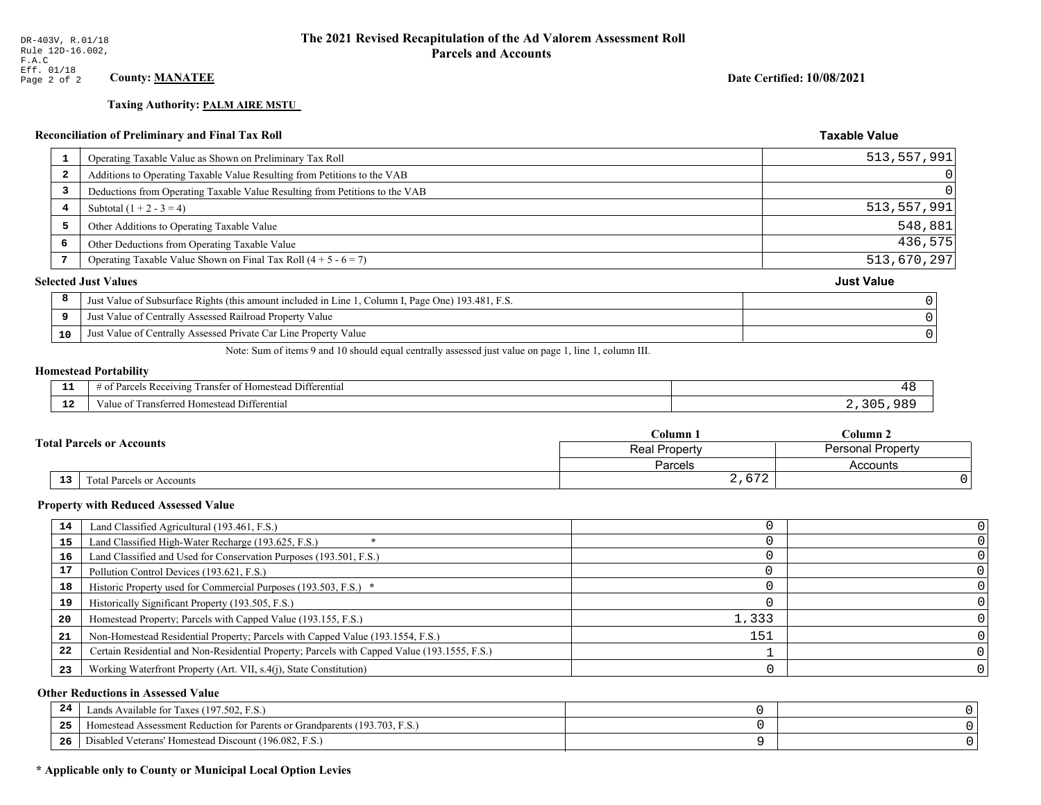# **Taxing Authority: PALM AIRE MSTU\_**

# **Reconciliation of Preliminary and Final Tax Roll**

|              |                                                                                                    | <b>Taxable Value</b>                                                                   |
|--------------|----------------------------------------------------------------------------------------------------|----------------------------------------------------------------------------------------|
| $\mathbf{1}$ | Operating Taxable Value as Shown on Preliminary Tax Roll                                           | 513,557,991                                                                            |
| 2            | Additions to Operating Taxable Value Resulting from Petitions to the VAB                           | 0                                                                                      |
| 3            | Deductions from Operating Taxable Value Resulting from Petitions to the VAB                        |                                                                                        |
| 4            | Subtotal $(1 + 2 - 3 = 4)$                                                                         | 513,557,991                                                                            |
| 5            | Other Additions to Operating Taxable Value                                                         | 548,881                                                                                |
| 6            | Other Deductions from Operating Taxable Value                                                      | 436,575                                                                                |
|              | Operating Taxable Value Shown on Final Tax Roll $(4 + 5 - 6 = 7)$                                  | 513,670,297                                                                            |
|              |                                                                                                    | <b>Just Value</b>                                                                      |
| 8            | Just Value of Subsurface Rights (this amount included in Line 1, Column I, Page One) 193.481, F.S. |                                                                                        |
| 9            | Just Value of Centrally Assessed Railroad Property Value                                           |                                                                                        |
| 10           | Just Value of Centrally Assessed Private Car Line Property Value                                   |                                                                                        |
|              |                                                                                                    | <b>Reconciliation of Preliminary and Final Tax Roll</b><br><b>Selected Just Values</b> |

Note: Sum of items 9 and 10 should equal centrally assessed just value on page 1, line 1, column III.

### **Homestead Portability**

| - -<br>. .  | -<br>ranstei<br>Differential<br>. Receiving<br>Parce.<br>omesteao<br>$-+$<br>- OT<br> |     |
|-------------|---------------------------------------------------------------------------------------|-----|
| $\sim$<br>. | -<br>Transferred Homestead Differential<br>∕alu                                       | ء د |

|  |                                  | Column <sub>1</sub>                       | $C$ olumn 2 |  |
|--|----------------------------------|-------------------------------------------|-------------|--|
|  | <b>Total Parcels or Accounts</b> | <b>Personal Property</b><br>Real Property |             |  |
|  |                                  | Parcels                                   | Accounts    |  |
|  | 13<br>Total Parcels or Accounts  | 2,672                                     |             |  |

#### **Property with Reduced Assessed Value**

| 14 | Land Classified Agricultural (193.461, F.S.)                                                 |       |  |
|----|----------------------------------------------------------------------------------------------|-------|--|
| 15 | Land Classified High-Water Recharge (193.625, F.S.)                                          |       |  |
| 16 | Land Classified and Used for Conservation Purposes (193.501, F.S.)                           |       |  |
| 17 | Pollution Control Devices (193.621, F.S.)                                                    |       |  |
| 18 | Historic Property used for Commercial Purposes (193.503, F.S.) *                             |       |  |
| 19 | Historically Significant Property (193.505, F.S.)                                            |       |  |
| 20 | Homestead Property; Parcels with Capped Value (193.155, F.S.)                                | 1,333 |  |
| 21 | Non-Homestead Residential Property; Parcels with Capped Value (193.1554, F.S.)               | 151   |  |
| 22 | Certain Residential and Non-Residential Property; Parcels with Capped Value (193.1555, F.S.) |       |  |
| 23 | Working Waterfront Property (Art. VII, s.4(j), State Constitution)                           |       |  |

## **Other Reductions in Assessed Value**

| $\mathbf{A}$<br>-44 | Available for Taxes (197.502, F.S.)                                          |  |
|---------------------|------------------------------------------------------------------------------|--|
| 25                  | (193.703, 1)<br>Homestead Assessment Reduction for Parents or Grandparents ( |  |
| 26                  | Disabled Veterans' Homestead Discount (196.082, F.S.)                        |  |

## \* Applicable only to County or Municipal Local Option Levies

Date Certified: 10/08/2021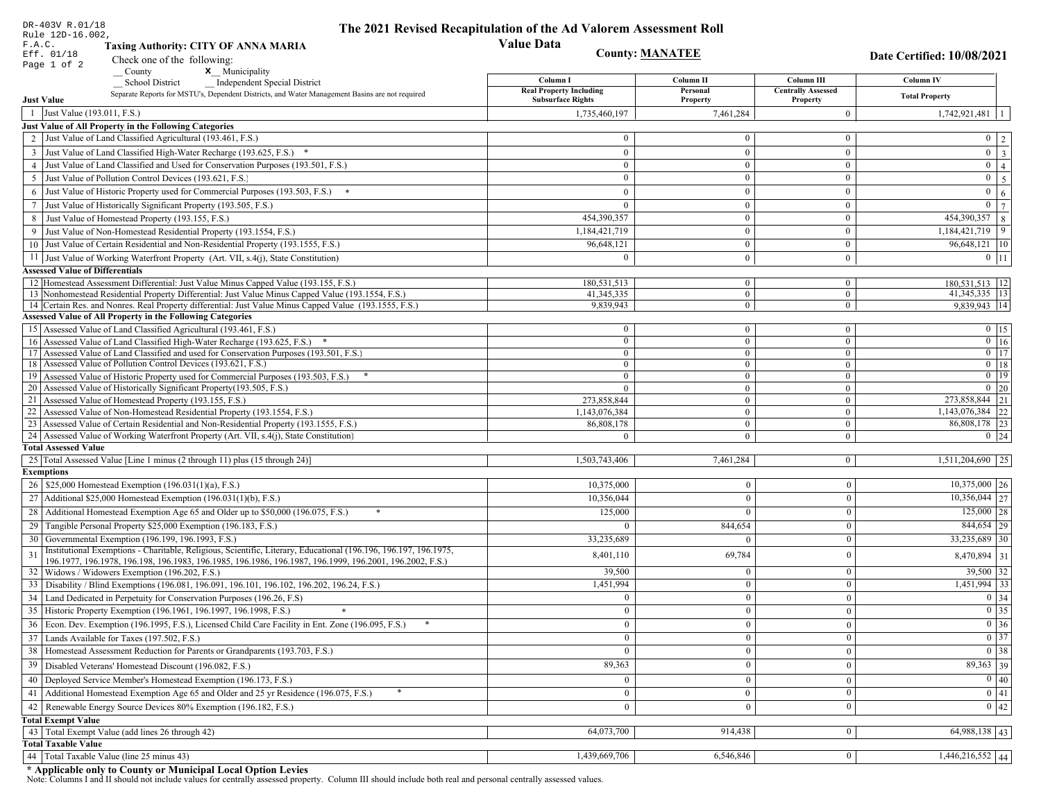| DR-403V R.01/18                        |                                                                                                                                                                                          | The 2021 Revised Recapitulation of the Ad Valorem Assessment Roll |                                  |                                |                                                                       |
|----------------------------------------|------------------------------------------------------------------------------------------------------------------------------------------------------------------------------------------|-------------------------------------------------------------------|----------------------------------|--------------------------------|-----------------------------------------------------------------------|
| Rule 12D-16.002,<br>F.A.C.             |                                                                                                                                                                                          | <b>Value Data</b>                                                 |                                  |                                |                                                                       |
| Eff. 01/18                             | <b>Taxing Authority: CITY OF ANNA MARIA</b>                                                                                                                                              | <b>County: MANATEE</b>                                            |                                  |                                | <b>Date Certified: 10/08/2021</b>                                     |
| Page 1 of 2                            | Check one of the following:<br><b>x</b> Municipality<br>$\sqrt{\frac{1}{1}}$ County                                                                                                      |                                                                   |                                  |                                |                                                                       |
|                                        | <b>School District</b><br><b>Independent Special District</b>                                                                                                                            | Column I                                                          | Column <sub>II</sub>             | Column III                     | <b>Column IV</b>                                                      |
|                                        | Separate Reports for MSTU's, Dependent Districts, and Water Management Basins are not required                                                                                           | <b>Real Property Including</b>                                    | Personal                         | <b>Centrally Assessed</b>      | <b>Total Property</b>                                                 |
| <b>Just Value</b>                      |                                                                                                                                                                                          | <b>Subsurface Rights</b>                                          | Property                         | Property                       |                                                                       |
| 1 Just Value (193.011, F.S.)           |                                                                                                                                                                                          | 1,735,460,197                                                     | 7,461,284                        | $\mathbf{0}$                   | 1,742,921,481                                                         |
|                                        | Just Value of All Property in the Following Categories<br>2 Just Value of Land Classified Agricultural (193.461, F.S.)                                                                   | $\Omega$                                                          | $\overline{0}$                   | $\mathbf{0}$                   | $0 \mid 2$                                                            |
|                                        |                                                                                                                                                                                          |                                                                   |                                  |                                |                                                                       |
|                                        | 3 Just Value of Land Classified High-Water Recharge (193.625, F.S.) *                                                                                                                    | $\overline{0}$<br>$\overline{0}$                                  | $\overline{0}$<br>$\overline{0}$ | $\bf{0}$                       | $\overline{\mathbf{3}}$<br>$\overline{0}$<br>$\overline{0}$           |
|                                        | 4 Just Value of Land Classified and Used for Conservation Purposes (193.501, F.S.)<br>Just Value of Pollution Control Devices (193.621, F.S.)                                            | $\Omega$                                                          | $\overline{0}$                   | $\bf{0}$<br>$\mathbf{0}$       | $\overline{4}$<br>$\overline{0}$                                      |
| 5                                      |                                                                                                                                                                                          |                                                                   |                                  |                                | $\overline{\mathbf{5}}$<br>$\overline{0}$                             |
|                                        | 6 Just Value of Historic Property used for Commercial Purposes (193.503, F.S.)                                                                                                           | $\overline{0}$                                                    | $\overline{0}$                   | $\mathbf{0}$                   | $6\phantom{a}$<br>$\overline{0}$                                      |
|                                        | 7 Just Value of Historically Significant Property (193.505, F.S.)                                                                                                                        | $\overline{0}$                                                    | $\overline{0}$<br>$\Omega$       | $\mathbf{0}$<br>$\mathbf{0}$   | $\overline{7}$                                                        |
|                                        | 8 Just Value of Homestead Property (193.155, F.S.)                                                                                                                                       | 454,390,357                                                       | $\overline{0}$                   |                                | 454,390,357 8<br>$1,184,421,719$ 9                                    |
|                                        | 9 Just Value of Non-Homestead Residential Property (193.1554, F.S.)<br>10 Just Value of Certain Residential and Non-Residential Property (193.1555, F.S.)                                | 1,184,421,719                                                     | $\boldsymbol{0}$                 | $\mathbf{0}$                   |                                                                       |
|                                        |                                                                                                                                                                                          | 96,648,121                                                        |                                  | $\mathbf{0}$                   | 96,648,121   10                                                       |
|                                        | 11 Just Value of Working Waterfront Property (Art. VII, s.4(j), State Constitution)                                                                                                      | $\Omega$                                                          | $\overline{0}$                   | $\bf{0}$                       | $0$ 11                                                                |
| <b>Assessed Value of Differentials</b> |                                                                                                                                                                                          | 180,531,513                                                       | $\overline{0}$                   |                                |                                                                       |
|                                        | 12 Homestead Assessment Differential: Just Value Minus Capped Value (193.155, F.S.)<br>13 Nonhomestead Residential Property Differential: Just Value Minus Capped Value (193.1554, F.S.) | 41,345,335                                                        | $\overline{0}$                   | $\mathbf{0}$<br>$\mathbf{0}$   | 180,531,513 12<br>41, 345, 335   13                                   |
|                                        | 14 Certain Res. and Nonres. Real Property differential: Just Value Minus Capped Value (193.1555, F.S.)                                                                                   | 9,839,943                                                         | $\overline{0}$                   | $\overline{0}$                 | $9,839,943$ 14                                                        |
|                                        | <b>Assessed Value of All Property in the Following Categories</b>                                                                                                                        |                                                                   |                                  |                                |                                                                       |
|                                        | 15 Assessed Value of Land Classified Agricultural (193.461, F.S.)                                                                                                                        | $\bf{0}$                                                          | $\mathbf{0}$                     | $\mathbf{0}$                   | $0$   15                                                              |
|                                        | 16 Assessed Value of Land Classified High-Water Recharge (193.625, F.S.) *                                                                                                               | $\overline{0}$                                                    | $\overline{0}$                   | $\overline{0}$                 | $\boxed{0}$ 16                                                        |
|                                        | 17 Assessed Value of Land Classified and used for Conservation Purposes (193.501, F.S.)                                                                                                  | $\bf{0}$                                                          | $\mathbf{0}$                     | $\bf{0}$                       | $0$ 17                                                                |
|                                        | 18 Assessed Value of Pollution Control Devices (193.621, F.S.)                                                                                                                           | $\overline{0}$                                                    | $\overline{0}$                   | $\overline{0}$                 | $0$ 18                                                                |
|                                        | 19 Assessed Value of Historic Property used for Commercial Purposes (193.503, F.S.)                                                                                                      | $\overline{0}$                                                    | $\boldsymbol{0}$                 | $\bf{0}$                       | $\overline{0}$ 19                                                     |
|                                        | 20 Assessed Value of Historically Significant Property (193.505, F.S.)<br>21 Assessed Value of Homestead Property (193.155, F.S.)                                                        | $\overline{0}$<br>273,858,844                                     | $\overline{0}$<br>$\bf{0}$       | $\overline{0}$<br>$\mathbf{0}$ | $0$ 20<br>273,858,844 21                                              |
|                                        | 22 Assessed Value of Non-Homestead Residential Property (193.1554, F.S.)                                                                                                                 | 1,143,076,384                                                     | $\overline{0}$                   | $\mathbf{0}$                   | 1,143,076,384 22                                                      |
|                                        | 23 Assessed Value of Certain Residential and Non-Residential Property (193.1555, F.S.)                                                                                                   | 86,808,178                                                        | $\overline{0}$                   | $\mathbf{0}$                   | 86,808,178 23                                                         |
|                                        | 24 Assessed Value of Working Waterfront Property (Art. VII, s.4(j), State Constitution)                                                                                                  | $\Omega$                                                          | $\overline{0}$                   | $\mathbf{0}$                   | $0 \mid 24$                                                           |
| <b>Total Assessed Value</b>            |                                                                                                                                                                                          |                                                                   |                                  |                                |                                                                       |
|                                        | 25 Total Assessed Value [Line 1 minus (2 through 11) plus (15 through 24)]                                                                                                               | 1,503,743,406                                                     | 7,461,284                        | $\vert 0 \vert$                | 1,511,204,690 25                                                      |
| <b>Exemptions</b>                      |                                                                                                                                                                                          |                                                                   |                                  |                                |                                                                       |
|                                        | 26   \$25,000 Homestead Exemption (196.031(1)(a), F.S.)                                                                                                                                  | 10,375,000                                                        | $\Omega$                         | $\mathbf{0}$                   | $10,375,000$ 26                                                       |
|                                        | 27   Additional \$25,000 Homestead Exemption $(196.031(1)(b), F.S.)$                                                                                                                     | 10,356,044                                                        | $\Omega$                         | $\overline{0}$                 | $\overline{10,356,044}$ 27                                            |
|                                        | 28 Additional Homestead Exemption Age 65 and Older up to \$50,000 (196.075, F.S.)<br>*                                                                                                   | 125,000                                                           |                                  | $\overline{0}$                 | $125,000$ 28                                                          |
|                                        | 29 Tangible Personal Property \$25,000 Exemption (196.183, F.S.)                                                                                                                         | $\Omega$                                                          | 844,654                          | $\mathbf{0}$                   | $844,654$ 29                                                          |
|                                        | 30 Governmental Exemption (196.199, 196.1993, F.S.)                                                                                                                                      | 33,235,689                                                        |                                  | $\Omega$                       | 33,235,689 30                                                         |
| 31                                     | Institutional Exemptions - Charitable, Religious, Scientific, Literary, Educational (196.196, 196.197, 196.1975,                                                                         | 8,401,110                                                         | 69,784                           | $\mathbf{0}$                   | 8,470,894   31                                                        |
|                                        | 196.1977, 196.1978, 196.198, 196.1983, 196.1985, 196.1986, 196.1987, 196.1999, 196.2001, 196.2002, F.S.)                                                                                 |                                                                   |                                  |                                |                                                                       |
|                                        | 32   Widows / Widowers Exemption (196.202, F.S.)                                                                                                                                         | 39,500                                                            | $\Omega$                         | $\Omega$                       | $39,500$ 32                                                           |
| 33                                     | Disability / Blind Exemptions (196.081, 196.091, 196.101, 196.102, 196.202, 196.24, F.S.)                                                                                                | 1,451,994                                                         |                                  | $\boldsymbol{0}$               | $1,451,994$ 33                                                        |
|                                        | 34   Land Dedicated in Perpetuity for Conservation Purposes (196.26, F.S)                                                                                                                | $\overline{0}$                                                    | $\overline{0}$                   | $\overline{0}$                 | $0 \mid 34$                                                           |
|                                        | 35 Historic Property Exemption (196.1961, 196.1997, 196.1998, F.S.)                                                                                                                      | $\mathbf{0}$                                                      | $\boldsymbol{0}$                 | $\mathbf{0}$                   | $\begin{array}{ c c }\n\hline\n0 & 35 \\ \hline\n0 & 36\n\end{array}$ |
|                                        | 36 Econ. Dev. Exemption (196.1995, F.S.), Licensed Child Care Facility in Ent. Zone (196.095, F.S.)                                                                                      | $\overline{0}$                                                    | $\Omega$                         | $\overline{0}$                 |                                                                       |
|                                        | 37 Lands Available for Taxes (197.502, F.S.)                                                                                                                                             | $\mathbf{0}$                                                      | $\mathbf{0}$                     | $\mathbf{0}$                   | $\boxed{0}$ 37                                                        |
|                                        | 38 Homestead Assessment Reduction for Parents or Grandparents (193.703, F.S.)                                                                                                            | $\overline{0}$                                                    |                                  | $\mathbf{0}$                   | $\boxed{0}$ 38                                                        |
|                                        | 39   Disabled Veterans' Homestead Discount (196.082, F.S.)                                                                                                                               | 89,363                                                            | $\overline{0}$                   | $\mathbf{0}$                   | $89,363$ 39                                                           |
|                                        | 40   Deployed Service Member's Homestead Exemption (196.173, F.S.)                                                                                                                       | $\overline{0}$                                                    | $\overline{0}$                   | $\mathbf{0}$                   | $\overline{0}$ 40                                                     |
| 41                                     | Additional Homestead Exemption Age 65 and Older and 25 yr Residence (196.075, F.S.)                                                                                                      | $\mathbf{0}$                                                      | $\bf{0}$                         | $\overline{0}$                 | $\overline{0}$ 41                                                     |
|                                        | 42 Renewable Energy Source Devices 80% Exemption (196.182, F.S.)                                                                                                                         | $\overline{0}$                                                    |                                  | $\mathbf{0}$                   | 0 42                                                                  |
| <b>Total Exempt Value</b>              |                                                                                                                                                                                          |                                                                   |                                  |                                |                                                                       |
|                                        | 43 Total Exempt Value (add lines 26 through 42)                                                                                                                                          | 64,073,700                                                        | 914,438                          | $\mathbf{0}$                   | 64,988,138 43                                                         |
| <b>Total Taxable Value</b>             |                                                                                                                                                                                          |                                                                   |                                  |                                |                                                                       |
|                                        | 44   Total Taxable Value (line 25 minus 43)                                                                                                                                              | 1,439,669,706                                                     | 6,546,846                        | $\bf{0}$                       | $1,446,216,552$ 44                                                    |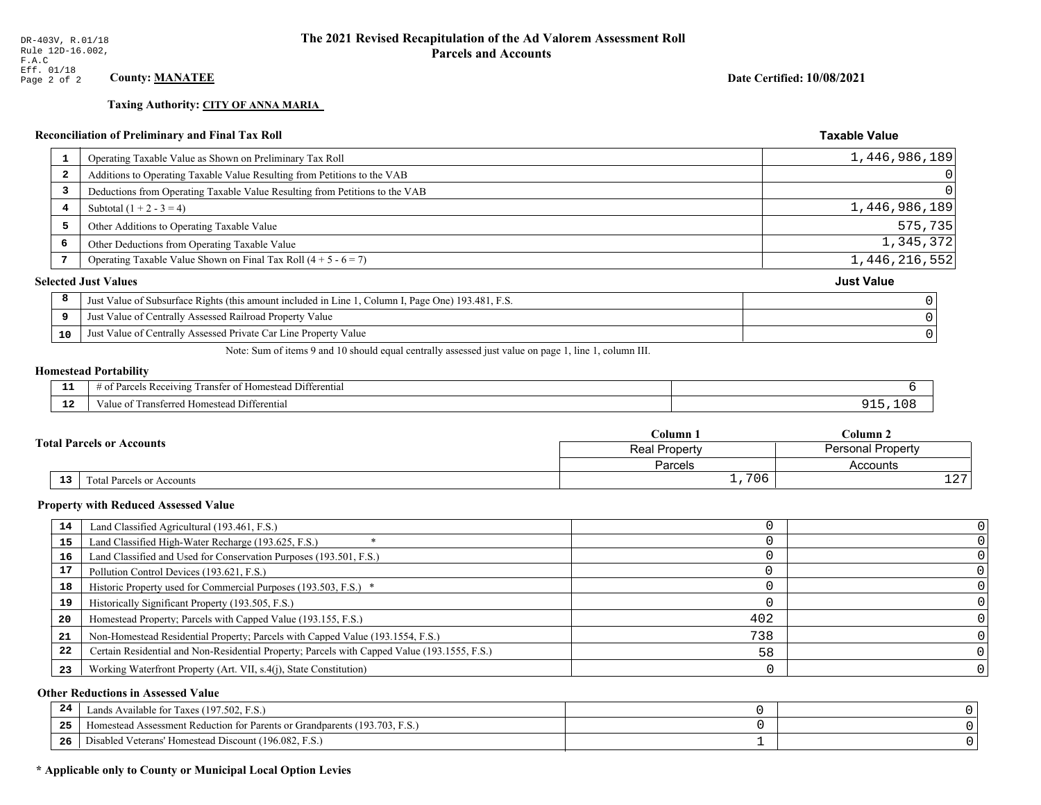## **Taxing Authority: CITY OF ANNA MARIA**

## Reconciliation of Preliminary and Final Tax Roll

| <b>L</b> | Operating Taxable Value as Shown on Preliminary Tax Roll                                           | 1,446,986,189     |
|----------|----------------------------------------------------------------------------------------------------|-------------------|
| 2        | Additions to Operating Taxable Value Resulting from Petitions to the VAB                           |                   |
| 3        | Deductions from Operating Taxable Value Resulting from Petitions to the VAB                        |                   |
| 4        | Subtotal $(1 + 2 - 3 = 4)$                                                                         | 1,446,986,189     |
| 5        | Other Additions to Operating Taxable Value                                                         | 575,735           |
| 6        | Other Deductions from Operating Taxable Value                                                      | 1,345,372         |
|          | Operating Taxable Value Shown on Final Tax Roll $(4 + 5 - 6 = 7)$                                  | 1,446,216,552     |
|          | <b>Selected Just Values</b>                                                                        | <b>Just Value</b> |
| 8        | Just Value of Subsurface Rights (this amount included in Line 1, Column I, Page One) 193.481, F.S. |                   |
| 9        | Just Value of Centrally Assessed Railroad Property Value                                           |                   |
| 10       | Just Value of Centrally Assessed Private Car Line Property Value                                   |                   |
|          |                                                                                                    |                   |

Note: Sum of items 9 and 10 should equal centrally assessed just value on page 1, line 1, column III.

## **Homestead Portability**

ł,

| . .                  | $   -$<br>Differential<br>ranster of<br>ceiving<br><i>domestead</i><br>Parce<br>-01<br>. |  |
|----------------------|------------------------------------------------------------------------------------------|--|
| $\sim$ $\sim$<br>. . | Transferred Homestead Differential<br>∕alu                                               |  |

|  |                                  | Column 1                                  | $\mathbb C$ olumn 2 |  |
|--|----------------------------------|-------------------------------------------|---------------------|--|
|  | <b>Total Parcels or Accounts</b> | <b>Personal Property</b><br>Real Property |                     |  |
|  |                                  | Parcels                                   | Accounts            |  |
|  | 13<br>Total Parcels or Accounts  | ,706<br>— <i>1</i>                        | $\sim$ $\sim$<br>ᅩᅀ |  |

#### **Property with Reduced Assessed Value**

| 14 | Land Classified Agricultural (193.461, F.S.)                                                 |     |  |
|----|----------------------------------------------------------------------------------------------|-----|--|
| 15 | Land Classified High-Water Recharge (193.625, F.S.)                                          |     |  |
| 16 | Land Classified and Used for Conservation Purposes (193.501, F.S.)                           |     |  |
| 17 | Pollution Control Devices (193.621, F.S.)                                                    |     |  |
| 18 | Historic Property used for Commercial Purposes (193.503, F.S.) *                             |     |  |
| 19 | Historically Significant Property (193.505, F.S.)                                            |     |  |
| 20 | Homestead Property; Parcels with Capped Value (193.155, F.S.)                                | 402 |  |
| 21 | Non-Homestead Residential Property; Parcels with Capped Value (193.1554, F.S.)               | 738 |  |
| 22 | Certain Residential and Non-Residential Property; Parcels with Capped Value (193.1555, F.S.) | 58  |  |
| 23 | Working Waterfront Property (Art. VII, s.4(j), State Constitution)                           |     |  |

## **Other Reductions in Assessed Value**

| 24 | Lands Available for Taxes (197.502, F.S.)                                  |  |
|----|----------------------------------------------------------------------------|--|
| 25 | Homestead Assessment Reduction for Parents or Grandparents (193.703, F.S.) |  |
| 26 | Disabled Veterans' Homestead Discount (196.082, F.S.)                      |  |

## \* Applicable only to County or Municipal Local Option Levies

Date Certified: 10/08/2021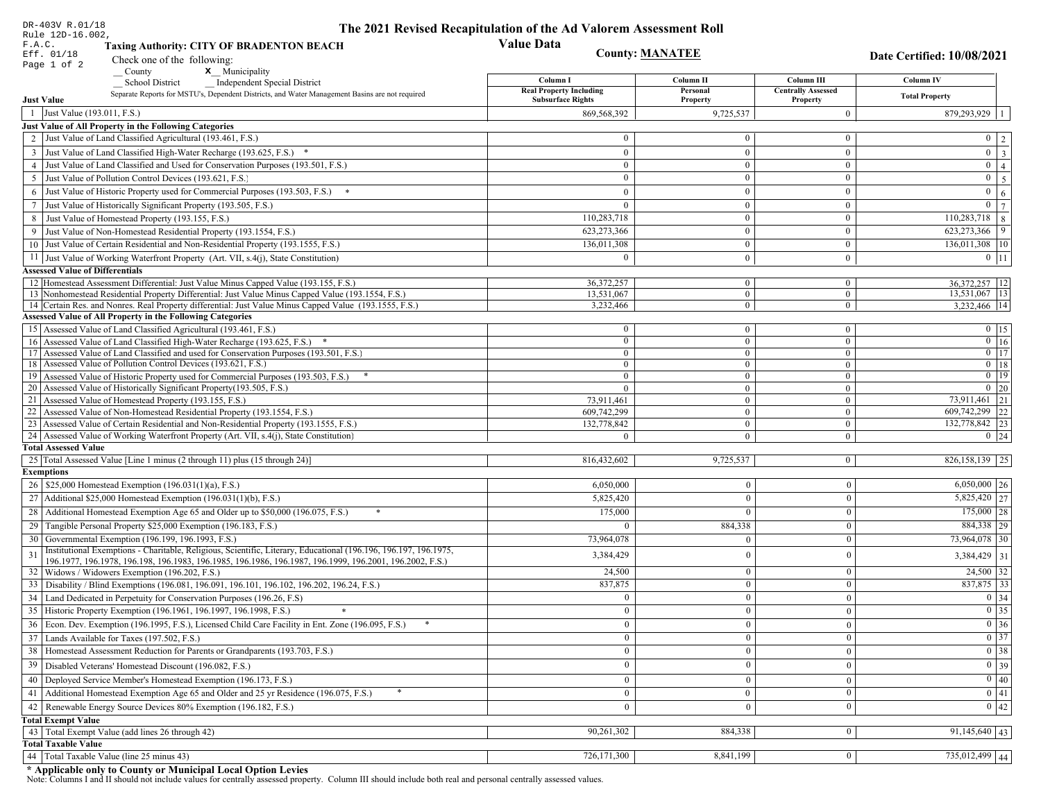| DR-403V R.01/18                        |                                                                                                                                                                                          | The 2021 Revised Recapitulation of the Ad Valorem Assessment Roll |                                  |                                  |                                                                       |  |
|----------------------------------------|------------------------------------------------------------------------------------------------------------------------------------------------------------------------------------------|-------------------------------------------------------------------|----------------------------------|----------------------------------|-----------------------------------------------------------------------|--|
| Rule 12D-16.002,<br>F.A.C.             |                                                                                                                                                                                          | <b>Value Data</b>                                                 |                                  |                                  |                                                                       |  |
| Eff. 01/18                             | <b>Taxing Authority: CITY OF BRADENTON BEACH</b>                                                                                                                                         | <b>County: MANATEE</b><br>Date Certified: 10/08/2021              |                                  |                                  |                                                                       |  |
| Page 1 of 2                            | Check one of the following:<br>x Municipality                                                                                                                                            |                                                                   |                                  |                                  |                                                                       |  |
|                                        | County<br><b>School District</b><br><b>Independent Special District</b>                                                                                                                  | Column I                                                          | Column II                        | Column III                       | Column IV                                                             |  |
|                                        | Separate Reports for MSTU's, Dependent Districts, and Water Management Basins are not required                                                                                           | <b>Real Property Including</b>                                    | Personal                         | <b>Centrally Assessed</b>        | <b>Total Property</b>                                                 |  |
| <b>Just Value</b>                      |                                                                                                                                                                                          | <b>Subsurface Rights</b>                                          | Property                         | Property                         |                                                                       |  |
| 1 Just Value (193.011, F.S.)           |                                                                                                                                                                                          | 869,568,392                                                       | 9,725,537                        | $\overline{0}$                   | $879,293,929$   1                                                     |  |
|                                        | Just Value of All Property in the Following Categories                                                                                                                                   |                                                                   | $\Omega$                         |                                  |                                                                       |  |
|                                        | 2 Just Value of Land Classified Agricultural (193.461, F.S.)                                                                                                                             | $\mathbf{0}$                                                      |                                  | $\overline{0}$                   | $0 \mid 2 \mid$                                                       |  |
|                                        | 3 Just Value of Land Classified High-Water Recharge (193.625, F.S.) *                                                                                                                    | $\mathbf{0}$                                                      | $\mathbf{0}$                     | $\overline{0}$                   | $\boxed{0}$ $\boxed{3}$                                               |  |
|                                        | 4 Just Value of Land Classified and Used for Conservation Purposes (193.501, F.S.)                                                                                                       | $\bf{0}$                                                          | $\mathbf{0}$<br>$\Omega$         | $\overline{0}$                   | $\overline{0}$   4                                                    |  |
|                                        | 5 Just Value of Pollution Control Devices (193.621, F.S.)                                                                                                                                | $\overline{0}$                                                    |                                  | $\mathbf{0}$                     | $0 \mid 5 \mid$                                                       |  |
|                                        | 6 Just Value of Historic Property used for Commercial Purposes (193.503, F.S.)                                                                                                           | $\mathbf{0}$                                                      | $\mathbf{0}$                     | $\mathbf{0}$                     | $0 \mid 6 \mid$                                                       |  |
|                                        | 7 Just Value of Historically Significant Property (193.505, F.S.)                                                                                                                        | $\overline{0}$                                                    | $\mathbf{0}$                     | $\mathbf{0}$                     | $\overline{0}$<br>$7\phantom{.0}$                                     |  |
|                                        | 8 Just Value of Homestead Property (193.155, F.S.)                                                                                                                                       | 110,283,718                                                       | $\Omega$                         | $\bf{0}$                         | $110,283,718$ 8                                                       |  |
|                                        | 9 Just Value of Non-Homestead Residential Property (193.1554, F.S.)                                                                                                                      | 623,273,366                                                       | $\mathbf{0}$                     | $\overline{0}$                   | $623,273,366$ 9                                                       |  |
|                                        | 10 Just Value of Certain Residential and Non-Residential Property (193.1555, F.S.)                                                                                                       | 136,011,308                                                       | $\mathbf{0}$                     | $\overline{0}$                   | $136,011,308$   10                                                    |  |
|                                        | 11 Just Value of Working Waterfront Property (Art. VII, s.4(j), State Constitution)                                                                                                      | $\theta$                                                          | $\mathbf{0}$                     | $\overline{0}$                   | $0 \mid 11 \mid$                                                      |  |
| <b>Assessed Value of Differentials</b> |                                                                                                                                                                                          |                                                                   |                                  |                                  |                                                                       |  |
|                                        | 12 Homestead Assessment Differential: Just Value Minus Capped Value (193.155, F.S.)<br>13 Nonhomestead Residential Property Differential: Just Value Minus Capped Value (193.1554, F.S.) | 36.372.257<br>13,531,067                                          | $\overline{0}$<br>$\overline{0}$ | $\overline{0}$<br>$\overline{0}$ | 36, 372, 257   12<br>13,531,067 13                                    |  |
|                                        | 14 Certain Res. and Nonres. Real Property differential: Just Value Minus Capped Value (193.1555, F.S.)                                                                                   | 3,232,466                                                         | $\mathbf{0}$                     | $\overline{0}$                   | 3,232,466 14                                                          |  |
|                                        | <b>Assessed Value of All Property in the Following Categories</b>                                                                                                                        |                                                                   |                                  |                                  |                                                                       |  |
|                                        | 15 Assessed Value of Land Classified Agricultural (193.461, F.S.)                                                                                                                        | $\bf{0}$                                                          | $\overline{0}$                   | $\overline{0}$                   | $0 \t15$                                                              |  |
|                                        | 16 Assessed Value of Land Classified High-Water Recharge (193.625, F.S.) *                                                                                                               | $\mathbf{0}$                                                      | $\overline{0}$                   | $\overline{0}$                   | $0 \mid 16$                                                           |  |
|                                        | 17 Assessed Value of Land Classified and used for Conservation Purposes (193.501, F.S.)                                                                                                  | $\overline{0}$                                                    | $\overline{0}$                   | $\overline{0}$                   | $0$ 17                                                                |  |
|                                        | 18 Assessed Value of Pollution Control Devices (193.621, F.S.)                                                                                                                           | $\ddot{\mathbf{0}}$                                               | $\mathbf{0}$                     | $\overline{0}$                   | $0$   18                                                              |  |
|                                        | 19 Assessed Value of Historic Property used for Commercial Purposes (193.503, F.S.)                                                                                                      | $\mathbf{0}$                                                      | $\mathbf{0}$                     | $\mathbf{0}$                     | $0$ 19                                                                |  |
|                                        | 20 Assessed Value of Historically Significant Property (193.505, F.S.)                                                                                                                   | $\overline{0}$                                                    | $\theta$                         | $\overline{0}$                   | $0 \quad 20$                                                          |  |
|                                        | 21 Assessed Value of Homestead Property (193.155, F.S.)                                                                                                                                  | 73,911,461                                                        | $\mathbf{0}$                     | $\overline{0}$                   | 73,911,461 21                                                         |  |
|                                        | 22 Assessed Value of Non-Homestead Residential Property (193.1554, F.S.)                                                                                                                 | 609,742,299                                                       | $\mathbf{0}$                     | $\overline{0}$                   | 609,742,299 22                                                        |  |
|                                        | 23 Assessed Value of Certain Residential and Non-Residential Property (193.1555, F.S.)                                                                                                   | 132,778,842                                                       | $\overline{0}$                   | $\overline{0}$                   | 132,778,842 23                                                        |  |
| <b>Total Assessed Value</b>            | 24 Assessed Value of Working Waterfront Property (Art. VII, s.4(j), State Constitution)                                                                                                  | $\Omega$                                                          | $\Omega$                         | $\overline{0}$                   | $0 \quad 24$                                                          |  |
|                                        | 25 Total Assessed Value [Line 1 minus (2 through 11) plus (15 through 24)]                                                                                                               | 816,432,602                                                       | 9,725,537                        | $\vert 0 \vert$                  | $826,158,139$   25                                                    |  |
| <b>Exemptions</b>                      |                                                                                                                                                                                          |                                                                   |                                  |                                  |                                                                       |  |
|                                        | 26   \$25,000 Homestead Exemption (196.031(1)(a), F.S.)                                                                                                                                  | 6,050,000                                                         | $\overline{0}$                   | $\boldsymbol{0}$                 | $6,050,000$ 26                                                        |  |
|                                        | 27   Additional \$25,000 Homestead Exemption (196.031(1)(b), F.S.)                                                                                                                       | 5,825,420                                                         | $\overline{0}$                   | $\boldsymbol{0}$                 | $5,825,420$ 27                                                        |  |
|                                        | Additional Homestead Exemption Age 65 and Older up to \$50,000 (196.075, F.S.)<br>*                                                                                                      |                                                                   | $\Omega$                         | $\boldsymbol{0}$                 | $175,000$ 28                                                          |  |
| 28                                     |                                                                                                                                                                                          | 175,000                                                           |                                  |                                  | 884,338 29                                                            |  |
|                                        | 29 Tangible Personal Property \$25,000 Exemption (196.183, F.S.)                                                                                                                         | $\Omega$                                                          | 884,338                          | $\boldsymbol{0}$                 |                                                                       |  |
|                                        | 30 Governmental Exemption (196.199, 196.1993, F.S.)<br>Institutional Exemptions - Charitable, Religious, Scientific, Literary, Educational (196.196, 196.197, 196.1975,                  | 73.964.078                                                        | $\overline{0}$                   | $\boldsymbol{0}$                 | 73,964,078 30                                                         |  |
| 31                                     | 196.1977, 196.1978, 196.198, 196.1983, 196.1985, 196.1986, 196.1987, 196.1999, 196.2001, 196.2002, F.S.)                                                                                 | 3,384,429                                                         | $\overline{0}$                   | $\boldsymbol{0}$                 | $3,384,429$ 31                                                        |  |
|                                        | 32   Widows / Widowers Exemption (196.202, F.S.)                                                                                                                                         | 24,500                                                            | $\overline{0}$                   | $\boldsymbol{0}$                 | $\boxed{24,500}$ 32                                                   |  |
| 33                                     | Disability / Blind Exemptions (196.081, 196.091, 196.101, 196.102, 196.202, 196.24, F.S.)                                                                                                | 837,875                                                           | $\Omega$                         | $\mathbf{0}$                     | 837,875 33                                                            |  |
| 34                                     | Land Dedicated in Perpetuity for Conservation Purposes (196.26, F.S)                                                                                                                     | $\overline{0}$                                                    | $\mathbf{0}$                     | $\bf{0}$                         | 0 34                                                                  |  |
|                                        | 35 Historic Property Exemption (196.1961, 196.1997, 196.1998, F.S.)                                                                                                                      | $\mathbf{0}$                                                      | $\overline{0}$                   | $\mathbf{0}$                     |                                                                       |  |
|                                        | 36 Econ. Dev. Exemption (196.1995, F.S.), Licensed Child Care Facility in Ent. Zone (196.095, F.S.)                                                                                      | $\mathbf{0}$                                                      | $\overline{0}$                   | $\mathbf{0}$                     | $\begin{array}{ c c }\n\hline\n0 & 35 \\ \hline\n0 & 36\n\end{array}$ |  |
|                                        | 37 Lands Available for Taxes (197.502, F.S.)                                                                                                                                             | $\mathbf{0}$                                                      | $\bf{0}$                         | $\bf{0}$                         | $0 \overline{\smash)37}$                                              |  |
|                                        | 38   Homestead Assessment Reduction for Parents or Grandparents (193.703, F.S.)                                                                                                          | $\mathbf{0}$                                                      | $\overline{0}$                   | $\bf{0}$                         | $\boxed{0}$ 38                                                        |  |
|                                        | 39   Disabled Veterans' Homestead Discount (196.082, F.S.)                                                                                                                               | $\mathbf{0}$                                                      | $\overline{0}$                   | $\bf{0}$                         | 0 39                                                                  |  |
|                                        | 40   Deployed Service Member's Homestead Exemption (196.173, F.S.)                                                                                                                       | $\mathbf{0}$                                                      | $\mathbf{0}$                     | $\boldsymbol{0}$                 | $\boxed{0}$ 40                                                        |  |
|                                        | Additional Homestead Exemption Age 65 and Older and 25 yr Residence (196.075, F.S.)                                                                                                      |                                                                   |                                  | $\boldsymbol{0}$                 | $\overline{0}$ 41                                                     |  |
| 41                                     |                                                                                                                                                                                          | $\mathbf{0}$                                                      | $\overline{0}$                   |                                  |                                                                       |  |
| 42                                     | Renewable Energy Source Devices 80% Exemption (196.182, F.S.)                                                                                                                            | $\mathbf{0}$                                                      | $\theta$                         | $\bf{0}$                         | $0 \mid 42$                                                           |  |
| <b>Total Exempt Value</b>              | 43 Total Exempt Value (add lines 26 through 42)                                                                                                                                          | 90,261,302                                                        | 884,338                          | $\overline{0}$                   | $91,145,640$ 43                                                       |  |
| <b>Total Taxable Value</b>             |                                                                                                                                                                                          |                                                                   |                                  |                                  |                                                                       |  |
|                                        | 44 Total Taxable Value (line 25 minus 43)                                                                                                                                                | 726,171,300                                                       | 8,841,199                        | $\bf{0}$                         | $735,012,499$ 44                                                      |  |
|                                        |                                                                                                                                                                                          |                                                                   |                                  |                                  |                                                                       |  |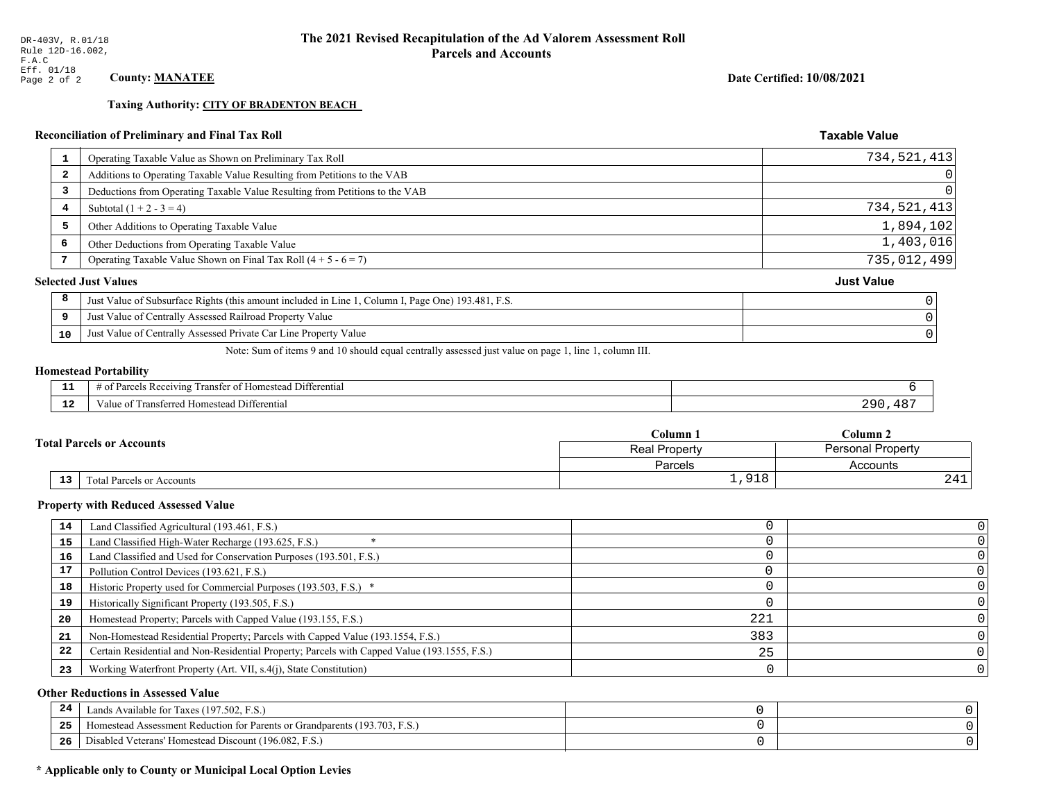**Taxing Authority: CITY OF BRADENTON BEACH** 

## Reconciliation of Preliminary and Final Tax Roll

| 1                       | Operating Taxable Value as Shown on Preliminary Tax Roll                                           | 734,521,413       |
|-------------------------|----------------------------------------------------------------------------------------------------|-------------------|
| $\overline{\mathbf{2}}$ | Additions to Operating Taxable Value Resulting from Petitions to the VAB                           | 0                 |
| 3                       | Deductions from Operating Taxable Value Resulting from Petitions to the VAB                        | $\Omega$          |
| 4                       | Subtotal $(1 + 2 - 3 = 4)$                                                                         | 734,521,413       |
| 5                       | Other Additions to Operating Taxable Value                                                         | 1,894,102         |
| 6                       | Other Deductions from Operating Taxable Value                                                      | 1,403,016         |
|                         | Operating Taxable Value Shown on Final Tax Roll $(4 + 5 - 6 = 7)$                                  | 735,012,499       |
|                         | <b>Selected Just Values</b>                                                                        | <b>Just Value</b> |
| 8                       | Just Value of Subsurface Rights (this amount included in Line 1, Column I, Page One) 193.481, F.S. |                   |
| 9                       | Just Value of Centrally Assessed Railroad Property Value                                           |                   |
| 10                      | Just Value of Centrally Assessed Private Car Line Property Value                                   |                   |

Note: Sum of items 9 and 10 should equal centrally assessed just value on page 1, line 1, column III.

#### **Homestead Portability**

| - 3 | $\cdots$<br>i Differential<br>ranster<br>Receiving<br>+ ه+<br>* Homestead<br>arce <sup>r</sup><br>-01 |       |
|-----|-------------------------------------------------------------------------------------------------------|-------|
| -44 | Fransferred Homestead Differential<br>alue                                                            | ח מר. |

|                                  |  | Column 1      | $\mathbb C$ olumn 2      |  |
|----------------------------------|--|---------------|--------------------------|--|
| <b>Total Parcels or Accounts</b> |  | Real Property | <b>Personal Property</b> |  |
|                                  |  | Parcels       | Accounts                 |  |
| 13<br>Total Parcels or Accounts  |  | 91R           | 441                      |  |

#### **Property with Reduced Assessed Value**

| 14 | Land Classified Agricultural (193.461, F.S.)                                                 |     |  |
|----|----------------------------------------------------------------------------------------------|-----|--|
| 15 | Land Classified High-Water Recharge (193.625, F.S.)                                          |     |  |
| 16 | Land Classified and Used for Conservation Purposes (193.501, F.S.)                           |     |  |
| 17 | Pollution Control Devices (193.621, F.S.)                                                    |     |  |
| 18 | Historic Property used for Commercial Purposes (193.503, F.S.) *                             |     |  |
| 19 | Historically Significant Property (193.505, F.S.)                                            |     |  |
| 20 | Homestead Property; Parcels with Capped Value (193.155, F.S.)                                | 221 |  |
| 21 | Non-Homestead Residential Property; Parcels with Capped Value (193.1554, F.S.)               | 383 |  |
| 22 | Certain Residential and Non-Residential Property; Parcels with Capped Value (193.1555, F.S.) | 25  |  |
| 23 | Working Waterfront Property (Art. VII, s.4(j), State Constitution)                           |     |  |

## **Other Reductions in Assessed Value**

| -44 | Available for Taxes (197.502, F.S.)                                          |  |
|-----|------------------------------------------------------------------------------|--|
| 25  | 'omestead Assessment Reduction for Parents or Grandparents $(193.703, F.S.)$ |  |
| 26  | isabled Veterans' Homestead Discount (196.082, F.S.)                         |  |

## \* Applicable only to County or Municipal Local Option Levies

Date Certified: 10/08/2021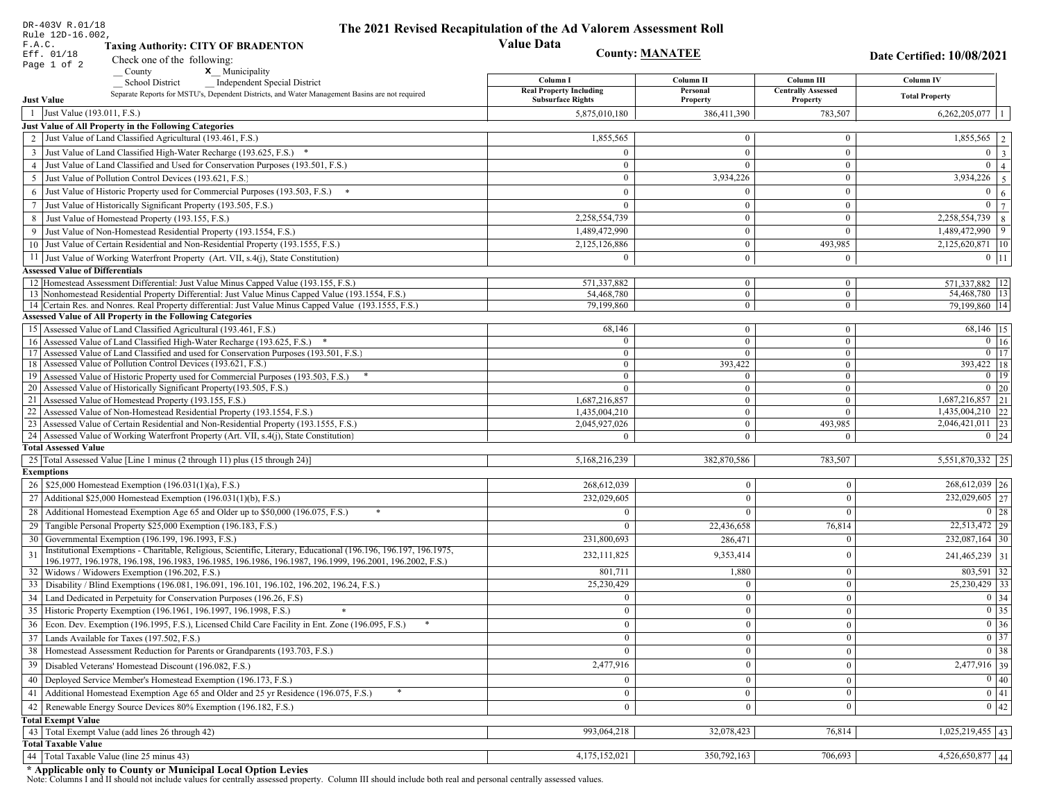| DR-403V R.01/18                        |                                                                                                                                               | The 2021 Revised Recapitulation of the Ad Valorem Assessment Roll |                                    |                                |                                                                             |
|----------------------------------------|-----------------------------------------------------------------------------------------------------------------------------------------------|-------------------------------------------------------------------|------------------------------------|--------------------------------|-----------------------------------------------------------------------------|
| Rule 12D-16.002,<br>F.A.C.             | <b>Taxing Authority: CITY OF BRADENTON</b>                                                                                                    | <b>Value Data</b>                                                 |                                    |                                |                                                                             |
| Eff. 01/18                             |                                                                                                                                               | <b>County: MANATEE</b>                                            |                                    |                                | <b>Date Certified: 10/08/2021</b>                                           |
| Page 1 of 2                            | Check one of the following:<br>County<br><b>x</b> Municipality                                                                                |                                                                   |                                    |                                |                                                                             |
|                                        | <b>School District</b><br><b>Independent Special District</b>                                                                                 | Column I                                                          | Column II                          | Column III                     | Column IV                                                                   |
|                                        | Separate Reports for MSTU's, Dependent Districts, and Water Management Basins are not required                                                | <b>Real Property Including</b>                                    | Personal                           | <b>Centrally Assessed</b>      | <b>Total Property</b>                                                       |
| <b>Just Value</b>                      |                                                                                                                                               | <b>Subsurface Rights</b>                                          | Property                           | Property                       |                                                                             |
| 1 Just Value (193.011, F.S.)           |                                                                                                                                               | 5,875,010,180                                                     | 386,411,390                        | 783,507                        | 6,262,205,077                                                               |
|                                        | Just Value of All Property in the Following Categories                                                                                        |                                                                   | $\theta$                           |                                |                                                                             |
|                                        | 2 Just Value of Land Classified Agricultural (193.461, F.S.)                                                                                  | 1,855,565                                                         |                                    | $\bf{0}$                       | 1,855,565                                                                   |
|                                        | 3 Just Value of Land Classified High-Water Recharge (193.625, F.S.)                                                                           | $\mathbf{0}$                                                      | $\overline{0}$                     | $\mathbf{0}$                   | $\mathbf{0}$<br>$\overline{\mathbf{3}}$                                     |
|                                        | 4 Just Value of Land Classified and Used for Conservation Purposes (193.501, F.S.)                                                            | $\mathbf{0}$                                                      | $\Omega$                           | $\bf{0}$                       | $\overline{0}$<br>$\Delta$                                                  |
|                                        | 5 Just Value of Pollution Control Devices (193.621, F.S.)                                                                                     | $\overline{0}$                                                    | 3,934,226                          | $\boldsymbol{0}$               | 3,934,226<br>5                                                              |
|                                        | 6 Just Value of Historic Property used for Commercial Purposes (193.503, F.S.)                                                                | $\mathbf{0}$                                                      | $\theta$                           | $\mathbf{0}$                   | $\overline{0}$<br>6                                                         |
|                                        | 7 Just Value of Historically Significant Property (193.505, F.S.)                                                                             | $\overline{0}$                                                    | $\theta$                           | $\bf{0}$                       | $\overline{0}$                                                              |
|                                        | 8 Just Value of Homestead Property (193.155, F.S.)                                                                                            | 2,258,554,739                                                     | $\mathbf{0}$                       | $\boldsymbol{0}$               | 2,258,554,739<br>8                                                          |
|                                        | 9 Just Value of Non-Homestead Residential Property (193.1554, F.S.)                                                                           | 1,489,472,990                                                     | $\mathbf{0}$                       | $\overline{0}$                 | 1,489,472,990<br>9                                                          |
|                                        | 10 Just Value of Certain Residential and Non-Residential Property (193.1555, F.S.)                                                            | 2,125,126,886                                                     | $\bf{0}$                           | 493,985                        | 2,125,620,871   10                                                          |
|                                        | 11 Just Value of Working Waterfront Property (Art. VII, s.4(j), State Constitution)                                                           | $\theta$                                                          | $\mathbf{0}$                       | $\bf{0}$                       | $0$   11                                                                    |
| <b>Assessed Value of Differentials</b> |                                                                                                                                               |                                                                   |                                    |                                |                                                                             |
|                                        | 12 Homestead Assessment Differential: Just Value Minus Capped Value (193.155, F.S.)                                                           | 571,337,882                                                       | $\mathbf{0}$                       | $\mathbf{0}$                   | 571,337,882   12                                                            |
|                                        | 13 Nonhomestead Residential Property Differential: Just Value Minus Capped Value (193.1554, F.S.)                                             | 54,468,780                                                        | $\overline{0}$                     | $\mathbf{0}$                   | 54,468,780   13                                                             |
|                                        | 14 Certain Res. and Nonres. Real Property differential: Just Value Minus Capped Value (193.1555, F.S.)                                        | 79,199,860                                                        | $\overline{0}$                     | $\overline{0}$                 | 79.199.860 14                                                               |
|                                        | <b>Assessed Value of All Property in the Following Categories</b>                                                                             |                                                                   |                                    |                                |                                                                             |
|                                        | 15 Assessed Value of Land Classified Agricultural (193.461, F.S.)<br>16 Assessed Value of Land Classified High-Water Recharge (193.625, F.S.) | 68,146<br>$\theta$                                                | $\boldsymbol{0}$<br>$\overline{0}$ | $\mathbf{0}$<br>$\overline{0}$ | 68,146   15<br>$\boxed{0}$ 16                                               |
|                                        | 17 Assessed Value of Land Classified and used for Conservation Purposes (193.501, F.S.)                                                       | $\bf{0}$                                                          | $\mathbf{0}$                       | $\mathbf{0}$                   | $0$ 17                                                                      |
|                                        | 18 Assessed Value of Pollution Control Devices (193.621, F.S.)                                                                                | $\overline{0}$                                                    | 393,422                            | $\mathbf{0}$                   | 393,422 18                                                                  |
|                                        | 19 Assessed Value of Historic Property used for Commercial Purposes (193.503, F.S.)                                                           | $\mathbf{0}$                                                      |                                    | $\bf{0}$                       | $0$   19                                                                    |
|                                        | 20 Assessed Value of Historically Significant Property (193.505, F.S.)                                                                        | $\overline{0}$                                                    | $\mathbf{0}$                       | $\mathbf{0}$                   | $0 \mid 20$                                                                 |
|                                        | 21 Assessed Value of Homestead Property (193.155, F.S.)                                                                                       | 1,687,216,857                                                     | $\mathbf{0}$                       | $\boldsymbol{0}$               | 1,687,216,857 21                                                            |
|                                        | 22 Assessed Value of Non-Homestead Residential Property (193.1554, F.S.)                                                                      | 1,435,004,210                                                     | $\boldsymbol{0}$                   | $\overline{0}$                 | $1,435,004,210$ 22                                                          |
|                                        | 23 Assessed Value of Certain Residential and Non-Residential Property (193.1555, F.S.)                                                        | 2,045,927,026                                                     | $\boldsymbol{0}$                   | 493,985                        | 2,046,421,011 23                                                            |
|                                        | 24 Assessed Value of Working Waterfront Property (Art. VII, s.4(j), State Constitution)                                                       | $\theta$                                                          | $\overline{0}$                     | $\overline{0}$                 | $0 \mid 24$                                                                 |
| <b>Total Assessed Value</b>            |                                                                                                                                               |                                                                   |                                    |                                |                                                                             |
|                                        | 25 Total Assessed Value [Line 1 minus (2 through 11) plus (15 through 24)]                                                                    | 5,168,216,239                                                     | 382,870,586                        | 783,507                        | 5,551,870,332 25                                                            |
| <b>Exemptions</b>                      |                                                                                                                                               |                                                                   |                                    |                                |                                                                             |
|                                        | 26   \$25,000 Homestead Exemption (196.031(1)(a), F.S.)                                                                                       | 268,612,039                                                       | $\mathbf{0}$                       | $\theta$                       | 268,612,039 26                                                              |
|                                        | 27 Additional \$25,000 Homestead Exemption (196.031(1)(b), F.S.)                                                                              | 232,029,605                                                       | $\Omega$                           | $\theta$                       | 232,029,605 27                                                              |
| 28                                     | Additional Homestead Exemption Age 65 and Older up to \$50,000 (196.075, F.S.)                                                                | $\Omega$                                                          |                                    | $\Omega$                       | 0 28                                                                        |
|                                        | 29 Tangible Personal Property \$25,000 Exemption (196.183, F.S.)                                                                              | $\Omega$                                                          | 22,436,658                         | 76,814                         | 22,513,472 29                                                               |
|                                        | 30 Governmental Exemption (196.199, 196.1993, F.S.)                                                                                           | 231.800.693                                                       | 286,471                            | $\Omega$                       | 232,087,164 30                                                              |
| 31                                     | Institutional Exemptions - Charitable, Religious, Scientific, Literary, Educational (196.196, 196.197, 196.1975,                              | 232, 111, 825                                                     | 9,353,414                          | $\theta$                       | 241,465,239 31                                                              |
|                                        | 196.1977, 196.1978, 196.198, 196.1983, 196.1985, 196.1986, 196.1987, 196.1999, 196.2001, 196.2002, F.S.)                                      |                                                                   |                                    |                                |                                                                             |
| 32                                     | Widows / Widowers Exemption (196.202, F.S.)                                                                                                   | 801,711                                                           | 1,880                              | $\theta$                       | $803,591$ 32                                                                |
|                                        | 33 Disability / Blind Exemptions (196.081, 196.091, 196.101, 196.102, 196.202, 196.24, F.S.)                                                  | 25,230,429                                                        |                                    | $\theta$                       | $25,230,429$ 33                                                             |
|                                        | Land Dedicated in Perpetuity for Conservation Purposes (196.26, F.S)                                                                          | $\overline{0}$                                                    | $\mathbf{0}$                       | $\Omega$                       | $0 \mid 34$                                                                 |
|                                        | 35 Historic Property Exemption (196.1961, 196.1997, 196.1998, F.S.)                                                                           | $\mathbf{0}$                                                      | $\mathbf{0}$                       | $\mathbf{0}$                   | $\begin{array}{ c c } \hline 0 & 35 \\ \hline 0 & 36 \\ \hline \end{array}$ |
|                                        | 36 Econ. Dev. Exemption (196.1995, F.S.), Licensed Child Care Facility in Ent. Zone (196.095, F.S.)                                           | $\mathbf{0}$                                                      | $\mathbf{0}$                       | $\Omega$                       |                                                                             |
|                                        | 37 Lands Available for Taxes (197.502, F.S.)                                                                                                  | $\mathbf{0}$                                                      | $\mathbf{0}$                       | $\mathbf{0}$                   | $\boxed{0}$ 37                                                              |
|                                        | 38   Homestead Assessment Reduction for Parents or Grandparents (193.703, F.S.)                                                               | $\mathbf{0}$                                                      | $\theta$                           | $\theta$                       | $\overline{0}$ 38                                                           |
| 39                                     | Disabled Veterans' Homestead Discount (196.082, F.S.)                                                                                         | 2,477,916                                                         | $\mathbf{0}$                       | $\theta$                       | 2,477,916 39                                                                |
| 40                                     | Deployed Service Member's Homestead Exemption (196.173, F.S.)                                                                                 | $\overline{0}$                                                    | $\overline{0}$                     | $\overline{0}$                 | $\overline{0}$ 40                                                           |
| 41                                     | Additional Homestead Exemption Age 65 and Older and 25 yr Residence (196.075, F.S.)                                                           | $\mathbf{0}$                                                      | $\bf{0}$                           | $\mathbf{0}$                   | $\overline{0}$ 41                                                           |
|                                        | 42 Renewable Energy Source Devices 80% Exemption (196.182, F.S.)                                                                              | $\overline{0}$                                                    | $\theta$                           | $\theta$                       | $\overline{0}$ 42                                                           |
| <b>Total Exempt Value</b>              |                                                                                                                                               |                                                                   |                                    |                                |                                                                             |
|                                        | 43 Total Exempt Value (add lines 26 through 42)                                                                                               | 993,064,218                                                       | 32,078,423                         | 76,814                         | $1,025,219,455$   43                                                        |
| <b>Total Taxable Value</b>             |                                                                                                                                               |                                                                   |                                    |                                |                                                                             |
|                                        | 44 Total Taxable Value (line 25 minus 43)                                                                                                     | 4,175,152,021                                                     | 350,792,163                        | 706,693                        | $4,526,650,877$ 44                                                          |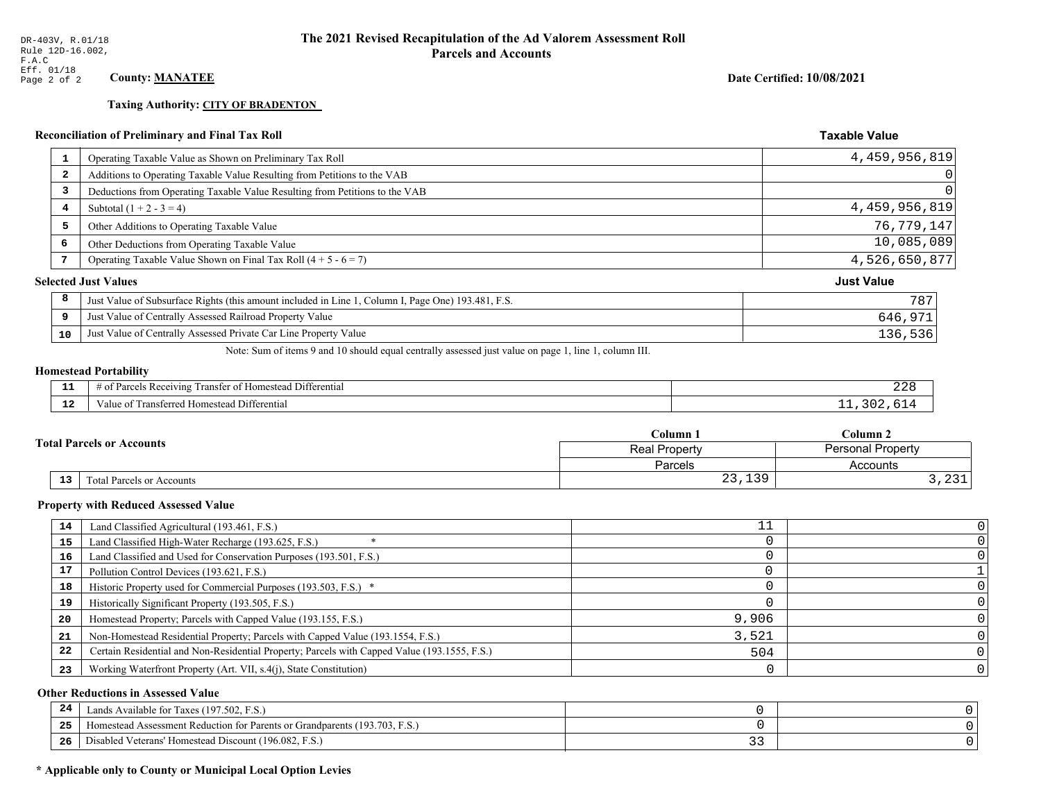**Taxing Authority: CITY OF BRADENTON** 

## Date Certified: 10/08/2021

**Taxable Value** 

## Reconciliation of Preliminary and Final Tax Roll

| 1              | Operating Taxable Value as Shown on Preliminary Tax Roll                                           | 4,459,956,819     |
|----------------|----------------------------------------------------------------------------------------------------|-------------------|
| $\overline{a}$ | Additions to Operating Taxable Value Resulting from Petitions to the VAB                           |                   |
| 3              | Deductions from Operating Taxable Value Resulting from Petitions to the VAB                        |                   |
| 4              | Subtotal $(1 + 2 - 3 = 4)$                                                                         | 4,459,956,819     |
| 5              | Other Additions to Operating Taxable Value                                                         | 76, 779, 147      |
| 6              | Other Deductions from Operating Taxable Value                                                      | 10,085,089        |
| 7              | Operating Taxable Value Shown on Final Tax Roll $(4 + 5 - 6 = 7)$                                  | 4,526,650,877     |
|                | <b>Selected Just Values</b>                                                                        | <b>Just Value</b> |
| 8              | Just Value of Subsurface Rights (this amount included in Line 1, Column I, Page One) 193.481, F.S. | 787               |
| 9              | Just Value of Centrally Assessed Railroad Property Value                                           | 646,971           |
| 10             | Just Value of Centrally Assessed Private Car Line Property Value                                   | 136,536           |
|                |                                                                                                    |                   |

Note: Sum of items 9 and 10 should equal centrally assessed just value on page 1, line 1, column III.

## **Homestead Portability**

| - -         | <b>THE PART</b><br>$\sim$ $\sim$<br>Differ<br>ranster of<br>Receiving<br>rential<br>.omester<br>' 01<br>arce.<br>$\overline{\mathbf{v}}$ | .<br>440 |
|-------------|------------------------------------------------------------------------------------------------------------------------------------------|----------|
| $\sim$<br>. | l ransferred Homestead Differential<br>alue                                                                                              |          |

| $C$ olumn $\,$ .<br><b>Total Parcels or Accounts</b><br><b>Real Property</b> |                           |                          | $C$ olumn 2                   |  |
|------------------------------------------------------------------------------|---------------------------|--------------------------|-------------------------------|--|
|                                                                              |                           | <b>Personal Property</b> |                               |  |
|                                                                              |                           | Parcels                  | Accounts                      |  |
| 13                                                                           | Total Parcels or Accounts | 1.20<br>$\cap$<br>25,159 | $\sim$ $\sim$ $\sim$<br>, 201 |  |

#### **Property with Reduced Assessed Value**

| 14 | Land Classified Agricultural (193.461, F.S.)                                                 | TΤ    |                |
|----|----------------------------------------------------------------------------------------------|-------|----------------|
| 15 | Land Classified High-Water Recharge (193.625, F.S.)                                          |       |                |
| 16 | Land Classified and Used for Conservation Purposes (193.501, F.S.)                           |       |                |
| 17 | Pollution Control Devices (193.621, F.S.)                                                    |       |                |
| 18 | Historic Property used for Commercial Purposes (193.503, F.S.) *                             |       |                |
| 19 | Historically Significant Property (193.505, F.S.)                                            |       |                |
| 20 | Homestead Property; Parcels with Capped Value (193.155, F.S.)                                | 9,906 |                |
| 21 | Non-Homestead Residential Property; Parcels with Capped Value (193.1554, F.S.)               | 3,521 |                |
| 22 | Certain Residential and Non-Residential Property; Parcels with Capped Value (193.1555, F.S.) | 504   |                |
| 23 | Working Waterfront Property (Art. VII, s.4(j), State Constitution)                           |       | 0 <sup>1</sup> |

## **Other Reductions in Assessed Value**

| 24 | Lands Available for Taxes (197.502, F.S.)                                          |              |  |
|----|------------------------------------------------------------------------------------|--------------|--|
| 25 | (193.703)<br>t Reduction for Parents or Grandparents (<br>Assessment<br>Homestead. |              |  |
| 26 | - -<br>F.S.<br><sup>1</sup> Veterans' Homestead Discount (196.082, 1)<br>) isabled | <b>__</b> __ |  |

## \* Applicable only to County or Municipal Local Option Levies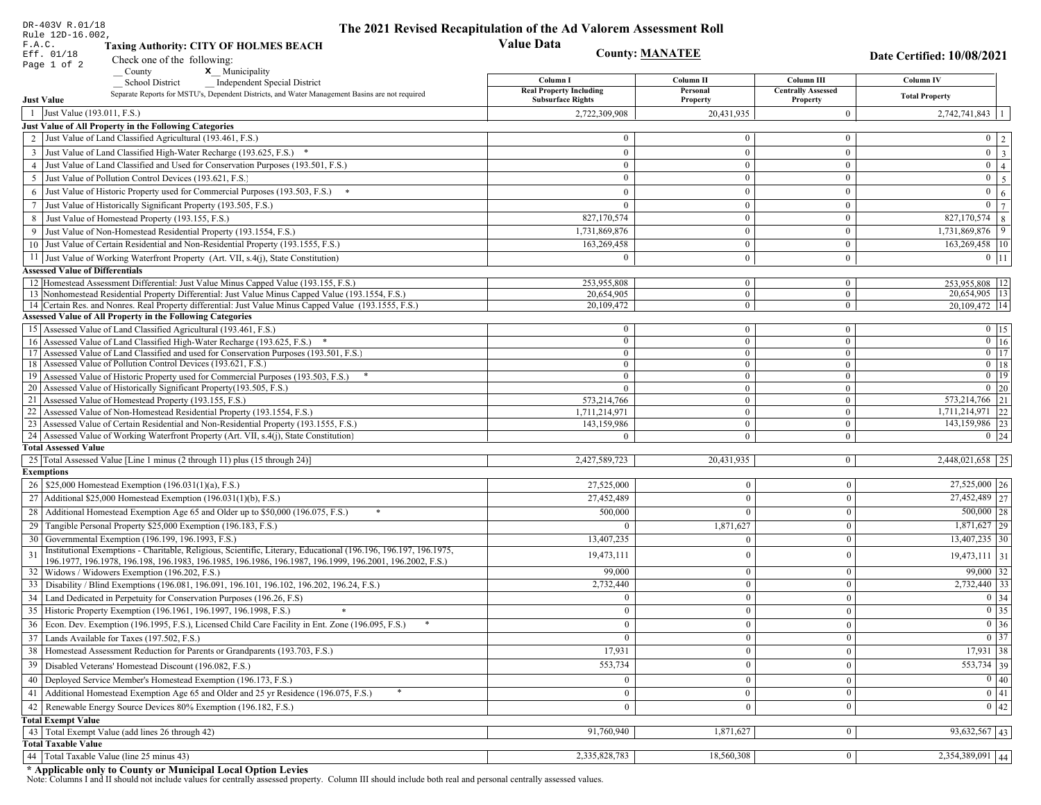| DR-403V R.01/18                        |                                                                                                                                                                                          | The 2021 Revised Recapitulation of the Ad Valorem Assessment Roll |                                  |                                |                                                                            |
|----------------------------------------|------------------------------------------------------------------------------------------------------------------------------------------------------------------------------------------|-------------------------------------------------------------------|----------------------------------|--------------------------------|----------------------------------------------------------------------------|
| Rule 12D-16.002,<br>F.A.C.             | <b>Taxing Authority: CITY OF HOLMES BEACH</b>                                                                                                                                            | <b>Value Data</b>                                                 |                                  |                                |                                                                            |
| Eff. 01/18                             |                                                                                                                                                                                          | <b>County: MANATEE</b>                                            |                                  |                                | Date Certified: 10/08/2021                                                 |
| Page 1 of 2                            | Check one of the following:<br>x Municipality<br>$\sqrt{\frac{1}{2}}$ County                                                                                                             |                                                                   |                                  |                                |                                                                            |
|                                        | <b>School District</b><br><b>Independent Special District</b>                                                                                                                            | Column I                                                          | Column II                        | Column III                     | Column IV                                                                  |
|                                        | Separate Reports for MSTU's, Dependent Districts, and Water Management Basins are not required                                                                                           | <b>Real Property Including</b><br><b>Subsurface Rights</b>        | Personal                         | <b>Centrally Assessed</b>      | <b>Total Property</b>                                                      |
| <b>Just Value</b>                      |                                                                                                                                                                                          |                                                                   | Property                         | Property                       |                                                                            |
| 1 Just Value (193.011, F.S.)           |                                                                                                                                                                                          | 2,722,309,908                                                     | 20,431,935                       | $\overline{0}$                 | $2,742,741,843$   1                                                        |
|                                        | Just Value of All Property in the Following Categories<br>2 Just Value of Land Classified Agricultural (193.461, F.S.)                                                                   | $\overline{0}$                                                    | $\Omega$                         | $\mathbf{0}$                   |                                                                            |
|                                        |                                                                                                                                                                                          |                                                                   |                                  |                                | $0 \mid 2$<br>$0 \overline{3}$                                             |
|                                        | 3 Just Value of Land Classified High-Water Recharge (193.625, F.S.) *<br>4 Just Value of Land Classified and Used for Conservation Purposes (193.501, F.S.)                              | $\mathbf{0}$<br>$\overline{0}$                                    | $\overline{0}$<br>$\overline{0}$ | $\overline{0}$<br>$\mathbf{0}$ | $0 \mid 4$                                                                 |
|                                        |                                                                                                                                                                                          | $\overline{0}$                                                    | $\Omega$                         | $\mathbf{0}$                   |                                                                            |
| 5                                      | Just Value of Pollution Control Devices (193.621, F.S.)                                                                                                                                  |                                                                   |                                  |                                | $0 \mid 5$                                                                 |
|                                        | 6 Just Value of Historic Property used for Commercial Purposes (193.503, F.S.) *                                                                                                         | $\mathbf{0}$                                                      | $\mathbf{0}$                     | $\overline{0}$                 | $0 \mid 6$                                                                 |
|                                        | 7 Just Value of Historically Significant Property (193.505, F.S.)                                                                                                                        | $\mathbf{0}$                                                      | $\mathbf{0}$                     | $\overline{0}$<br>$\mathbf{0}$ | $0 \overline{7}$                                                           |
|                                        | 8 Just Value of Homestead Property (193.155, F.S.)                                                                                                                                       | 827,170,574                                                       | $\mathbf{0}$                     | $\overline{0}$                 | 827,170,574 8<br>$1,73\overline{1,869,876}$ 9                              |
|                                        | 9 Just Value of Non-Homestead Residential Property (193.1554, F.S.)<br>10 Just Value of Certain Residential and Non-Residential Property (193.1555, F.S.)                                | 1,731,869,876                                                     | $\boldsymbol{0}$                 |                                |                                                                            |
|                                        |                                                                                                                                                                                          | 163,269,458                                                       |                                  | $\overline{0}$                 | 163,269,458 10                                                             |
|                                        | 11 Just Value of Working Waterfront Property (Art. VII, s.4(j), State Constitution)                                                                                                      | $\Omega$                                                          | $\mathbf{0}$                     | $\overline{0}$                 | $0$ 11                                                                     |
| <b>Assessed Value of Differentials</b> |                                                                                                                                                                                          | 253,955,808                                                       |                                  |                                |                                                                            |
|                                        | 12 Homestead Assessment Differential: Just Value Minus Capped Value (193.155, F.S.)<br>13 Nonhomestead Residential Property Differential: Just Value Minus Capped Value (193.1554, F.S.) | 20,654,905                                                        | $\mathbf{0}$<br>$\overline{0}$   | $\bf{0}$<br>$\mathbf{0}$       | 253,955,808   12<br>20,654,905   13                                        |
|                                        | 14 Certain Res. and Nonres. Real Property differential: Just Value Minus Capped Value (193.1555, F.S.)                                                                                   | 20,109,472                                                        | $\mathbf{0}$                     | $\mathbf{0}$                   | 20.109.472 14                                                              |
|                                        | <b>Assessed Value of All Property in the Following Categories</b>                                                                                                                        |                                                                   |                                  |                                |                                                                            |
|                                        | 15 Assessed Value of Land Classified Agricultural (193.461, F.S.)                                                                                                                        | $\bf{0}$                                                          | $\boldsymbol{0}$                 | $\mathbf{0}$                   | $0$ 15                                                                     |
|                                        | 16 Assessed Value of Land Classified High-Water Recharge (193.625, F.S.) *                                                                                                               | $\mathbf{0}$                                                      | $\mathbf{0}$                     | $\mathbf{0}$                   | $\overline{0}$ 16                                                          |
|                                        | 17 Assessed Value of Land Classified and used for Conservation Purposes (193.501, F.S.)                                                                                                  | $\overline{0}$                                                    | $\boldsymbol{0}$                 | $\mathbf{0}$                   | $\overline{0}$ 17                                                          |
|                                        | 18 Assessed Value of Pollution Control Devices (193.621, F.S.)                                                                                                                           | $\overline{0}$                                                    | $\mathbf{0}$                     | $\mathbf{0}$                   | $0$ 18                                                                     |
|                                        | 19 Assessed Value of Historic Property used for Commercial Purposes (193.503, F.S.)                                                                                                      | $\mathbf{0}$                                                      | $\mathbf{0}$                     | $\overline{0}$                 | $0$ 19                                                                     |
|                                        | 20 Assessed Value of Historically Significant Property (193.505, F.S.)<br>21 Assessed Value of Homestead Property (193.155, F.S.)                                                        | $\mathbf{0}$<br>573,214,766                                       | $\mathbf{0}$<br>$\Omega$         | $\overline{0}$<br>$\mathbf{0}$ | $0 \mid 20$<br>573,214,766 21                                              |
|                                        | 22 Assessed Value of Non-Homestead Residential Property (193.1554, F.S.)                                                                                                                 | 1,711,214,971                                                     | $\boldsymbol{0}$                 | $\overline{0}$                 | $1,711,214,971$ 22                                                         |
|                                        | 23 Assessed Value of Certain Residential and Non-Residential Property (193.1555, F.S.)                                                                                                   | 143,159,986                                                       | $\boldsymbol{0}$                 | $\mathbf{0}$                   | 143,159,986 23                                                             |
|                                        | 24 Assessed Value of Working Waterfront Property (Art. VII, s.4(j), State Constitution)                                                                                                  | $\theta$                                                          | $\overline{0}$                   | $\mathbf{0}$                   | $0 \mid 24$                                                                |
| <b>Total Assessed Value</b>            |                                                                                                                                                                                          |                                                                   |                                  |                                |                                                                            |
|                                        | 25 Total Assessed Value [Line 1 minus (2 through 11) plus (15 through 24)]                                                                                                               | 2,427,589,723                                                     | 20,431,935                       | $\mathbf{0}$                   | 2,448,021,658 25                                                           |
| <b>Exemptions</b>                      |                                                                                                                                                                                          |                                                                   |                                  |                                |                                                                            |
|                                        | 26   \$25,000 Homestead Exemption (196.031(1)(a), F.S.)                                                                                                                                  | 27,525,000                                                        | $\mathbf{0}$                     | $\mathbf{0}$                   | $27,525,000$ 26                                                            |
|                                        | 27   Additional \$25,000 Homestead Exemption (196.031(1)(b), F.S.)                                                                                                                       | 27,452,489                                                        | $\Omega$                         | $\mathbf{0}$                   | 27,452,489 27                                                              |
|                                        | 28 Additional Homestead Exemption Age 65 and Older up to \$50,000 (196.075, F.S.)                                                                                                        | 500,000                                                           | $\Omega$                         | $\mathbf{0}$                   | $500,000$ 28                                                               |
|                                        | 29 Tangible Personal Property \$25,000 Exemption (196.183, F.S.)                                                                                                                         | $\Omega$                                                          | 1,871,627                        | $\mathbf{0}$                   | $1,871,627$ 29                                                             |
|                                        | 30 Governmental Exemption (196.199, 196.1993, F.S.)                                                                                                                                      | 13,407,235                                                        | $\Omega$                         | $\mathbf{0}$                   | $13,407,235$ 30                                                            |
| 31                                     | Institutional Exemptions - Charitable, Religious, Scientific, Literary, Educational (196.196, 196.197, 196.1975,                                                                         | 19,473,111                                                        | $\theta$                         | $\mathbf{0}$                   | $19,473,111$ 31                                                            |
|                                        | 196.1977, 196.1978, 196.198, 196.1983, 196.1985, 196.1986, 196.1987, 196.1999, 196.2001, 196.2002, F.S.)                                                                                 |                                                                   |                                  |                                |                                                                            |
|                                        | 32   Widows / Widowers Exemption (196.202, F.S.)                                                                                                                                         | 99,000                                                            | $\Omega$                         | $\mathbf{0}$                   | $99,000$ 32                                                                |
| 33                                     | Disability / Blind Exemptions (196.081, 196.091, 196.101, 196.102, 196.202, 196.24, F.S.)                                                                                                | 2,732,440                                                         | $\theta$                         | $\mathbf{0}$                   | $2,732,440$ 33                                                             |
|                                        | 34 Land Dedicated in Perpetuity for Conservation Purposes (196.26, F.S)                                                                                                                  | $\overline{0}$                                                    | $\overline{0}$                   | $\overline{0}$                 | $0 \mid 34$                                                                |
|                                        | 35 Historic Property Exemption (196.1961, 196.1997, 196.1998, F.S.)                                                                                                                      | $\mathbf{0}$                                                      | $\mathbf{0}$                     | $\mathbf{0}$                   | $\begin{array}{ c c }\hline 0 & 35 \\ \hline 0 & 36 \\ \hline \end{array}$ |
|                                        | 36 Econ. Dev. Exemption (196.1995, F.S.), Licensed Child Care Facility in Ent. Zone (196.095, F.S.)                                                                                      | $\mathbf{0}$                                                      | $\bf{0}$                         | $\overline{0}$                 |                                                                            |
|                                        | 37 Lands Available for Taxes (197.502, F.S.)                                                                                                                                             | $\overline{0}$                                                    | $\mathbf{0}$                     | $\mathbf{0}$                   | $\overline{0}$ 37                                                          |
|                                        | 38   Homestead Assessment Reduction for Parents or Grandparents (193.703, F.S.)                                                                                                          | 17,931                                                            | $\theta$                         | $\mathbf{0}$                   | 17,931 38                                                                  |
|                                        | 39   Disabled Veterans' Homestead Discount (196.082, F.S.)                                                                                                                               | 553,734                                                           | $\mathbf{0}$                     | $\mathbf{0}$                   | 553,734 39                                                                 |
|                                        | 40   Deployed Service Member's Homestead Exemption (196.173, F.S.)                                                                                                                       | $\overline{0}$                                                    | $\mathbf{0}$                     | $\mathbf{0}$                   | $\boxed{0}$ 40                                                             |
| 41                                     | Additional Homestead Exemption Age 65 and Older and 25 yr Residence (196.075, F.S.)                                                                                                      | $\mathbf{0}$                                                      | $\bf{0}$                         | $\boldsymbol{0}$               | 0 41                                                                       |
|                                        | 42 Renewable Energy Source Devices 80% Exemption (196.182, F.S.)                                                                                                                         | $\boldsymbol{0}$                                                  | $\theta$                         | $\mathbf{0}$                   | 0 42                                                                       |
| <b>Total Exempt Value</b>              |                                                                                                                                                                                          |                                                                   |                                  |                                |                                                                            |
|                                        | 43 Total Exempt Value (add lines 26 through 42)                                                                                                                                          | 91,760,940                                                        | 1,871,627                        | $\mathbf{0}$                   | $93,632,567$ 43                                                            |
| <b>Total Taxable Value</b>             |                                                                                                                                                                                          |                                                                   |                                  |                                |                                                                            |
|                                        | 44   Total Taxable Value (line 25 minus 43)                                                                                                                                              | 2,335,828,783                                                     | 18,560,308                       | $\mathbf{0}$                   | $\overline{2,354,389,091}$ 44                                              |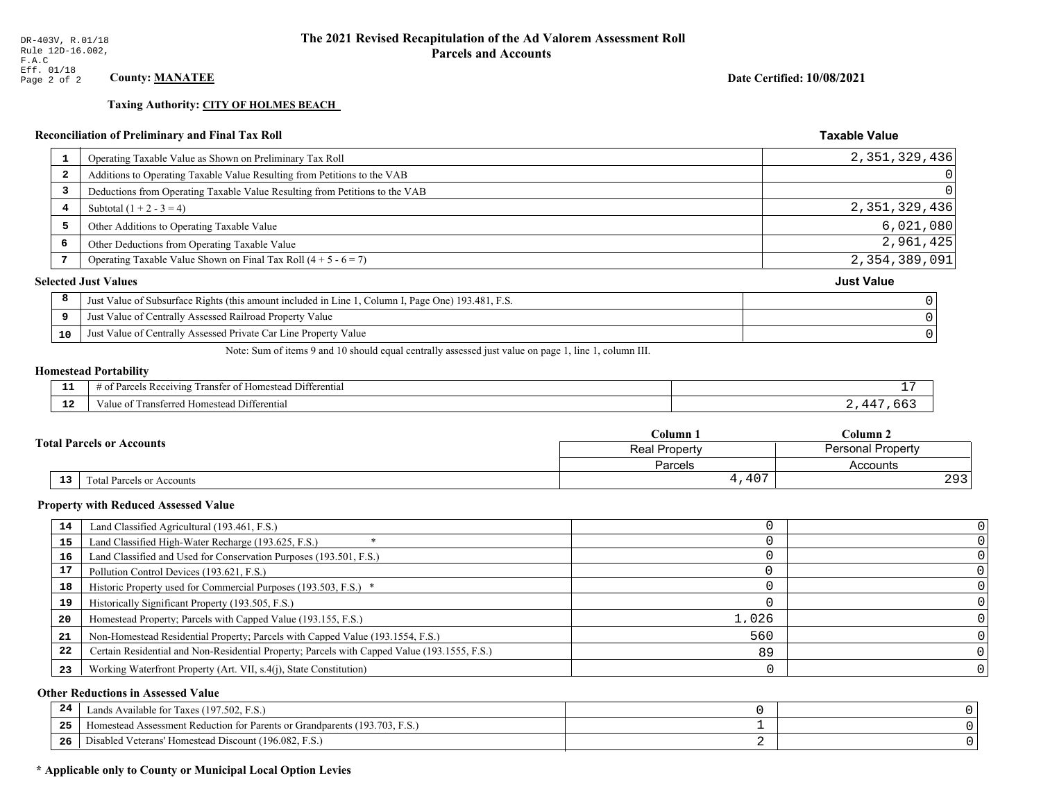**Taxing Authority: CITY OF HOLMES BEACH** 

## Reconciliation of Preliminary and Final Tax Roll

|                         | Operating Taxable Value as Shown on Preliminary Tax Roll                                           | 2, 351, 329, 436  |
|-------------------------|----------------------------------------------------------------------------------------------------|-------------------|
| $\overline{\mathbf{2}}$ | Additions to Operating Taxable Value Resulting from Petitions to the VAB                           | 0                 |
| 3                       | Deductions from Operating Taxable Value Resulting from Petitions to the VAB                        | $\overline{0}$    |
| 4                       | Subtotal $(1 + 2 - 3 = 4)$                                                                         | 2,351,329,436     |
| 5                       | Other Additions to Operating Taxable Value                                                         | 6,021,080         |
| 6                       | Other Deductions from Operating Taxable Value                                                      | 2,961,425         |
|                         | Operating Taxable Value Shown on Final Tax Roll $(4 + 5 - 6 = 7)$                                  | 2,354,389,091     |
|                         | <b>Selected Just Values</b>                                                                        | <b>Just Value</b> |
| 8                       | Just Value of Subsurface Rights (this amount included in Line 1, Column I, Page One) 193.481, F.S. |                   |
| 9                       | Just Value of Centrally Assessed Railroad Property Value                                           |                   |
| 10                      | Just Value of Centrally Assessed Private Car Line Property Value                                   |                   |
|                         |                                                                                                    |                   |

Note: Sum of items 9 and 10 should equal centrally assessed just value on page 1, line 1, column III.

## **Homestead Portability**

| .           | ranste<br>Differential<br>Receiving<br>∵omestean.<br>-01<br>. arce:<br>n |  |
|-------------|--------------------------------------------------------------------------|--|
| $\sim$<br>. | Differential<br>alue<br><b>Homestea</b><br>.                             |  |

| <b>Total Parcels or Accounts</b> |    |                           | Column 1             | $C$ olumn 2              |  |
|----------------------------------|----|---------------------------|----------------------|--------------------------|--|
|                                  |    |                           | <b>Real Property</b> | <b>Personal Property</b> |  |
|                                  |    |                           | Parcels              | Accounts                 |  |
|                                  | 13 | Fotal Parcels or Accounts | ,407                 | 202<br>- 20              |  |

#### **Property with Reduced Assessed Value**

| 14 | Land Classified Agricultural (193.461, F.S.)                                                 |       |  |
|----|----------------------------------------------------------------------------------------------|-------|--|
| 15 | Land Classified High-Water Recharge (193.625, F.S.)                                          |       |  |
| 16 | Land Classified and Used for Conservation Purposes (193.501, F.S.)                           |       |  |
| 17 | Pollution Control Devices (193.621, F.S.)                                                    |       |  |
| 18 | Historic Property used for Commercial Purposes (193.503, F.S.) *                             |       |  |
| 19 | Historically Significant Property (193.505, F.S.)                                            |       |  |
| 20 | Homestead Property; Parcels with Capped Value (193.155, F.S.)                                | 1,026 |  |
| 21 | Non-Homestead Residential Property; Parcels with Capped Value (193.1554, F.S.)               | 560   |  |
| 22 | Certain Residential and Non-Residential Property; Parcels with Capped Value (193.1555, F.S.) | 89    |  |
| 23 | Working Waterfront Property (Art. VII, s.4(j), State Constitution)                           |       |  |

## **Other Reductions in Assessed Value**

| -44 | Available for Taxes (197.502, F.S.)                                          |  |
|-----|------------------------------------------------------------------------------|--|
| 25  | 'omestead Assessment Reduction for Parents or Grandparents $(193.703, F.S.)$ |  |
| 26  | isabled Veterans' Homestead Discount (196.082, F.S.)                         |  |

## \* Applicable only to County or Municipal Local Option Levies

Date Certified: 10/08/2021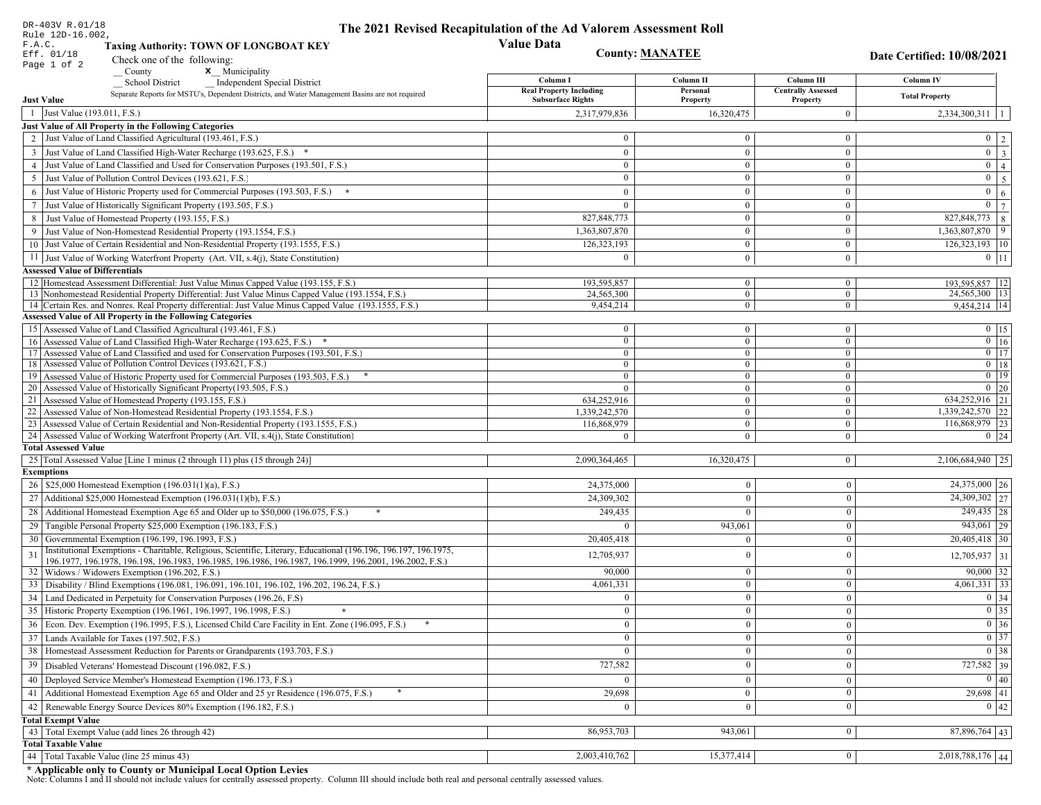| DR-403V R.01/18<br>Rule 12D-16.002,    |                                                                                                                                                               | The 2021 Revised Recapitulation of the Ad Valorem Assessment Roll |                                  |                                       |                                   |
|----------------------------------------|---------------------------------------------------------------------------------------------------------------------------------------------------------------|-------------------------------------------------------------------|----------------------------------|---------------------------------------|-----------------------------------|
| F.A.C.                                 | <b>Taxing Authority: TOWN OF LONGBOAT KEY</b>                                                                                                                 | <b>Value Data</b>                                                 |                                  |                                       |                                   |
| Eff. 01/18                             | Check one of the following:                                                                                                                                   | <b>County: MANATEE</b>                                            |                                  |                                       | <b>Date Certified: 10/08/2021</b> |
| Page 1 of 2                            | County<br>x Municipality                                                                                                                                      |                                                                   |                                  |                                       |                                   |
|                                        | <b>Independent Special District</b><br><b>School District</b>                                                                                                 | Column I                                                          | Column II                        | Column III                            | Column IV                         |
| <b>Just Value</b>                      | Separate Reports for MSTU's, Dependent Districts, and Water Management Basins are not required                                                                | <b>Real Property Including</b><br><b>Subsurface Rights</b>        | Personal<br>Property             | <b>Centrally Assessed</b><br>Property | <b>Total Property</b>             |
| 1 Just Value (193.011, F.S.)           |                                                                                                                                                               | 2,317,979,836                                                     | 16,320,475                       | $\mathbf{0}$                          | $2,334,300,311$   1               |
|                                        | Just Value of All Property in the Following Categories                                                                                                        |                                                                   |                                  |                                       |                                   |
|                                        | 2 Just Value of Land Classified Agricultural (193.461, F.S.)                                                                                                  | $\bf{0}$                                                          | $\theta$                         | $\overline{0}$                        | $0 \mid 2 \mid$                   |
|                                        | 3 Just Value of Land Classified High-Water Recharge (193.625, F.S.) *                                                                                         | $\theta$                                                          | $\mathbf{0}$                     | $\mathbf{0}$                          | $\boxed{0}$ $\boxed{3}$           |
|                                        | 4 Just Value of Land Classified and Used for Conservation Purposes (193.501, F.S.)                                                                            | $\theta$                                                          | $\mathbf{0}$                     | $\overline{0}$                        | $0 \mid 4 \mid$                   |
|                                        | 5 Just Value of Pollution Control Devices (193.621, F.S.)                                                                                                     | $\mathbf{0}$                                                      | $\theta$                         | $\mathbf{0}$                          | $0 \mid 5$                        |
|                                        | 6 Just Value of Historic Property used for Commercial Purposes (193.503, F.S.)                                                                                | $\theta$                                                          | $\Omega$                         | $\mathbf{0}$                          | $\mathbf{0}$<br>6 <sup>1</sup>    |
|                                        | 7 Just Value of Historically Significant Property (193.505, F.S.)                                                                                             | $\theta$                                                          | $\Omega$                         | $\mathbf{0}$                          | $\overline{0}$   $\overline{7}$   |
|                                        | 8 Just Value of Homestead Property (193.155, F.S.)                                                                                                            | 827, 848, 773                                                     | $\mathbf{0}$                     | $\mathbf{0}$                          | 827,848,773 8                     |
|                                        | 9 Just Value of Non-Homestead Residential Property (193.1554, F.S.)                                                                                           | 1,363,807,870                                                     | $\theta$                         | $\mathbf{0}$                          | 1,363,807,870 9                   |
|                                        | 10 Just Value of Certain Residential and Non-Residential Property (193.1555, F.S.)                                                                            | 126,323,193                                                       | $\mathbf{0}$                     | $\bf{0}$                              | $126,323,193$ 10                  |
|                                        | 11 Just Value of Working Waterfront Property (Art. VII, s.4(j), State Constitution)                                                                           | $\overline{0}$                                                    | $\overline{0}$                   | $\overline{0}$                        | $0$   11                          |
| <b>Assessed Value of Differentials</b> |                                                                                                                                                               |                                                                   |                                  |                                       |                                   |
|                                        | 12 Homestead Assessment Differential: Just Value Minus Capped Value (193.155, F.S.)                                                                           | 193,595,857                                                       | $\overline{0}$                   | $\overline{0}$                        | 193,595,857   12                  |
|                                        | 13 Nonhomestead Residential Property Differential: Just Value Minus Capped Value (193.1554, F.S.)                                                             | 24,565,300                                                        | $\mathbf{0}$                     | $\overline{0}$                        | 24,565,300   13                   |
|                                        | 14 Certain Res. and Nonres. Real Property differential: Just Value Minus Capped Value (193.1555, F.S.)                                                        | 9,454,214                                                         | $\overline{0}$                   | $\mathbf{0}$                          | 9,454,214 14                      |
|                                        | <b>Assessed Value of All Property in the Following Categories</b>                                                                                             |                                                                   |                                  |                                       |                                   |
|                                        | 15   Assessed Value of Land Classified Agricultural (193.461, F.S.)                                                                                           | $\bf{0}$                                                          | $\overline{0}$                   | $\bf{0}$                              | $0$ 15                            |
|                                        | 16 Assessed Value of Land Classified High-Water Recharge (193.625, F.S.) *                                                                                    | $\overline{0}$                                                    | $\overline{0}$                   | $\mathbf{0}$                          | $0$ 16                            |
|                                        | 17 Assessed Value of Land Classified and used for Conservation Purposes (193.501, F.S.)                                                                       | $\bf{0}$                                                          | $\mathbf{0}$                     | $\bf{0}$                              | $\boxed{0}$ 17                    |
|                                        | 18 Assessed Value of Pollution Control Devices (193.621, F.S.)                                                                                                | $\overline{0}$                                                    | $\overline{0}$<br>$\overline{0}$ | $\overline{0}$                        | $0$ 18<br>$\boxed{0}$ 19          |
|                                        | 19 Assessed Value of Historic Property used for Commercial Purposes (193.503, F.S.)<br>20 Assessed Value of Historically Significant Property (193.505, F.S.) | $\bf{0}$<br>$\theta$                                              | $\overline{0}$                   | $\overline{0}$<br>$\mathbf{0}$        | $0 \mid 20$                       |
|                                        | 21 Assessed Value of Homestead Property (193.155, F.S.)                                                                                                       | 634,252,916                                                       | $\mathbf{0}$                     | $\overline{0}$                        | 634,252,916 21                    |
|                                        | 22 Assessed Value of Non-Homestead Residential Property (193.1554, F.S.)                                                                                      | 1,339,242,570                                                     | $\overline{0}$                   | $\overline{0}$                        | 1,339,242,570 22                  |
|                                        | 23 Assessed Value of Certain Residential and Non-Residential Property (193.1555, F.S.)                                                                        | 116,868,979                                                       | $\overline{0}$                   | $\bf{0}$                              | 116,868,979 23                    |
|                                        | 24 Assessed Value of Working Waterfront Property (Art. VII, s.4(j), State Constitution)                                                                       | $\Omega$                                                          | $\mathbf{0}$                     | $\overline{0}$                        | $0 \quad 24$                      |
| <b>Total Assessed Value</b>            |                                                                                                                                                               |                                                                   |                                  |                                       |                                   |
|                                        | 25 Total Assessed Value [Line 1 minus (2 through 11) plus (15 through 24)]                                                                                    | 2,090,364,465                                                     | 16,320,475                       | 0                                     | $2,106,684,940$ 25                |
| <b>Exemptions</b>                      |                                                                                                                                                               |                                                                   |                                  |                                       |                                   |
|                                        | 26   \$25,000 Homestead Exemption (196.031(1)(a), F.S.)                                                                                                       | 24,375,000                                                        | $\overline{0}$                   | $\boldsymbol{0}$                      | 24,375,000 26                     |
|                                        | 27   Additional \$25,000 Homestead Exemption (196.031(1)(b), F.S.)                                                                                            | 24,309,302                                                        | $\overline{0}$                   | $\boldsymbol{0}$                      | 24,309,302 27                     |
|                                        | 28 Additional Homestead Exemption Age 65 and Older up to \$50,000 (196.075, F.S.)                                                                             | 249,435                                                           | $\Omega$                         | $\mathbf{0}$                          | 249,435 28                        |
| 29                                     | Tangible Personal Property \$25,000 Exemption (196.183, F.S.)                                                                                                 | $\Omega$                                                          | 943,061                          | $\boldsymbol{0}$                      | $943,061$ 29                      |
|                                        | 30 Governmental Exemption (196.199, 196.1993, F.S.)                                                                                                           | 20,405,418                                                        | $\theta$                         | $\boldsymbol{0}$                      | $20,405,418$ 30                   |
| 31                                     | Institutional Exemptions - Charitable, Religious, Scientific, Literary, Educational (196.196, 196.197, 196.1975,                                              |                                                                   | $\Omega$                         |                                       |                                   |
|                                        | 196.1977, 196.1978, 196.198, 196.1983, 196.1985, 196.1986, 196.1987, 196.1999, 196.2001, 196.2002, F.S.)                                                      | 12,705,937                                                        |                                  | $\boldsymbol{0}$                      | $12,705,937$ 31                   |
|                                        | 32   Widows / Widowers Exemption (196.202, F.S.)                                                                                                              | 90,000                                                            | $\overline{0}$                   | $\mathbf{0}$                          | $90,000$ 32                       |
|                                        | 33   Disability / Blind Exemptions (196.081, 196.091, 196.101, 196.102, 196.202, 196.24, F.S.)                                                                | 4,061,331                                                         | $\mathbf{0}$                     | $\boldsymbol{0}$                      | $4,061,331$ 33                    |
|                                        | 34 Land Dedicated in Perpetuity for Conservation Purposes (196.26, F.S)                                                                                       | $\overline{0}$                                                    | $\overline{0}$                   | $\boldsymbol{0}$                      | 0 34                              |
|                                        | 35 Historic Property Exemption (196.1961, 196.1997, 196.1998, F.S.)                                                                                           | $\overline{0}$                                                    | $\mathbf{0}$                     | 0                                     | $\boxed{0}$ 35                    |
|                                        | 36 Econ. Dev. Exemption (196.1995, F.S.), Licensed Child Care Facility in Ent. Zone (196.095, F.S.)                                                           | $\overline{0}$                                                    | $\overline{0}$                   | $\boldsymbol{0}$                      | $\boxed{0}$ 36                    |
|                                        | 37 Lands Available for Taxes (197.502, F.S.)                                                                                                                  | $\overline{0}$                                                    | $\mathbf{0}$                     | $\bf{0}$                              | $0 \overline{\smash)37}$          |
|                                        | 38   Homestead Assessment Reduction for Parents or Grandparents (193.703, F.S.)                                                                               | $\bf{0}$                                                          | $\bf{0}$                         | $\mathbf{0}$                          | $\boxed{0}$ 38                    |
| 39                                     | Disabled Veterans' Homestead Discount (196.082, F.S.)                                                                                                         | 727,582                                                           | $\overline{0}$                   | $\mathbf{0}$                          | 727,582 39                        |
|                                        | 40   Deployed Service Member's Homestead Exemption (196.173, F.S.)                                                                                            | $\theta$                                                          | $\overline{0}$                   | $\bf{0}$                              | 0 40                              |
| 41                                     | Additional Homestead Exemption Age 65 and Older and 25 yr Residence (196.075, F.S.)                                                                           | 29,698                                                            | $\mathbf{0}$                     | $\boldsymbol{0}$                      | $29,698$ 41                       |
| 42                                     | Renewable Energy Source Devices 80% Exemption (196.182, F.S.)                                                                                                 | $\overline{0}$                                                    | $\mathbf{0}$                     | $\boldsymbol{0}$                      | 0 42                              |
| <b>Total Exempt Value</b>              |                                                                                                                                                               |                                                                   |                                  |                                       |                                   |
|                                        | 43 Total Exempt Value (add lines 26 through 42)                                                                                                               | 86,953,703                                                        | 943,061                          | $\mathbf{0}$                          | $\overline{87,896,764}$ 43        |
| <b>Total Taxable Value</b>             |                                                                                                                                                               |                                                                   |                                  |                                       |                                   |
|                                        | 44 Total Taxable Value (line 25 minus 43)                                                                                                                     | 2,003,410,762                                                     | 15,377,414                       | $\boldsymbol{0}$                      | 2,018,788,176 44                  |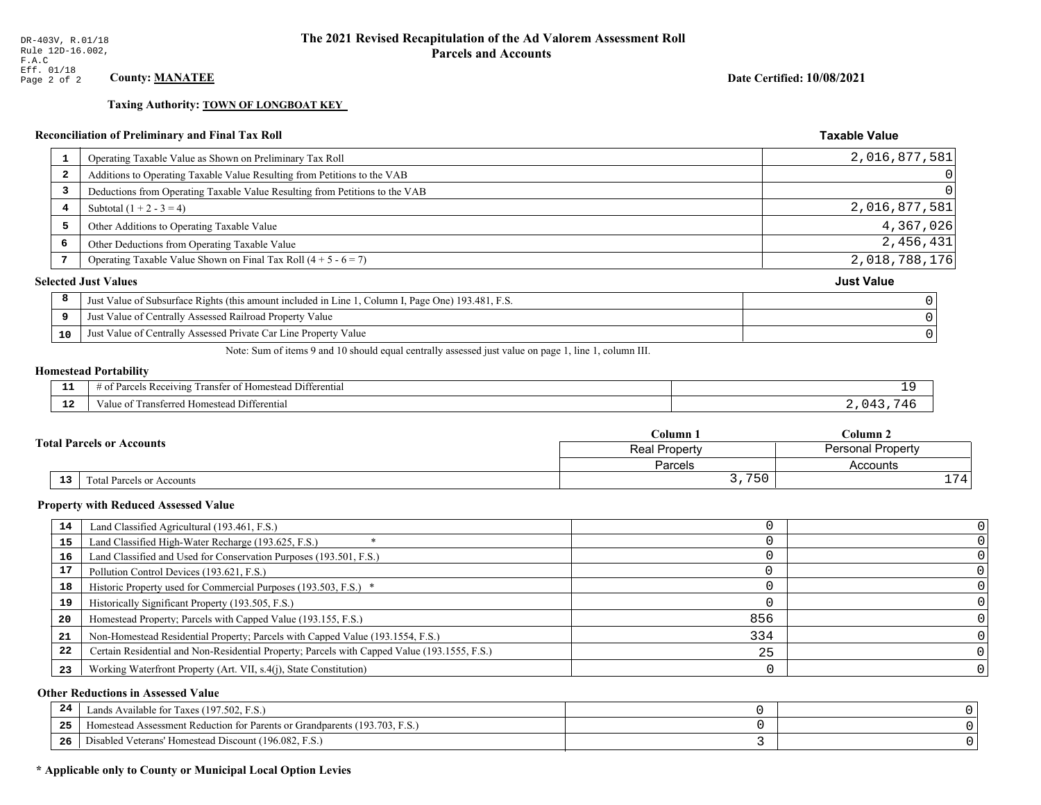**Taxing Authority: TOWN OF LONGBOAT KEY** 

## Reconciliation of Preliminary and Final Tax Roll

| 1                       | Operating Taxable Value as Shown on Preliminary Tax Roll                                           | 2,016,877,581     |
|-------------------------|----------------------------------------------------------------------------------------------------|-------------------|
| $\overline{\mathbf{2}}$ | Additions to Operating Taxable Value Resulting from Petitions to the VAB                           | 0                 |
| 3                       | Deductions from Operating Taxable Value Resulting from Petitions to the VAB                        | $\Omega$          |
| 4                       | Subtotal $(1 + 2 - 3 = 4)$                                                                         | 2,016,877,581     |
| 5                       | Other Additions to Operating Taxable Value                                                         | 4,367,026         |
| 6                       | Other Deductions from Operating Taxable Value                                                      | 2,456,431         |
|                         | Operating Taxable Value Shown on Final Tax Roll $(4 + 5 - 6 = 7)$                                  | 2,018,788,176     |
|                         | <b>Selected Just Values</b>                                                                        | <b>Just Value</b> |
| 8                       | Just Value of Subsurface Rights (this amount included in Line 1, Column I, Page One) 193.481, F.S. |                   |
| 9                       | Just Value of Centrally Assessed Railroad Property Value                                           |                   |
| 10                      | Just Value of Centrally Assessed Private Car Line Property Value                                   |                   |
|                         |                                                                                                    |                   |

Note: Sum of items 9 and 10 should equal centrally assessed just value on page 1, line 1, column III.

## **Homestead Portability**

ł,

| - -         | ranster<br>Differential<br><i>Pacawing</i><br>. Homester<br>. arce:<br>-01<br>n<br>,,,,,, |  |
|-------------|-------------------------------------------------------------------------------------------|--|
| $\sim$<br>. | <br>l Differential<br>alue<br><b>Homestead</b><br>nsielicu.<br>тан                        |  |

| <b>Fotal Parcels or Accounts</b> |                                              | Column 1      | Column 2                 |  |
|----------------------------------|----------------------------------------------|---------------|--------------------------|--|
|                                  |                                              | Real Property | <b>Personal Property</b> |  |
|                                  |                                              | Parcels       | Accounts                 |  |
|                                  | 13 <sub>1</sub><br>Total Parcels or Accounts | 750<br>، ، د  | 74.                      |  |

#### **Property with Reduced Assessed Value**

| 14 | Land Classified Agricultural (193.461, F.S.)                                                 |     |  |
|----|----------------------------------------------------------------------------------------------|-----|--|
| 15 | Land Classified High-Water Recharge (193.625, F.S.)                                          |     |  |
| 16 | Land Classified and Used for Conservation Purposes (193.501, F.S.)                           |     |  |
| 17 | Pollution Control Devices (193.621, F.S.)                                                    |     |  |
| 18 | Historic Property used for Commercial Purposes (193.503, F.S.) *                             |     |  |
| 19 | Historically Significant Property (193.505, F.S.)                                            |     |  |
| 20 | Homestead Property; Parcels with Capped Value (193.155, F.S.)                                | 856 |  |
| 21 | Non-Homestead Residential Property; Parcels with Capped Value (193.1554, F.S.)               | 334 |  |
| 22 | Certain Residential and Non-Residential Property; Parcels with Capped Value (193.1555, F.S.) | 25  |  |
| 23 | Working Waterfront Property (Art. VII, s.4(j), State Constitution)                           |     |  |

## **Other Reductions in Assessed Value**

| -44 | Available for Taxes (197.502, F.S.)                                            |  |
|-----|--------------------------------------------------------------------------------|--|
| 25  | (193.703, F.S.<br>Aomestead Assessment Reduction for Parents or Grandparents ( |  |
| 26  | Disabled Veterans' Homestead Discount (196.082, F.S.)                          |  |

## \* Applicable only to County or Municipal Local Option Levies

Date Certified: 10/08/2021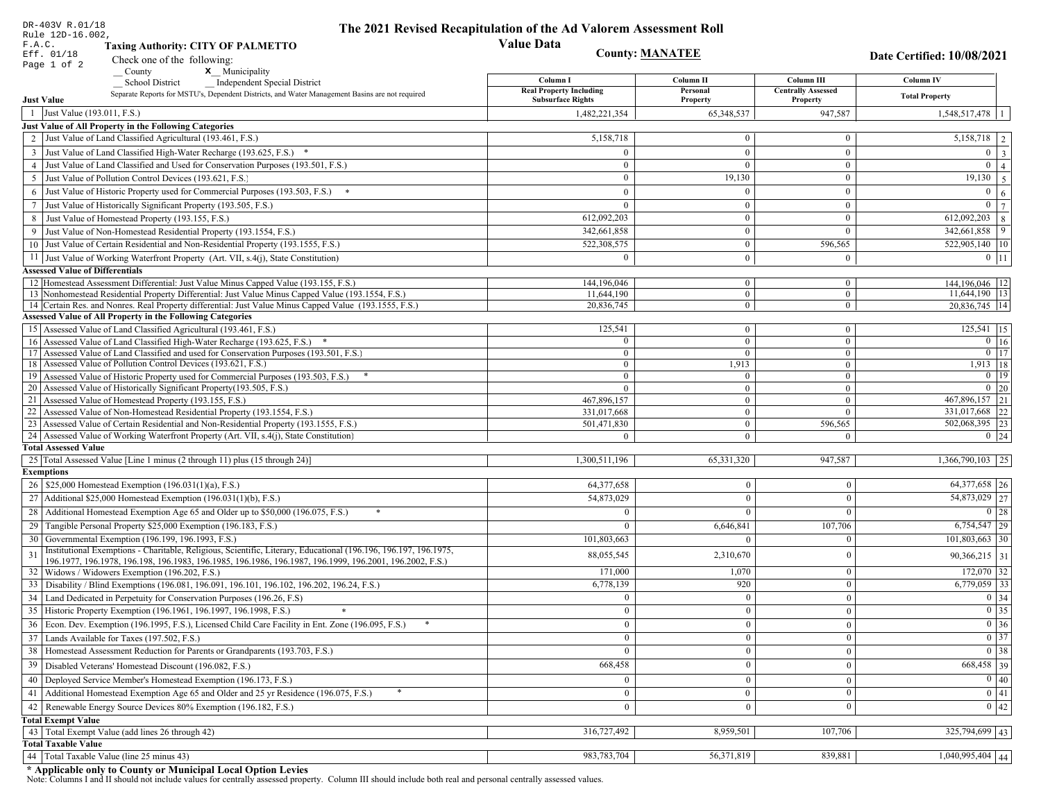|                   | DR-403V R.01/18<br>Rule 12D-16.002,                                                                                                                   | The 2021 Revised Recapitulation of the Ad Valorem Assessment Roll |                        |                                       |                                                                                                   |
|-------------------|-------------------------------------------------------------------------------------------------------------------------------------------------------|-------------------------------------------------------------------|------------------------|---------------------------------------|---------------------------------------------------------------------------------------------------|
| F.A.C.            | <b>Taxing Authority: CITY OF PALMETTO</b>                                                                                                             | <b>Value Data</b>                                                 |                        |                                       |                                                                                                   |
| Eff. 01/18        | Check one of the following:                                                                                                                           |                                                                   | <b>County: MANATEE</b> |                                       | Date Certified: 10/08/2021                                                                        |
|                   | Page 1 of 2<br>x Municipality<br>County                                                                                                               |                                                                   |                        |                                       |                                                                                                   |
|                   | <b>School District</b><br><b>Independent Special District</b>                                                                                         | Column I                                                          | Column <sub>II</sub>   | Column III                            | Column IV                                                                                         |
| <b>Just Value</b> | Separate Reports for MSTU's, Dependent Districts, and Water Management Basins are not required                                                        | <b>Real Property Including</b><br><b>Subsurface Rights</b>        | Personal<br>Property   | <b>Centrally Assessed</b><br>Property | <b>Total Property</b>                                                                             |
|                   | 1 Just Value (193.011, F.S.)                                                                                                                          | 1,482,221,354                                                     | 65,348,537             | 947,587                               | 1,548,517,478                                                                                     |
|                   | Just Value of All Property in the Following Categories                                                                                                |                                                                   |                        |                                       |                                                                                                   |
|                   | 2 Just Value of Land Classified Agricultural (193.461, F.S.)                                                                                          | 5,158,718                                                         | $\overline{0}$         | $\bf{0}$                              | 5,158,718<br>2                                                                                    |
|                   | 3 Just Value of Land Classified High-Water Recharge (193.625, F.S.) *                                                                                 | $\theta$                                                          | $\theta$               | $\overline{0}$                        | $\overline{0}$<br>$\overline{\mathbf{3}}$                                                         |
|                   | 4 Just Value of Land Classified and Used for Conservation Purposes (193.501, F.S.)                                                                    | $\Omega$                                                          | $\Omega$               | $\bf{0}$                              | $\overline{0}$<br>$\overline{4}$                                                                  |
|                   | 5 Just Value of Pollution Control Devices (193.621, F.S.)                                                                                             | $\overline{0}$                                                    | 19,130                 | $\bf{0}$                              | 19,130<br>$\overline{5}$                                                                          |
| 6                 | Just Value of Historic Property used for Commercial Purposes (193.503, F.S.)                                                                          | $\theta$                                                          | $\Omega$               | $\mathbf{0}$                          | $\overline{0}$<br>6                                                                               |
| 7                 | Just Value of Historically Significant Property (193.505, F.S.)                                                                                       | $\overline{0}$                                                    | $\overline{0}$         | $\bf{0}$                              | $\mathbf{0}$<br>$\overline{7}$                                                                    |
|                   | 8 Just Value of Homestead Property (193.155, F.S.)                                                                                                    | 612,092,203                                                       | $\mathbf{0}$           | $\bf{0}$                              | 612,092,203<br>8                                                                                  |
|                   | Just Value of Non-Homestead Residential Property (193.1554, F.S.)                                                                                     | 342,661,858                                                       | $\overline{0}$         | $\Omega$                              | 342,661,858<br>9                                                                                  |
|                   | 10 Just Value of Certain Residential and Non-Residential Property (193.1555, F.S.)                                                                    | 522,308,575                                                       | $\overline{0}$         | 596,565                               | 522,905,140 10                                                                                    |
|                   | 11 Just Value of Working Waterfront Property (Art. VII, s.4(j), State Constitution)                                                                   | $\Omega$                                                          | $\overline{0}$         | $\mathbf{0}$                          | $0$ 11                                                                                            |
|                   | <b>Assessed Value of Differentials</b>                                                                                                                |                                                                   |                        |                                       |                                                                                                   |
|                   | 12 Homestead Assessment Differential: Just Value Minus Capped Value (193.155, F.S.)                                                                   | 144, 196, 046                                                     | $\overline{0}$         | $\bf{0}$                              | 144,196,046 12                                                                                    |
|                   | 13 Nonhomestead Residential Property Differential: Just Value Minus Capped Value (193.1554, F.S.)                                                     | 11.644.190                                                        | $\overline{0}$         | $\overline{0}$                        | 11,644,190 13                                                                                     |
|                   | 14 Certain Res. and Nonres. Real Property differential: Just Value Minus Capped Value (193.1555, F.S.)                                                | 20,836,745                                                        | $\overline{0}$         | $\mathbf{0}$                          | 20.836.745 14                                                                                     |
|                   | <b>Assessed Value of All Property in the Following Categories</b>                                                                                     |                                                                   |                        |                                       |                                                                                                   |
|                   | 15 Assessed Value of Land Classified Agricultural (193.461, F.S.)                                                                                     | 125,541                                                           | $\overline{0}$         | $\bf{0}$                              | $125,541$ 15                                                                                      |
|                   | 16 Assessed Value of Land Classified High-Water Recharge (193.625, F.S.) *                                                                            | $\overline{0}$                                                    | $\overline{0}$         | $\overline{0}$                        | $0 \mid 16$                                                                                       |
|                   | 17 Assessed Value of Land Classified and used for Conservation Purposes (193.501, F.S.)                                                               | $\overline{0}$                                                    | $\overline{0}$         | $\bf{0}$                              | $\boxed{0}$ $\boxed{17}$                                                                          |
|                   | 18 Assessed Value of Pollution Control Devices (193.621, F.S.)<br>19 Assessed Value of Historic Property used for Commercial Purposes (193.503, F.S.) | $\mathbf{0}$<br>$\bf{0}$                                          | 1,913<br>$\bf{0}$      | $\overline{0}$<br>$\bf{0}$            | 1,913   18<br>$0$   19                                                                            |
|                   | 20 Assessed Value of Historically Significant Property (193.505, F.S.)                                                                                | $\theta$                                                          | $\mathbf{0}$           | $\mathbf{0}$                          | $0\quad20$                                                                                        |
|                   | 21 Assessed Value of Homestead Property (193.155, F.S.)                                                                                               | 467,896,157                                                       | $\overline{0}$         | $\mathbf{0}$                          | 467,896,157 21                                                                                    |
|                   | 22 Assessed Value of Non-Homestead Residential Property (193.1554, F.S.)                                                                              | 331,017,668                                                       | $\overline{0}$         | $\overline{0}$                        | 331,017,668<br>22                                                                                 |
|                   | 23 Assessed Value of Certain Residential and Non-Residential Property (193.1555, F.S.)                                                                | 501,471,830                                                       | $\overline{0}$         | 596,565                               | 502,068,395 23                                                                                    |
|                   | 24 Assessed Value of Working Waterfront Property (Art. VII, s.4(j), State Constitution)                                                               | $\Omega$                                                          | $\theta$               | $\Omega$                              | $0 \quad 24$                                                                                      |
|                   | <b>Total Assessed Value</b>                                                                                                                           |                                                                   |                        |                                       |                                                                                                   |
|                   | 25 Total Assessed Value [Line 1 minus (2 through 11) plus (15 through 24)]                                                                            | 1,300,511,196                                                     | 65, 331, 320           | 947,587                               | $1,366,790,103$ 25                                                                                |
| <b>Exemptions</b> |                                                                                                                                                       |                                                                   |                        |                                       |                                                                                                   |
|                   | 26   \$25,000 Homestead Exemption (196.031(1)(a), F.S.)                                                                                               | 64, 377, 658                                                      | $\bf{0}$               | $\mathbf{0}$                          | 64,377,658 26                                                                                     |
|                   | 27   Additional \$25,000 Homestead Exemption (196.031(1)(b), F.S.)                                                                                    | 54,873,029                                                        | $\Omega$               | $\Omega$                              | 54,873,029 27                                                                                     |
|                   | 28 Additional Homestead Exemption Age 65 and Older up to \$50,000 (196.075, F.S.)                                                                     | $\Omega$                                                          | $\Omega$               | $\Omega$                              | 0 28                                                                                              |
|                   | 29 Tangible Personal Property \$25,000 Exemption (196.183, F.S.)                                                                                      | $\Omega$                                                          | 6,646,841              | 107,706                               | $6,754,547$ 29                                                                                    |
|                   | 30 Governmental Exemption (196.199, 196.1993, F.S.)                                                                                                   | 101,803,663                                                       | $\theta$               |                                       | 101,803,663 30                                                                                    |
| 31                | Institutional Exemptions - Charitable, Religious, Scientific, Literary, Educational (196.196, 196.197, 196.1975,                                      | 88,055,545                                                        | 2,310,670              |                                       | $90,366,215$ 31                                                                                   |
|                   | 196.1977, 196.1978, 196.198, 196.1983, 196.1985, 196.1986, 196.1987, 196.1999, 196.2001, 196.2002, F.S.)                                              |                                                                   |                        |                                       |                                                                                                   |
|                   | 32   Widows / Widowers Exemption (196.202, F.S.)                                                                                                      | 171,000                                                           | 1,070                  | $\mathbf{0}$                          | $172,070$ 32                                                                                      |
|                   | 33 Disability / Blind Exemptions (196.081, 196.091, 196.101, 196.102, 196.202, 196.24, F.S.)                                                          | 6,778,139                                                         | 920                    | $\Omega$                              | $6,779,059$ 33                                                                                    |
|                   | 34 Land Dedicated in Perpetuity for Conservation Purposes (196.26, F.S)                                                                               | $\Omega$                                                          | $\Omega$               | $\theta$                              | $\boxed{0}$ 34                                                                                    |
|                   | 35 Historic Property Exemption (196.1961, 196.1997, 196.1998, F.S.)                                                                                   | $\cup$                                                            | $\mathbf{0}$           | $\mathbf{0}$                          | $\begin{array}{ c c }\n\hline\n0 & 35 \\ \hline\n0 & 36 \\ \hline\n0 & 37 \\ \hline\n\end{array}$ |
|                   | 36 Econ. Dev. Exemption (196.1995, F.S.), Licensed Child Care Facility in Ent. Zone (196.095, F.S.)                                                   | $\overline{0}$                                                    | $\Omega$               | $\theta$                              |                                                                                                   |
|                   | 37 Lands Available for Taxes (197.502, F.S.)                                                                                                          | $\overline{0}$                                                    | $\theta$               | $\theta$                              |                                                                                                   |
|                   | 38   Homestead Assessment Reduction for Parents or Grandparents (193.703, F.S.)                                                                       | $\mathbf{0}$                                                      | $\bf{0}$               | $\mathbf{0}$                          | $\boxed{0}$ 38                                                                                    |
| 39                | Disabled Veterans' Homestead Discount (196.082, F.S.)                                                                                                 | 668,458                                                           |                        | $\boldsymbol{0}$                      | 668,458 39                                                                                        |
|                   | 40 Deployed Service Member's Homestead Exemption (196.173, F.S.)                                                                                      | $\overline{0}$                                                    | $\Omega$               | $\theta$                              | $\overline{0}$ 40                                                                                 |
|                   | 41 Additional Homestead Exemption Age 65 and Older and 25 yr Residence (196.075, F.S.)                                                                | $\mathbf{0}$                                                      | $\boldsymbol{0}$       | $\mathbf{0}$                          | $\overline{0}$ 41                                                                                 |
| 42                | Renewable Energy Source Devices 80% Exemption (196.182, F.S.)                                                                                         | $\overline{0}$                                                    | $\bf{0}$               | $\boldsymbol{0}$                      | $\overline{0}$ 42                                                                                 |
|                   | <b>Total Exempt Value</b>                                                                                                                             |                                                                   |                        |                                       |                                                                                                   |
|                   | 43 Total Exempt Value (add lines 26 through 42)                                                                                                       | 316,727,492                                                       | 8,959,501              | 107,706                               | $325,794,699$ 43                                                                                  |
|                   | <b>Total Taxable Value</b>                                                                                                                            |                                                                   |                        |                                       |                                                                                                   |
| 44                | Total Taxable Value (line 25 minus 43)                                                                                                                | 983,783,704                                                       | 56,371,819             | 839,881                               | $1,040,995,404$ 44                                                                                |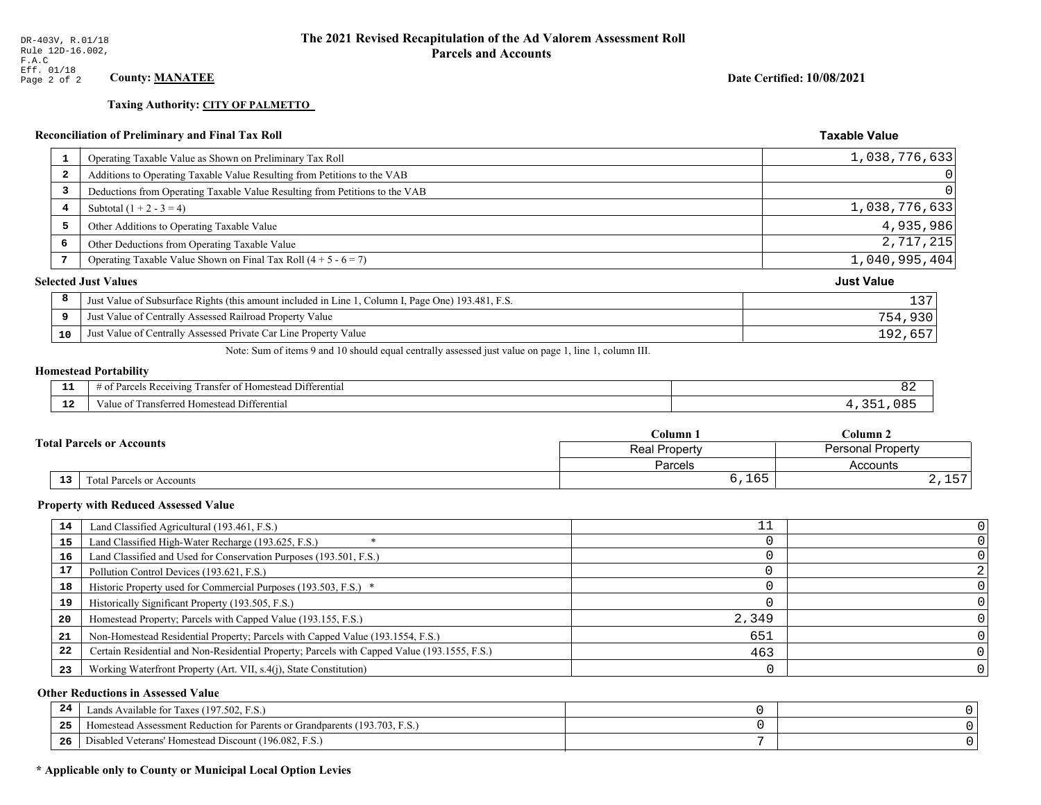**Taxing Authority: CITY OF PALMETTO** 

## **Reconciliation of Preliminary and Final Tax Roll**

| 1                       | Operating Taxable Value as Shown on Preliminary Tax Roll                                           | 1,038,776,633     |
|-------------------------|----------------------------------------------------------------------------------------------------|-------------------|
| $\overline{\mathbf{2}}$ | Additions to Operating Taxable Value Resulting from Petitions to the VAB                           | 0                 |
| 3                       | Deductions from Operating Taxable Value Resulting from Petitions to the VAB                        | 0                 |
| 4                       | Subtotal $(1 + 2 - 3 = 4)$                                                                         | 1,038,776,633     |
| 5                       | Other Additions to Operating Taxable Value                                                         | 4,935,986         |
| 6                       | Other Deductions from Operating Taxable Value                                                      | 2,717,215         |
| 7                       | Operating Taxable Value Shown on Final Tax Roll $(4 + 5 - 6 = 7)$                                  | 1,040,995,404     |
|                         | <b>Selected Just Values</b>                                                                        | <b>Just Value</b> |
| 8                       | Just Value of Subsurface Rights (this amount included in Line 1, Column I, Page One) 193.481, F.S. | 137               |
| 9                       | Just Value of Centrally Assessed Railroad Property Value                                           | 754,930           |
| 10                      | Just Value of Centrally Assessed Private Car Line Property Value                                   | 192,657           |

Note: Sum of items 9 and 10 should equal centrally assessed just value on page 1, line 1, column III.

## **Homestead Portability**

| --                  | . Differential<br>ranster<br>Parce<br>: Homestead<br>ceiving<br>' OT ∶<br>-01<br>nu |  |
|---------------------|-------------------------------------------------------------------------------------|--|
| $\sim$ $\sim$<br>-- | Differential<br>Transferred Homestead I<br>′alu                                     |  |

|                                              | $C$ olumn $1$                                    | $\mathbb C$ olumn 2 |  |
|----------------------------------------------|--------------------------------------------------|---------------------|--|
| <b>Total Parcels or Accounts</b>             | <b>Personal Property</b><br><b>Real Property</b> |                     |  |
|                                              | <b>Parcels</b>                                   | Accounts            |  |
| $\overline{13}$<br>Total Parcels or Accounts | 6,165                                            | $ -$<br>2, 11       |  |

#### **Property with Reduced Assessed Value**

| 14 | Land Classified Agricultural (193.461, F.S.)                                                 |       |  |
|----|----------------------------------------------------------------------------------------------|-------|--|
| 15 | Land Classified High-Water Recharge (193.625, F.S.)                                          |       |  |
| 16 | Land Classified and Used for Conservation Purposes (193.501, F.S.)                           |       |  |
| 17 | Pollution Control Devices (193.621, F.S.)                                                    |       |  |
| 18 | Historic Property used for Commercial Purposes (193.503, F.S.) *                             |       |  |
| 19 | Historically Significant Property (193.505, F.S.)                                            |       |  |
| 20 | Homestead Property; Parcels with Capped Value (193.155, F.S.)                                | 2,349 |  |
| 21 | Non-Homestead Residential Property; Parcels with Capped Value (193.1554, F.S.)               | 651   |  |
| 22 | Certain Residential and Non-Residential Property; Parcels with Capped Value (193.1555, F.S.) | 463   |  |
| 23 | Working Waterfront Property (Art. VII, s.4(j), State Constitution)                           |       |  |

## **Other Reductions in Assessed Value**

| -24 | Lands Available for Taxes (197.502, F.S.)                                        |  |
|-----|----------------------------------------------------------------------------------|--|
| .   | (193.703, F.S.<br>Aomestead Assessment Reduction for Parents or Grandparents (1) |  |
| -26 | d Veterans' Homestead Discount (196.082, F.S.)<br>Disabled                       |  |

## \* Applicable only to County or Municipal Local Option Levies

Date Certified: 10/08/2021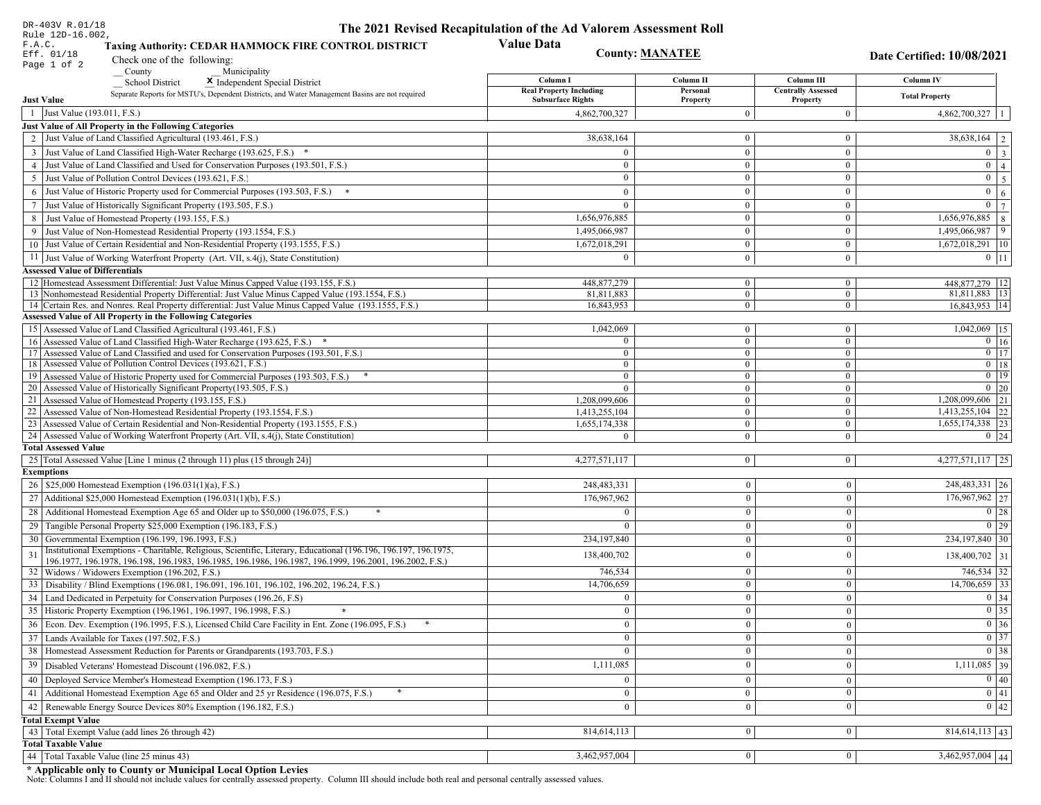| DR-403V R.01/18                                                                                                                                                                                                              | The 2021 Revised Recapitulation of the Ad Valorem Assessment Roll |                                  |                                       |                                              |
|------------------------------------------------------------------------------------------------------------------------------------------------------------------------------------------------------------------------------|-------------------------------------------------------------------|----------------------------------|---------------------------------------|----------------------------------------------|
| Rule 12D-16.002,<br>F.A.C.<br>Taxing Authority: CEDAR HAMMOCK FIRE CONTROL DISTRICT<br>Eff. 01/18<br>Check one of the following:                                                                                             | <b>Value Data</b><br><b>County: MANATEE</b>                       |                                  |                                       | Date Certified: 10/08/2021                   |
| Page 1 of 2<br>County<br>Municipality                                                                                                                                                                                        |                                                                   |                                  |                                       |                                              |
| <b>School District</b><br>X Independent Special District                                                                                                                                                                     | Column I<br><b>Real Property Including</b>                        | Column II<br>Personal            | Column III                            | Column IV                                    |
| Separate Reports for MSTU's, Dependent Districts, and Water Management Basins are not required<br><b>Just Value</b>                                                                                                          | <b>Subsurface Rights</b>                                          | Property                         | <b>Centrally Assessed</b><br>Property | <b>Total Property</b>                        |
| 1 Just Value (193.011, F.S.)                                                                                                                                                                                                 | 4,862,700,327                                                     | $\overline{0}$                   | $\boldsymbol{0}$                      | $4,862,700,327$   1                          |
| Just Value of All Property in the Following Categories                                                                                                                                                                       |                                                                   |                                  |                                       |                                              |
| 2 Just Value of Land Classified Agricultural (193.461, F.S.)                                                                                                                                                                 | 38,638,164                                                        | $\mathbf{0}$                     | $\bf{0}$                              | $38,638,164$   2                             |
| 3 Just Value of Land Classified High-Water Recharge (193.625, F.S.) *                                                                                                                                                        | $\Omega$                                                          | $\mathbf{0}$                     | $\bf{0}$                              | $0 \mid 3$                                   |
| 4 Just Value of Land Classified and Used for Conservation Purposes (193.501, F.S.)                                                                                                                                           | $\Omega$                                                          | $\overline{0}$                   | $\bf{0}$                              | $0 \mid 4 \mid$                              |
| 5 Just Value of Pollution Control Devices (193.621, F.S.)                                                                                                                                                                    | $\bf{0}$                                                          | $\mathbf{0}$                     | $\bf{0}$                              | $0 \quad 5$                                  |
| 6 Just Value of Historic Property used for Commercial Purposes (193.503, F.S.) *                                                                                                                                             | $\Omega$                                                          | $\theta$                         | $\bf{0}$                              | $\mathbf{0}$<br>6 <sup>1</sup>               |
| 7 Just Value of Historically Significant Property (193.505, F.S.)                                                                                                                                                            | $\overline{0}$                                                    | $\overline{0}$                   | $\bf{0}$                              | $0 \mid 7$                                   |
| 8 Just Value of Homestead Property (193.155, F.S.)                                                                                                                                                                           | 1,656,976,885                                                     | $\mathbf{0}$                     | $\overline{0}$                        | 1,656,976,885 8                              |
| 9 Just Value of Non-Homestead Residential Property (193.1554, F.S.)                                                                                                                                                          | 1,495,066,987                                                     | $\overline{0}$                   | $\bf{0}$                              | 1,495,066,987<br>9                           |
| 10 Just Value of Certain Residential and Non-Residential Property (193.1555, F.S.)                                                                                                                                           | 1,672,018,291                                                     | $\mathbf{0}$                     | $\bf{0}$                              | $1,672,018,291$ 10                           |
| 11 Just Value of Working Waterfront Property (Art. VII, s.4(j), State Constitution)                                                                                                                                          | $\Omega$                                                          | $\mathbf{0}$                     | $\bf{0}$                              | $0 \mid 11$                                  |
| <b>Assessed Value of Differentials</b>                                                                                                                                                                                       |                                                                   |                                  |                                       |                                              |
| 12 Homestead Assessment Differential: Just Value Minus Capped Value (193.155, F.S.)                                                                                                                                          | 448, 877, 279<br>81.811.883                                       | $\bf{0}$                         | $\bf{0}$                              | 448,877,279   12<br>81,811,883 13            |
| 13 Nonhomestead Residential Property Differential: Just Value Minus Capped Value (193.1554, F.S.)<br>14 Certain Res. and Nonres. Real Property differential: Just Value Minus Capped Value (193.1555, F.S.)                  | 16,843,953                                                        | $\overline{0}$<br>$\overline{0}$ | $\overline{0}$<br>$\mathbf{0}$        | 16,843,953 14                                |
| Assessed Value of All Property in the Following Categories                                                                                                                                                                   |                                                                   |                                  |                                       |                                              |
| 15 Assessed Value of Land Classified Agricultural (193.461, F.S.)                                                                                                                                                            | 1,042,069                                                         | $\bf{0}$                         | $\bf{0}$                              | 1,042,069 15                                 |
| 16 Assessed Value of Land Classified High-Water Recharge (193.625, F.S.) *                                                                                                                                                   | $\Omega$                                                          | $\mathbf{0}$                     | $\bf{0}$                              | $0 \mid 16$                                  |
| Assessed Value of Land Classified and used for Conservation Purposes (193.501, F.S.)<br>17                                                                                                                                   | $\Omega$                                                          | $\mathbf{0}$                     | $\mathbf{0}$                          | $\boxed{0}$ $\boxed{17}$                     |
| 18 Assessed Value of Pollution Control Devices (193.621, F.S.)                                                                                                                                                               | $\Omega$                                                          | $\mathbf{0}$                     | $\mathbf{0}$                          | $0$ 18                                       |
| 19 Assessed Value of Historic Property used for Commercial Purposes (193.503, F.S.)                                                                                                                                          | $\bf{0}$                                                          | $\overline{0}$                   | $\overline{0}$                        | $0$   19                                     |
| 20 Assessed Value of Historically Significant Property (193.505, F.S.)<br>21 Assessed Value of Homestead Property (193.155, F.S.)                                                                                            | $\theta$<br>1,208,099,606                                         | $\overline{0}$<br>$\overline{0}$ | $\overline{0}$<br>$\bf{0}$            | $0 \mid 20$<br>$\overline{1,208,099,606}$ 21 |
| 22 Assessed Value of Non-Homestead Residential Property (193.1554, F.S.)                                                                                                                                                     | 1,413,255,104                                                     | $\overline{0}$                   | $\mathbf{0}$                          | $1,413,255,104$ 22                           |
| 23 Assessed Value of Certain Residential and Non-Residential Property (193.1555, F.S.)                                                                                                                                       | 1,655,174,338                                                     | $\overline{0}$                   | $\bf{0}$                              | 1,655,174,338 23                             |
| 24 Assessed Value of Working Waterfront Property (Art. VII, s.4(j), State Constitution)                                                                                                                                      |                                                                   | $\overline{0}$                   | $\bf{0}$                              | $0 \mid 24$                                  |
| <b>Total Assessed Value</b>                                                                                                                                                                                                  |                                                                   |                                  |                                       |                                              |
| 25 Total Assessed Value [Line 1 minus (2 through 11) plus (15 through 24)]                                                                                                                                                   | 4,277,571,117                                                     | $\overline{0}$                   | $\overline{0}$                        | $4,277,571,117$   25                         |
| <b>Exemptions</b>                                                                                                                                                                                                            |                                                                   |                                  |                                       |                                              |
| 26   \$25,000 Homestead Exemption (196.031(1)(a), F.S.)                                                                                                                                                                      | 248, 483, 331                                                     | $\mathbf{0}$                     | $\boldsymbol{0}$                      | 248, 483, 331 26                             |
| 27   Additional \$25,000 Homestead Exemption (196.031(1)(b), F.S.)                                                                                                                                                           | 176,967,962                                                       | $\Omega$                         | $\mathbf{0}$                          | 176,967,962 27                               |
| 28 Additional Homestead Exemption Age 65 and Older up to \$50,000 (196.075, F.S.)                                                                                                                                            | $\Omega$                                                          | $\overline{0}$                   | $\mathbf{0}$                          | $\boxed{0}$ 28                               |
| 29 Tangible Personal Property \$25,000 Exemption (196.183, F.S.)                                                                                                                                                             |                                                                   | $\Omega$                         | $\mathbf{0}$                          | $0$   29                                     |
| 30 Governmental Exemption (196.199, 196.1993, F.S.)                                                                                                                                                                          | 234,197,840                                                       | $\mathbf{0}$                     | $\mathbf{0}$                          | 234, 197, 840 30                             |
| Institutional Exemptions - Charitable, Religious, Scientific, Literary, Educational (196.196, 196.197, 196.1975,<br>196.1977, 196.1978, 196.198, 196.1983, 196.1985, 196.1986, 196.1987, 196.1999, 196.2001, 196.2002, F.S.) | 138,400,702                                                       | $\theta$                         | $\mathbf{0}$                          | 138,400,702 31                               |
| 32 Widows / Widowers Exemption (196.202, F.S.)                                                                                                                                                                               | 746,534                                                           | $\mathbf{0}$                     | $\mathbf{0}$                          | 746,534 32                                   |
| 33 Disability / Blind Exemptions (196.081, 196.091, 196.101, 196.102, 196.202, 196.24, F.S.)                                                                                                                                 | 14,706,659                                                        | $\overline{0}$                   | $\mathbf{0}$                          | $14,706,659$ 33                              |
| 34 Land Dedicated in Perpetuity for Conservation Purposes (196.26, F.S)                                                                                                                                                      |                                                                   | $\Omega$                         | $\Omega$                              | 0 34                                         |
| 35 Historic Property Exemption (196.1961, 196.1997, 196.1998, F.S.)                                                                                                                                                          | 0                                                                 | $\mathbf{U}$                     | $\mathbf{0}$                          | $\boxed{0}$ 35                               |
| 36 Econ. Dev. Exemption (196.1995, F.S.), Licensed Child Care Facility in Ent. Zone (196.095, F.S.)                                                                                                                          | $\Omega$                                                          | $\Omega$                         | $\Omega$                              | $\boxed{0}$ 36                               |
| 37 Lands Available for Taxes (197.502, F.S.)                                                                                                                                                                                 | $\Omega$                                                          | $\Omega$                         | $\mathbf{0}$                          | $0 \mid 37$                                  |
| 38   Homestead Assessment Reduction for Parents or Grandparents (193.703, F.S.)                                                                                                                                              | $\overline{0}$                                                    | $\bf{0}$                         | $\boldsymbol{0}$                      | $\boxed{0}$ 38                               |
| 39   Disabled Veterans' Homestead Discount (196.082, F.S.)                                                                                                                                                                   | 1,111,085                                                         |                                  | $\mathbf{0}$                          | $1,111,085$ 39                               |
| 40   Deployed Service Member's Homestead Exemption (196.173, F.S.)                                                                                                                                                           |                                                                   | $\theta$                         | $\mathbf{0}$                          | $\boxed{0}$ 40                               |
| 41   Additional Homestead Exemption Age 65 and Older and 25 yr Residence (196.075, F.S.)                                                                                                                                     | $\overline{0}$                                                    | $\mathbf{0}$                     | $\mathbf{0}$                          | $\overline{0}$ 41                            |
| 42 Renewable Energy Source Devices 80% Exemption (196.182, F.S.)                                                                                                                                                             | $\bf{0}$                                                          | $\mathbf{0}$                     | $\mathbf{0}$                          | $0 \mid 42$                                  |
| <b>Total Exempt Value</b>                                                                                                                                                                                                    |                                                                   |                                  |                                       |                                              |
| 43 Total Exempt Value (add lines 26 through 42)                                                                                                                                                                              | 814,614,113                                                       | 0                                | $\mathbf{0}$                          | $814,614,113$ 43                             |
| <b>Total Taxable Value</b>                                                                                                                                                                                                   |                                                                   |                                  |                                       |                                              |
| 44   Total Taxable Value (line 25 minus 43)                                                                                                                                                                                  | 3,462,957,004                                                     | 0 <sup>1</sup>                   | $\mathbf{0}$                          | $3,462,957,004$ 44                           |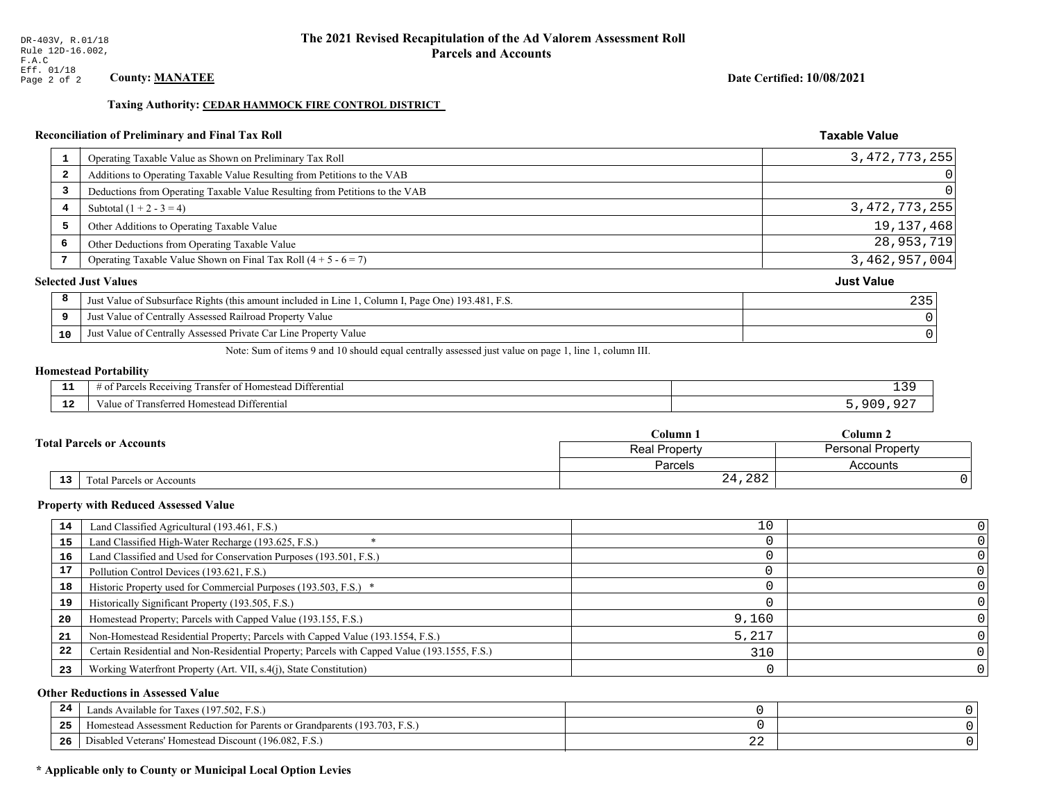Taxing Authority: CEDAR HAMMOCK FIRE CONTROL DISTRICT

| Operating Taxable Value as Shown on Preliminary Tax Roll<br>-1<br>Additions to Operating Taxable Value Resulting from Petitions to the VAB<br>2<br>Deductions from Operating Taxable Value Resulting from Petitions to the VAB<br>3<br>Subtotal $(1 + 2 - 3 = 4)$<br>4<br>5<br>Other Additions to Operating Taxable Value<br>6<br>Other Deductions from Operating Taxable Value |                  |
|---------------------------------------------------------------------------------------------------------------------------------------------------------------------------------------------------------------------------------------------------------------------------------------------------------------------------------------------------------------------------------|------------------|
|                                                                                                                                                                                                                                                                                                                                                                                 | 3, 472, 773, 255 |
|                                                                                                                                                                                                                                                                                                                                                                                 | $\Omega$         |
|                                                                                                                                                                                                                                                                                                                                                                                 | $\Omega$         |
|                                                                                                                                                                                                                                                                                                                                                                                 | 3, 472, 773, 255 |
|                                                                                                                                                                                                                                                                                                                                                                                 | 19, 137, 468     |
|                                                                                                                                                                                                                                                                                                                                                                                 | 28,953,719       |
| Operating Taxable Value Shown on Final Tax Roll $(4 + 5 - 6 = 7)$<br>7                                                                                                                                                                                                                                                                                                          | 3,462,957,004    |
| <b>Just Value</b><br><b>Selected Just Values</b>                                                                                                                                                                                                                                                                                                                                |                  |
| 8<br>Just Value of Subsurface Rights (this amount included in Line 1, Column I, Page One) 193.481, F.S.                                                                                                                                                                                                                                                                         | 235              |
| Just Value of Centrally Assessed Railroad Property Value<br>9                                                                                                                                                                                                                                                                                                                   |                  |
| Just Value of Centrally Assessed Private Car Line Property Value<br>10                                                                                                                                                                                                                                                                                                          |                  |

Note: Sum of items 9 and 10 should equal centrally assessed just value on page 1, line 1, column III.

## **Homestead Portability**

| $\overline{\phantom{a}}$ | ™anste.<br>Jittere<br>0.41<br>rential:<br>$\sim$<br>ഛ<br>чтс<br>$\cdots$<br>. | . ک لا |
|--------------------------|-------------------------------------------------------------------------------|--------|
| .                        | $1 + +$<br>alue<br>rentia.<br>estea<br>.<br>--------                          |        |

| <b>Total Parcels or Accounts</b> |    |                           | $\mathbb C$ olumn $\;$ .                  | $C$ olumn 2 |  |
|----------------------------------|----|---------------------------|-------------------------------------------|-------------|--|
|                                  |    |                           | Personal Property<br><b>Real Property</b> |             |  |
|                                  |    |                           | Parcels                                   | Accounts    |  |
|                                  | 13 | Fotal Parcels or Accounts | 24,282                                    |             |  |

#### **Property with Reduced Assessed Value**

| 14 | Land Classified Agricultural (193.461, F.S.)                                                 | 10    |  |
|----|----------------------------------------------------------------------------------------------|-------|--|
| 15 | Land Classified High-Water Recharge (193.625, F.S.)                                          |       |  |
| 16 | Land Classified and Used for Conservation Purposes (193.501, F.S.)                           |       |  |
| 17 | Pollution Control Devices (193.621, F.S.)                                                    |       |  |
| 18 | Historic Property used for Commercial Purposes (193.503, F.S.) *                             |       |  |
| 19 | Historically Significant Property (193.505, F.S.)                                            |       |  |
| 20 | Homestead Property; Parcels with Capped Value (193.155, F.S.)                                | 9,160 |  |
| 21 | Non-Homestead Residential Property; Parcels with Capped Value (193.1554, F.S.)               | 5,217 |  |
| 22 | Certain Residential and Non-Residential Property; Parcels with Capped Value (193.1555, F.S.) | 310   |  |
| 23 | Working Waterfront Property (Art. VII, s.4(j), State Constitution)                           |       |  |

## **Other Reductions in Assessed Value**

| 24    | Lands Available for Taxes (197.502, F.S.)                                  |     |  |
|-------|----------------------------------------------------------------------------|-----|--|
| - - - | Iomestead Assessment Reduction for Parents or Grandparents (193.703, F.S.) |     |  |
| -26   | l Veterans' Homestead Discount (196.082, F.S.)<br>Disabled                 | ـ ـ |  |

## \* Applicable only to County or Municipal Local Option Levies

Date Certified: 10/08/2021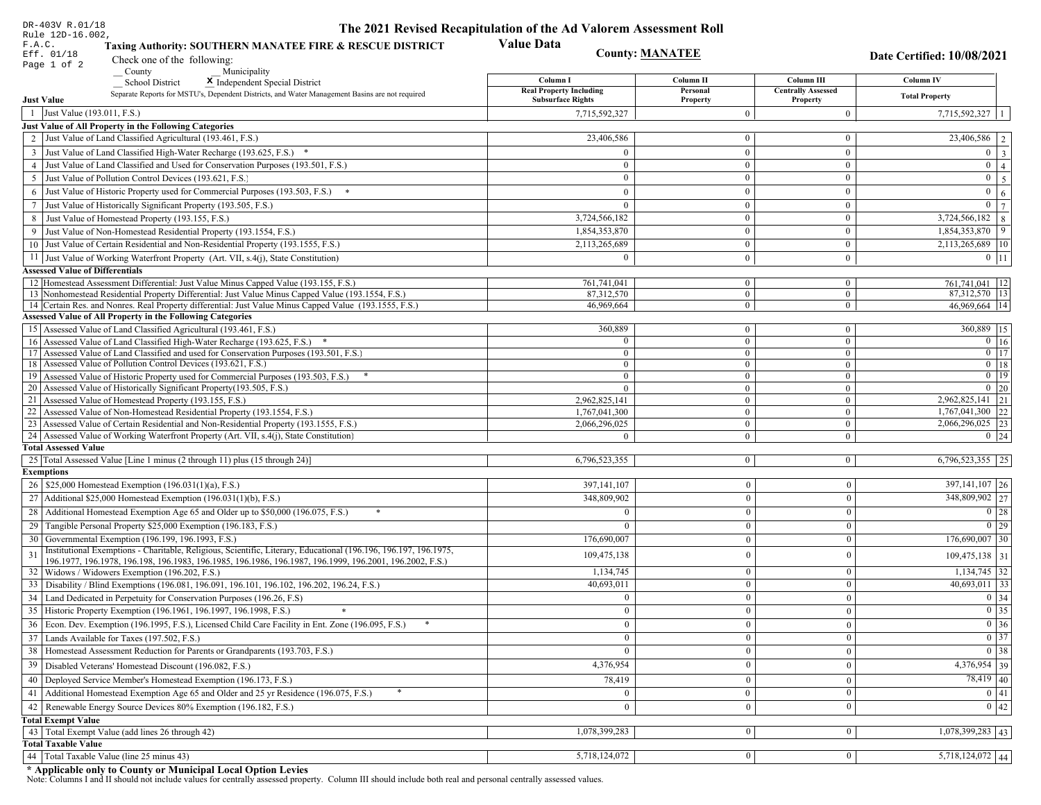| DR-403V R.01/18                                                                                                                                                                                                                    | The 2021 Revised Recapitulation of the Ad Valorem Assessment Roll |                              |                                       |                                         |
|------------------------------------------------------------------------------------------------------------------------------------------------------------------------------------------------------------------------------------|-------------------------------------------------------------------|------------------------------|---------------------------------------|-----------------------------------------|
| Rule 12D-16.002,<br>F.A.C.<br>Taxing Authority: SOUTHERN MANATEE FIRE & RESCUE DISTRICT<br>Eff. 01/18                                                                                                                              | <b>Value Data</b>                                                 | <b>County: MANATEE</b>       |                                       | Date Certified: 10/08/2021              |
| Check one of the following:<br>Page 1 of 2<br>County<br>Municipality                                                                                                                                                               |                                                                   |                              |                                       |                                         |
| <b>School District</b><br>X Independent Special District                                                                                                                                                                           | Column I                                                          | Column II                    | Column III                            | <b>Column IV</b>                        |
| Separate Reports for MSTU's, Dependent Districts, and Water Management Basins are not required<br><b>Just Value</b>                                                                                                                | <b>Real Property Including</b><br><b>Subsurface Rights</b>        | Personal<br>Property         | <b>Centrally Assessed</b><br>Property | <b>Total Property</b>                   |
| 1 Just Value (193.011, F.S.)                                                                                                                                                                                                       | 7,715,592,327                                                     | $\Omega$                     | $\mathbf{0}$                          | 7,715,592,327                           |
| Just Value of All Property in the Following Categories                                                                                                                                                                             |                                                                   |                              |                                       |                                         |
| 2 Just Value of Land Classified Agricultural (193.461, F.S.)                                                                                                                                                                       | 23,406,586                                                        | $\mathbf{0}$                 | $\mathbf{0}$                          | $\overline{23,406,586}$   2             |
| 3 Just Value of Land Classified High-Water Recharge (193.625, F.S.) *                                                                                                                                                              | $\Omega$                                                          | $\mathbf{0}$                 | $\boldsymbol{0}$                      | $0 \mid 3 \mid$                         |
| 4 Just Value of Land Classified and Used for Conservation Purposes (193.501, F.S.)                                                                                                                                                 | $\overline{0}$                                                    | $\mathbf{0}$                 | $\mathbf{0}$                          | $0 \mid 4 \mid$                         |
| 5 Just Value of Pollution Control Devices (193.621, F.S.)                                                                                                                                                                          | $\overline{0}$                                                    | $\overline{0}$               | $\mathbf{0}$                          | $0 \quad 5$                             |
| 6 Just Value of Historic Property used for Commercial Purposes (193.503, F.S.) *                                                                                                                                                   | $\Omega$                                                          | $\theta$                     | $\mathbf{0}$                          | $0 \mid 6 \mid$                         |
| 7 Just Value of Historically Significant Property (193.505, F.S.)                                                                                                                                                                  | $\mathbf{0}$                                                      | $\overline{0}$               | $\mathbf{0}$                          | $\boxed{0}$ $\boxed{7}$                 |
| 8 Just Value of Homestead Property (193.155, F.S.)                                                                                                                                                                                 | 3,724,566,182                                                     | $\overline{0}$               | $\mathbf{0}$                          | $3,724,566,182$ 8                       |
| 9 Just Value of Non-Homestead Residential Property (193.1554, F.S.)                                                                                                                                                                | 1,854,353,870                                                     | $\mathbf{0}$                 | $\mathbf{0}$                          | $1,854,353,870$ 9                       |
| 10 Just Value of Certain Residential and Non-Residential Property (193.1555, F.S.)                                                                                                                                                 | 2,113,265,689                                                     | $\overline{0}$               | $\overline{0}$                        | 2,113,265,689 10                        |
| 11 Just Value of Working Waterfront Property (Art. VII, s.4(j), State Constitution)                                                                                                                                                | $\theta$                                                          | $\mathbf{0}$                 | $\mathbf{0}$                          | $0$   11                                |
| <b>Assessed Value of Differentials</b>                                                                                                                                                                                             |                                                                   |                              |                                       |                                         |
| 12 Homestead Assessment Differential: Just Value Minus Capped Value (193.155, F.S.)                                                                                                                                                | 761,741,041                                                       | $\mathbf{0}$                 | $\bf{0}$                              | 761, 741, 041   12                      |
| 13 Nonhomestead Residential Property Differential: Just Value Minus Capped Value (193.1554, F.S.)                                                                                                                                  | 87,312,570                                                        | $\overline{0}$               | $\mathbf{0}$                          | 87,312,570 13                           |
| 14 Certain Res. and Nonres. Real Property differential: Just Value Minus Capped Value (193.1555, F.S.)                                                                                                                             | 46,969,664                                                        | $\mathbf{0}$                 | $\mathbf{0}$                          | 46,969,664   14                         |
| <b>Assessed Value of All Property in the Following Categories</b>                                                                                                                                                                  |                                                                   |                              |                                       |                                         |
| 15 Assessed Value of Land Classified Agricultural (193.461, F.S.)                                                                                                                                                                  | 360,889                                                           | $\mathbf{0}$                 | $\mathbf{0}$                          | 360,889 15                              |
| 16 Assessed Value of Land Classified High-Water Recharge (193.625, F.S.)                                                                                                                                                           | $\Omega$<br>$\mathbf{0}$                                          | $\mathbf{0}$                 | $\mathbf{0}$                          | $0 \mid 16$<br>$\boxed{0}$ $\boxed{17}$ |
| 17 Assessed Value of Land Classified and used for Conservation Purposes (193.501, F.S.)<br>18 Assessed Value of Pollution Control Devices (193.621, F.S.)                                                                          | $\overline{0}$                                                    | $\mathbf{0}$<br>$\mathbf{0}$ | $\mathbf{0}$<br>$\overline{0}$        | $0$ 18                                  |
| 19 Assessed Value of Historic Property used for Commercial Purposes (193.503, F.S.)                                                                                                                                                | $\overline{0}$                                                    | $\overline{0}$               | $\mathbf{0}$                          | $0$   19                                |
| 20 Assessed Value of Historically Significant Property (193.505, F.S.)                                                                                                                                                             | $\theta$                                                          | $\overline{0}$               | $\overline{0}$                        | $0 \mid 20$                             |
| 21 Assessed Value of Homestead Property (193.155, F.S.)                                                                                                                                                                            | 2,962,825,141                                                     | $\mathbf{0}$                 | $\mathbf{0}$                          | 2,962,825,141 21                        |
| 22 Assessed Value of Non-Homestead Residential Property (193.1554, F.S.)                                                                                                                                                           | 1,767,041,300                                                     | $\mathbf{0}$                 | $\mathbf{0}$                          | $1,767,041,300$ 22                      |
| 23 Assessed Value of Certain Residential and Non-Residential Property (193.1555, F.S.)                                                                                                                                             | 2,066,296,025                                                     | $\mathbf{0}$                 | $\mathbf{0}$                          | 2,066,296,025 23                        |
| 24 Assessed Value of Working Waterfront Property (Art. VII, s.4(j), State Constitution)                                                                                                                                            |                                                                   | $\overline{0}$               | $\mathbf{0}$                          | $0 \mid 24$                             |
| <b>Total Assessed Value</b>                                                                                                                                                                                                        |                                                                   |                              |                                       |                                         |
| 25   Total Assessed Value [Line 1 minus (2 through 11) plus (15 through 24)]                                                                                                                                                       | 6,796,523,355                                                     | $\overline{0}$               | $\boldsymbol{0}$                      | $6,796,523,355$   25                    |
| <b>Exemptions</b>                                                                                                                                                                                                                  |                                                                   |                              |                                       |                                         |
| 26   \$25,000 Homestead Exemption (196.031(1)(a), F.S.)                                                                                                                                                                            | 397, 141, 107                                                     | $\mathbf{0}$                 | $\mathbf{0}$                          | 397, 141, 107 26                        |
| 27   Additional \$25,000 Homestead Exemption $(196.031(1)(b), F.S.)$                                                                                                                                                               | 348,809,902                                                       | $\Omega$                     | $\mathbf{0}$                          | 348,809,902 27                          |
| 28 Additional Homestead Exemption Age 65 and Older up to \$50,000 (196.075, F.S.)                                                                                                                                                  | $\Omega$                                                          | $\theta$                     | $\theta$                              | $\boxed{0}$ 28                          |
| 29 Tangible Personal Property \$25,000 Exemption (196.183, F.S.)                                                                                                                                                                   |                                                                   | $\Omega$                     | $\mathbf{0}$                          | $0$   29                                |
| 30 Governmental Exemption (196.199, 196.1993, F.S.)                                                                                                                                                                                | 176,690,007                                                       | $\theta$                     | $\mathbf{0}$                          | $176,690,007$ 30                        |
| Institutional Exemptions - Charitable, Religious, Scientific, Literary, Educational (196.196, 196.197, 196.1975,<br>31<br>196.1977, 196.1978, 196.198, 196.1983, 196.1985, 196.1986, 196.1987, 196.1999, 196.2001, 196.2002, F.S.) | 109,475,138                                                       | $\theta$                     | $\mathbf{0}$                          | $109,475,138$ 31                        |
| 32   Widows / Widowers Exemption (196.202, F.S.)                                                                                                                                                                                   | 1,134,745                                                         | $\mathbf{0}$                 | $\mathbf{0}$                          | $1,134,745$ 32                          |
| 33 Disability / Blind Exemptions (196.081, 196.091, 196.101, 196.102, 196.202, 196.24, F.S.)                                                                                                                                       | 40,693,011                                                        | $\overline{0}$               | $\mathbf{0}$                          | $40,693,011$ 33                         |
| 34 Land Dedicated in Perpetuity for Conservation Purposes (196.26, F.S)                                                                                                                                                            |                                                                   | $\Omega$                     | $\theta$                              | 0 34                                    |
| 35 Historic Property Exemption (196.1961, 196.1997, 196.1998, F.S.)                                                                                                                                                                | 0                                                                 | $\mathbf{0}$                 | $\mathbf{0}$                          | $\boxed{0}$ 35                          |
| 36 Econ. Dev. Exemption (196.1995, F.S.), Licensed Child Care Facility in Ent. Zone (196.095, F.S.)                                                                                                                                | $\overline{0}$                                                    | $\Omega$                     | $\theta$                              | $\boxed{0}$ 36                          |
| 37 Lands Available for Taxes (197.502, F.S.)                                                                                                                                                                                       | $\Omega$                                                          | $\theta$                     | $\mathbf{0}$                          | $0 \mid 37$                             |
| 38   Homestead Assessment Reduction for Parents or Grandparents (193.703, F.S.)                                                                                                                                                    | $\mathbf{0}$                                                      | 0                            | $\boldsymbol{0}$                      | $\boxed{0}$ 38                          |
| 39   Disabled Veterans' Homestead Discount (196.082, F.S.)                                                                                                                                                                         | 4,376,954                                                         |                              | $\mathbf{0}$                          | $4,376,954$ 39                          |
| 40   Deployed Service Member's Homestead Exemption (196.173, F.S.)                                                                                                                                                                 | 78,419                                                            | $\theta$                     | $\mathbf{0}$                          | $78,419$ 40                             |
| 41 Additional Homestead Exemption Age 65 and Older and 25 yr Residence (196.075, F.S.)                                                                                                                                             |                                                                   | $\mathbf{0}$                 | $\mathbf{0}$                          | 0 41                                    |
| 42 Renewable Energy Source Devices 80% Exemption (196.182, F.S.)                                                                                                                                                                   | $\overline{0}$                                                    | $\mathbf{0}$                 | $\mathbf{0}$                          | 0 42                                    |
| <b>Total Exempt Value</b>                                                                                                                                                                                                          |                                                                   |                              |                                       |                                         |
| 43 Total Exempt Value (add lines 26 through 42)                                                                                                                                                                                    | 1,078,399,283                                                     | 0                            | $\bf{0}$                              | $1,078,399,283$ 43                      |
| <b>Total Taxable Value</b>                                                                                                                                                                                                         |                                                                   |                              |                                       |                                         |
| 44 Total Taxable Value (line 25 minus 43)                                                                                                                                                                                          | 5,718,124,072                                                     | 0                            | 0                                     | $5,718,124,072$ 44                      |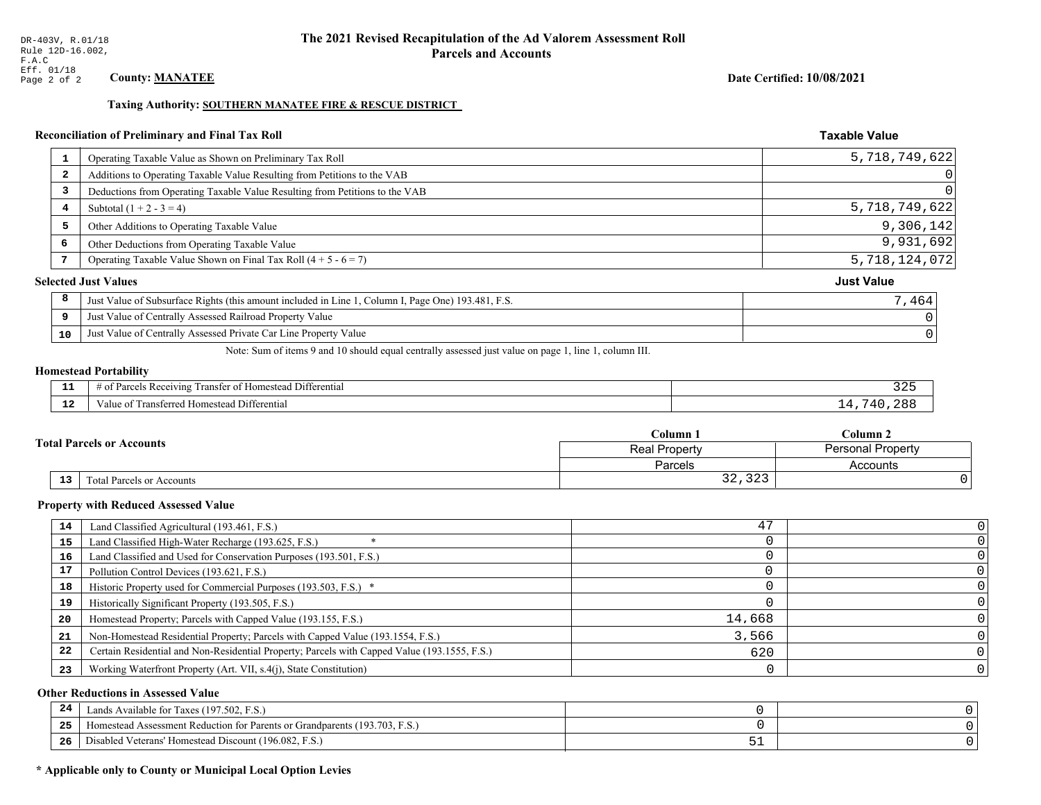## Taxing Authority: SOUTHERN MANATEE FIRE & RESCUE DISTRICT

## Reconciliation of Preliminary and Final Tax Roll

|                         | Operating Taxable Value as Shown on Preliminary Tax Roll                                           | 5,718,749,622     |
|-------------------------|----------------------------------------------------------------------------------------------------|-------------------|
| $\overline{\mathbf{2}}$ | Additions to Operating Taxable Value Resulting from Petitions to the VAB                           | $\Omega$          |
| 3                       | Deductions from Operating Taxable Value Resulting from Petitions to the VAB                        |                   |
| 4                       | Subtotal $(1 + 2 - 3 = 4)$                                                                         | 5,718,749,622     |
| 5                       | Other Additions to Operating Taxable Value                                                         | 9,306,142         |
| 6                       | Other Deductions from Operating Taxable Value                                                      | 9,931,692         |
| 7                       | Operating Taxable Value Shown on Final Tax Roll $(4 + 5 - 6 = 7)$                                  | 5,718,124,072     |
|                         | <b>Selected Just Values</b>                                                                        | <b>Just Value</b> |
| 8                       | Just Value of Subsurface Rights (this amount included in Line 1, Column I, Page One) 193.481, F.S. | 7,464             |
| 9                       | Just Value of Centrally Assessed Railroad Property Value                                           |                   |
| 10                      | Just Value of Centrally Assessed Private Car Line Property Value                                   |                   |
|                         |                                                                                                    |                   |

Note: Sum of items 9 and 10 should equal centrally assessed just value on page 1, line 1, column III.

### **Homestead Portability**

| --          | --<br>Differential<br>ranster<br><i>Pacawing</i><br>. Homester<br>. arce:<br>-01<br>n | . ٤۵   |
|-------------|---------------------------------------------------------------------------------------|--------|
| $\sim$<br>. | l Differential<br>alue<br><b>Homestead</b><br>usichcu.<br>тан                         | - 71 T |

|    |                                  | Tolumn 1                                  | $C$ olumn 2 |  |
|----|----------------------------------|-------------------------------------------|-------------|--|
|    | <b>Fotal Parcels or Accounts</b> | <b>Personal Property</b><br>Real Property |             |  |
|    |                                  | Parcels                                   | Accounts    |  |
| 13 | Total Parcels or Accounts        | $\cap$<br>$\sim$ $\sim$<br>54,545         |             |  |

#### **Property with Reduced Assessed Value**

| 14 | Land Classified Agricultural (193.461, F.S.)                                                 | 47     |  |
|----|----------------------------------------------------------------------------------------------|--------|--|
| 15 | Land Classified High-Water Recharge (193.625, F.S.)                                          |        |  |
| 16 | Land Classified and Used for Conservation Purposes (193.501, F.S.)                           |        |  |
| 17 | Pollution Control Devices (193.621, F.S.)                                                    |        |  |
| 18 | Historic Property used for Commercial Purposes (193.503, F.S.) *                             |        |  |
| 19 | Historically Significant Property (193.505, F.S.)                                            |        |  |
| 20 | Homestead Property; Parcels with Capped Value (193.155, F.S.)                                | 14,668 |  |
| 21 | Non-Homestead Residential Property; Parcels with Capped Value (193.1554, F.S.)               | 3,566  |  |
| 22 | Certain Residential and Non-Residential Property; Parcels with Capped Value (193.1555, F.S.) | 620    |  |
| 23 | Working Waterfront Property (Art. VII, s.4(j), State Constitution)                           |        |  |

## **Other Reductions in Assessed Value**

| $\mathbf{A}$<br>-44 | Available for Taxes (197.502, F.S.)                                                   |      |  |
|---------------------|---------------------------------------------------------------------------------------|------|--|
| 25                  | (193.703, 1)<br>ent Reduction for Parents or Grandparents (17.<br>Homestead Assessmen |      |  |
| 26                  | Disabled Veterans' Homestead Discount (196.082, F<br>F.S.                             | ັບ ⊥ |  |

## \* Applicable only to County or Municipal Local Option Levies

**Taxable Value** 

Date Certified: 10/08/2021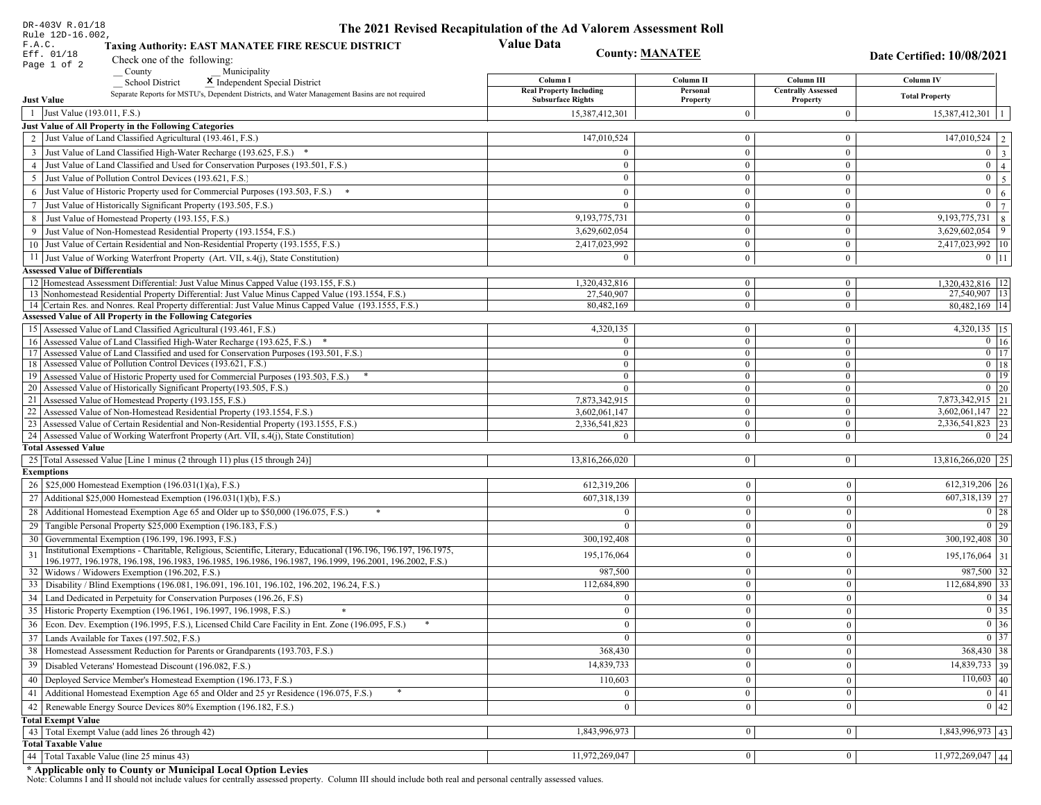| DR-403V R.01/18                                                                                                                                                                                                              | The 2021 Revised Recapitulation of the Ad Valorem Assessment Roll |                          |                                       |                                         |
|------------------------------------------------------------------------------------------------------------------------------------------------------------------------------------------------------------------------------|-------------------------------------------------------------------|--------------------------|---------------------------------------|-----------------------------------------|
| Rule 12D-16.002,<br>F.A.C.<br><b>Taxing Authority: EAST MANATEE FIRE RESCUE DISTRICT</b><br>Eff. 01/18<br>Check one of the following:                                                                                        | <b>Value Data</b><br><b>County: MANATEE</b>                       |                          |                                       | Date Certified: 10/08/2021              |
| Page 1 of 2<br>County<br>Municipality                                                                                                                                                                                        |                                                                   |                          |                                       |                                         |
| <b>School District</b><br>X Independent Special District                                                                                                                                                                     | Column I                                                          | Column II                | Column III                            | Column IV                               |
| Separate Reports for MSTU's, Dependent Districts, and Water Management Basins are not required<br><b>Just Value</b>                                                                                                          | <b>Real Property Including</b><br><b>Subsurface Rights</b>        | Personal<br>Property     | <b>Centrally Assessed</b><br>Property | <b>Total Property</b>                   |
| 1 Just Value (193.011, F.S.)                                                                                                                                                                                                 | 15,387,412,301                                                    | $\overline{0}$           | $\boldsymbol{0}$                      | $15,387,412,301$   1                    |
| Just Value of All Property in the Following Categories                                                                                                                                                                       |                                                                   |                          |                                       |                                         |
| 2 Just Value of Land Classified Agricultural (193.461, F.S.)                                                                                                                                                                 | 147,010,524                                                       | $\mathbf{0}$             | $\bf{0}$                              | $\boxed{147,010,524}$   2               |
| 3 Just Value of Land Classified High-Water Recharge (193.625, F.S.) *                                                                                                                                                        | $\Omega$                                                          | $\mathbf{0}$             | $\bf{0}$                              | $0 \mid 3$                              |
| 4 Just Value of Land Classified and Used for Conservation Purposes (193.501, F.S.)                                                                                                                                           | $\Omega$                                                          | $\overline{0}$           | $\bf{0}$                              | $\boxed{0}$ $\boxed{4}$                 |
| 5 Just Value of Pollution Control Devices (193.621, F.S.)                                                                                                                                                                    | $\bf{0}$                                                          | $\mathbf{0}$             | $\bf{0}$                              | $0 \quad 5$                             |
| 6 Just Value of Historic Property used for Commercial Purposes (193.503, F.S.) *                                                                                                                                             | $\Omega$                                                          | $\theta$                 | $\bf{0}$                              | $\mathbf{0}$<br>6 <sup>1</sup>          |
| 7 Just Value of Historically Significant Property (193.505, F.S.)                                                                                                                                                            | $\mathbf{0}$                                                      | $\overline{0}$           | $\bf{0}$                              | $0 \mid 7$                              |
| 8 Just Value of Homestead Property (193.155, F.S.)                                                                                                                                                                           | 9, 193, 775, 731                                                  | $\mathbf{0}$             | $\overline{0}$                        | $9,193,775,731$ 8                       |
| 9 Just Value of Non-Homestead Residential Property (193.1554, F.S.)                                                                                                                                                          | 3,629,602,054                                                     | $\overline{0}$           | $\bf{0}$                              | $3,629,602,054$ 9                       |
| 10 Just Value of Certain Residential and Non-Residential Property (193.1555, F.S.)                                                                                                                                           | 2,417,023,992                                                     | $\mathbf{0}$             | $\bf{0}$                              | 2,417,023,992   10                      |
| 11 Just Value of Working Waterfront Property (Art. VII, s.4(j), State Constitution)                                                                                                                                          | $\Omega$                                                          | $\mathbf{0}$             | $\bf{0}$                              | $0 \mid 11$                             |
| <b>Assessed Value of Differentials</b>                                                                                                                                                                                       |                                                                   |                          |                                       |                                         |
| 12 Homestead Assessment Differential: Just Value Minus Capped Value (193.155, F.S.)                                                                                                                                          | 1,320,432,816                                                     | $\bf{0}$                 | $\bf{0}$                              | 1,320,432,816   12                      |
| 13 Nonhomestead Residential Property Differential: Just Value Minus Capped Value (193.1554, F.S.)                                                                                                                            | 27,540,907                                                        | $\overline{0}$           | $\overline{0}$                        | 27,540,907 13                           |
| 14 Certain Res. and Nonres. Real Property differential: Just Value Minus Capped Value (193.1555, F.S.)                                                                                                                       | 80,482,169                                                        | $\overline{0}$           | $\overline{0}$                        | 80,482,169   14                         |
| Assessed Value of All Property in the Following Categories                                                                                                                                                                   |                                                                   |                          |                                       |                                         |
| 15 Assessed Value of Land Classified Agricultural (193.461, F.S.)                                                                                                                                                            | 4,320,135<br>$\Omega$                                             | $\bf{0}$<br>$\mathbf{0}$ | $\bf{0}$<br>$\bf{0}$                  | 4,320,135   15                          |
| 16 Assessed Value of Land Classified High-Water Recharge (193.625, F.S.) *<br>Assessed Value of Land Classified and used for Conservation Purposes (193.501, F.S.)<br>17                                                     | $\Omega$                                                          | $\mathbf{0}$             | $\mathbf{0}$                          | $0 \mid 16$<br>$\boxed{0}$ $\boxed{17}$ |
| 18 Assessed Value of Pollution Control Devices (193.621, F.S.)                                                                                                                                                               | $\Omega$                                                          | $\mathbf{0}$             | $\mathbf{0}$                          | $0$ 18                                  |
| 19 Assessed Value of Historic Property used for Commercial Purposes (193.503, F.S.)                                                                                                                                          | $\bf{0}$                                                          | $\overline{0}$           | $\overline{0}$                        | $0$   19                                |
| 20 Assessed Value of Historically Significant Property (193.505, F.S.)                                                                                                                                                       | $\Omega$                                                          | $\overline{0}$           | $\overline{0}$                        | $0 \mid 20$                             |
| 21 Assessed Value of Homestead Property (193.155, F.S.)                                                                                                                                                                      | 7,873,342,915                                                     | $\overline{0}$           | $\bf{0}$                              | 7,873,342,915 21                        |
| 22 Assessed Value of Non-Homestead Residential Property (193.1554, F.S.)                                                                                                                                                     | 3,602,061,147                                                     | $\overline{0}$           | $\mathbf{0}$                          | $3,602,061,147$ 22                      |
| 23 Assessed Value of Certain Residential and Non-Residential Property (193.1555, F.S.)                                                                                                                                       | 2,336,541,823                                                     | $\overline{0}$           | $\bf{0}$                              | 2,336,541,823 23                        |
| 24 Assessed Value of Working Waterfront Property (Art. VII, s.4(j), State Constitution)                                                                                                                                      |                                                                   | $\overline{0}$           | $\bf{0}$                              | $0 \mid 24$                             |
| <b>Total Assessed Value</b>                                                                                                                                                                                                  |                                                                   |                          |                                       |                                         |
| 25 Total Assessed Value [Line 1 minus (2 through 11) plus (15 through 24)]                                                                                                                                                   | 13,816,266,020                                                    | $\overline{0}$           | $\mathbf{0}$                          | $13,816,266,020$ 25                     |
| <b>Exemptions</b><br>26   \$25,000 Homestead Exemption (196.031(1)(a), F.S.)                                                                                                                                                 | 612,319,206                                                       | $\mathbf{0}$             | $\boldsymbol{0}$                      | 612,319,206 26                          |
| 27   Additional \$25,000 Homestead Exemption (196.031(1)(b), F.S.)                                                                                                                                                           | 607,318,139                                                       | $\Omega$                 | $\mathbf{0}$                          | 607,318,139 27                          |
|                                                                                                                                                                                                                              |                                                                   |                          |                                       |                                         |
| 28 Additional Homestead Exemption Age 65 and Older up to \$50,000 (196.075, F.S.)                                                                                                                                            | $\Omega$                                                          | $\overline{0}$           | $\mathbf{0}$                          | $\boxed{0}$ 28                          |
| 29 Tangible Personal Property \$25,000 Exemption (196.183, F.S.)                                                                                                                                                             |                                                                   | $\Omega$                 | $\mathbf{0}$                          | $0$   29                                |
| 30 Governmental Exemption (196.199, 196.1993, F.S.)                                                                                                                                                                          | 300,192,408                                                       | $\mathbf{0}$             | $\mathbf{0}$                          | $300,192,408$   30                      |
| Institutional Exemptions - Charitable, Religious, Scientific, Literary, Educational (196.196, 196.197, 196.1975,<br>196.1977, 196.1978, 196.198, 196.1983, 196.1985, 196.1986, 196.1987, 196.1999, 196.2001, 196.2002, F.S.) | 195,176,064                                                       | $\theta$                 | $\mathbf{0}$                          | 195,176,064 31                          |
| 32 Widows / Widowers Exemption (196.202, F.S.)                                                                                                                                                                               | 987,500                                                           | $\mathbf{0}$             | $\mathbf{0}$                          | 987,500 32                              |
| 33 Disability / Blind Exemptions (196.081, 196.091, 196.101, 196.102, 196.202, 196.24, F.S.)                                                                                                                                 | 112,684,890                                                       | $\overline{0}$           | $\mathbf{0}$                          | 112,684,890 33                          |
| 34 Land Dedicated in Perpetuity for Conservation Purposes (196.26, F.S)                                                                                                                                                      |                                                                   | $\Omega$                 | $\theta$                              | $0 \mid 34$                             |
| 35 Historic Property Exemption (196.1961, 196.1997, 196.1998, F.S.)                                                                                                                                                          | 0                                                                 | $\mathbf{U}$             | $\mathbf{0}$                          | $\boxed{0}$ 35                          |
| 36 Econ. Dev. Exemption (196.1995, F.S.), Licensed Child Care Facility in Ent. Zone (196.095, F.S.)                                                                                                                          | $\Omega$                                                          | $\Omega$                 | $\Omega$                              | $\boxed{0}$ 36                          |
| 37 Lands Available for Taxes (197.502, F.S.)                                                                                                                                                                                 |                                                                   | $\Omega$                 | $\mathbf{0}$                          | $0 \mid 37$                             |
| 38   Homestead Assessment Reduction for Parents or Grandparents (193.703, F.S.)                                                                                                                                              | 368,430                                                           | $\bf{0}$                 | $\boldsymbol{0}$                      | 368,430 38                              |
| 39   Disabled Veterans' Homestead Discount (196.082, F.S.)                                                                                                                                                                   | 14,839,733                                                        |                          | $\mathbf{0}$                          | 14,839,733 39                           |
| 40   Deployed Service Member's Homestead Exemption (196.173, F.S.)                                                                                                                                                           | 110,603                                                           | $\theta$                 | $\mathbf{0}$                          | $110,603$ 40                            |
| 41   Additional Homestead Exemption Age 65 and Older and 25 yr Residence (196.075, F.S.)                                                                                                                                     | $\mathbf{0}$                                                      | $\mathbf{0}$             | $\mathbf{0}$                          | $\boxed{0}$ 41                          |
| 42 Renewable Energy Source Devices 80% Exemption (196.182, F.S.)                                                                                                                                                             | $\bf{0}$                                                          | $\mathbf{0}$             | $\mathbf{0}$                          | 0 42                                    |
| <b>Total Exempt Value</b>                                                                                                                                                                                                    |                                                                   |                          |                                       |                                         |
| 43 Total Exempt Value (add lines 26 through 42)                                                                                                                                                                              | 1,843,996,973                                                     | $\Omega$                 | $\mathbf{0}$                          | 1,843,996,973 43                        |
| <b>Total Taxable Value</b>                                                                                                                                                                                                   |                                                                   |                          |                                       |                                         |
| 44   Total Taxable Value (line 25 minus 43)                                                                                                                                                                                  | 11,972,269,047                                                    | 0 <sup>1</sup>           | $\mathbf{0}$                          | $11,972,269,047$ 44                     |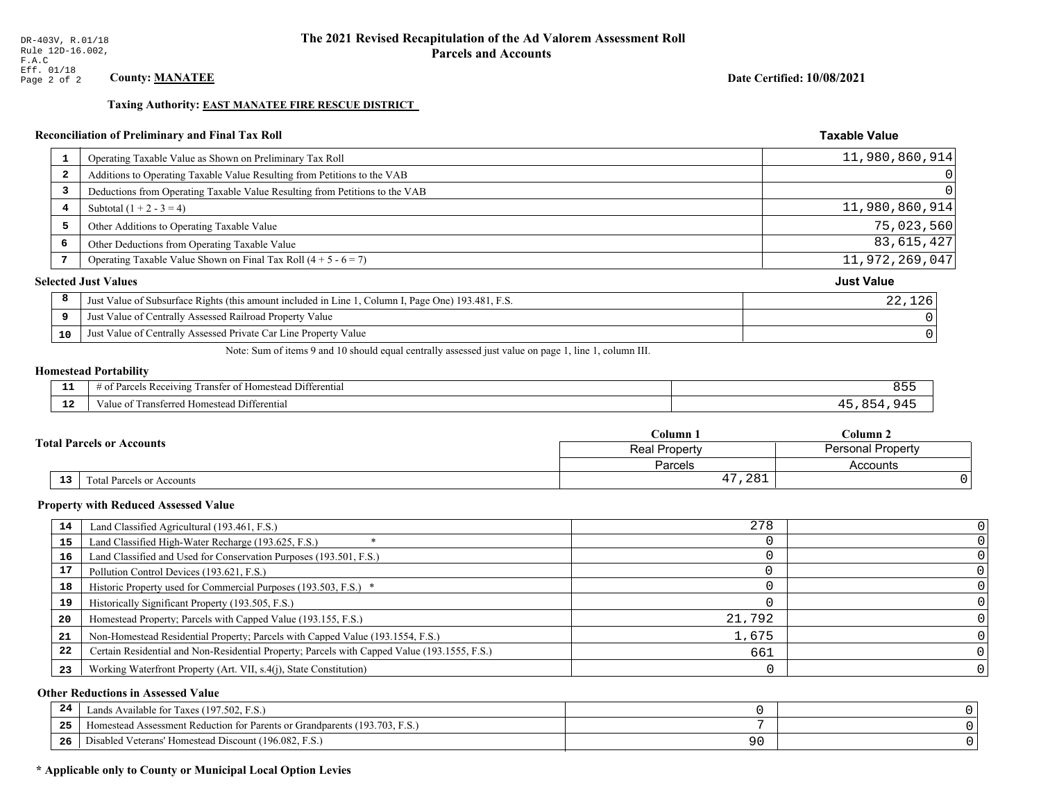### Date Certified: 10/08/2021

**Taxable Value** 

#### **Taxing Authority: EAST MANATEE FIRE RESCUE DISTRICT**

## Reconciliation of Preliminary and Final Tax Roll

|                         | Operating Taxable Value as Shown on Preliminary Tax Roll                                           | 11,980,860,914    |
|-------------------------|----------------------------------------------------------------------------------------------------|-------------------|
| $\overline{\mathbf{2}}$ | Additions to Operating Taxable Value Resulting from Petitions to the VAB                           | 0                 |
| 3                       | Deductions from Operating Taxable Value Resulting from Petitions to the VAB                        | $\Omega$          |
| 4                       | Subtotal $(1 + 2 - 3 = 4)$                                                                         | 11,980,860,914    |
| 5                       | Other Additions to Operating Taxable Value                                                         | 75,023,560        |
| 6                       | Other Deductions from Operating Taxable Value                                                      | 83, 615, 427      |
| 7                       | Operating Taxable Value Shown on Final Tax Roll $(4 + 5 - 6 = 7)$                                  | 11,972,269,047    |
|                         | <b>Selected Just Values</b>                                                                        | <b>Just Value</b> |
| 8                       | Just Value of Subsurface Rights (this amount included in Line 1, Column I, Page One) 193.481, F.S. | 22,126            |
| 9                       | Just Value of Centrally Assessed Railroad Property Value                                           |                   |
| 10                      | Just Value of Centrally Assessed Private Car Line Property Value                                   | C                 |

Note: Sum of items 9 and 10 should equal centrally assessed just value on page 1, line 1, column III.

## **Homestead Portability**

| --                   | l Differential<br>Parce<br>ranster<br>: Homestead<br>enving<br>' OT<br>- OT<br>11 U. | o p |
|----------------------|--------------------------------------------------------------------------------------|-----|
| $\sim$ $\sim$<br>. . | Transferred Homestead Differential<br>′alu                                           |     |

|                                  | $C$ olumn                                 | $_{\rm Column~2}$ |  |
|----------------------------------|-------------------------------------------|-------------------|--|
| <b>Total Parcels or Accounts</b> | Personal Property<br><b>Real Property</b> |                   |  |
|                                  | Parcels                                   | Accounts          |  |
| 13<br>Total Parcels or Accounts  | ',281<br>1 7                              |                   |  |

#### **Property with Reduced Assessed Value**

| 14 | Land Classified Agricultural (193.461, F.S.)                                                 | 278    |  |
|----|----------------------------------------------------------------------------------------------|--------|--|
| 15 | Land Classified High-Water Recharge (193.625, F.S.)                                          |        |  |
| 16 | Land Classified and Used for Conservation Purposes (193.501, F.S.)                           |        |  |
| 17 | Pollution Control Devices (193.621, F.S.)                                                    |        |  |
| 18 | Historic Property used for Commercial Purposes (193.503, F.S.) *                             |        |  |
| 19 | Historically Significant Property (193.505, F.S.)                                            |        |  |
| 20 | Homestead Property; Parcels with Capped Value (193.155, F.S.)                                | 21,792 |  |
| 21 | Non-Homestead Residential Property; Parcels with Capped Value (193.1554, F.S.)               | 1,675  |  |
| 22 | Certain Residential and Non-Residential Property; Parcels with Capped Value (193.1555, F.S.) | 661    |  |
| 23 | Working Waterfront Property (Art. VII, s.4(j), State Constitution)                           |        |  |

## **Other Reductions in Assessed Value**

| -24 | Lands Available for Taxes (197.502, F.S.)                                      |     |  |
|-----|--------------------------------------------------------------------------------|-----|--|
| .   | (193.703, F)<br>Aomestead Assessment Reduction for Parents or Grandparents (1) |     |  |
| -26 | I Veterans' Homestead Discount (196.082, F.S.)<br>Disabled                     | n c |  |

## \* Applicable only to County or Municipal Local Option Levies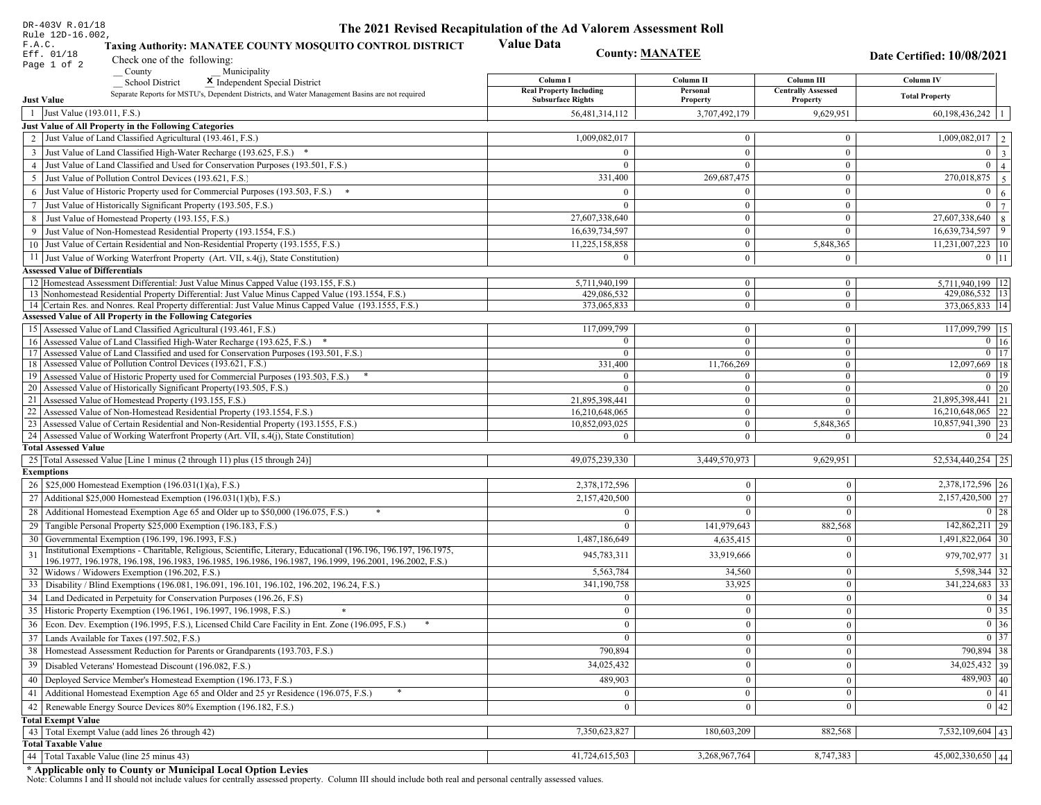| DR-403V R.01/18                          |                                                                                                                                                              | The 2021 Revised Recapitulation of the Ad Valorem Assessment Roll |                      |                                       |                                                                       |
|------------------------------------------|--------------------------------------------------------------------------------------------------------------------------------------------------------------|-------------------------------------------------------------------|----------------------|---------------------------------------|-----------------------------------------------------------------------|
| Rule 12D-16.002,<br>F.A.C.<br>Eff. 01/18 | <b>Taxing Authority: MANATEE COUNTY MOSQUITO CONTROL DISTRICT</b>                                                                                            | <b>Value Data</b><br><b>County: MANATEE</b>                       |                      |                                       |                                                                       |
| Page 1 of 2                              | Check one of the following:                                                                                                                                  |                                                                   |                      |                                       | Date Certified: 10/08/2021                                            |
|                                          | County<br>Municipality                                                                                                                                       | Column I                                                          | Column II            | Column III                            | Column IV                                                             |
| <b>Just Value</b>                        | <b>School District</b><br>X Independent Special District<br>Separate Reports for MSTU's, Dependent Districts, and Water Management Basins are not required   | <b>Real Property Including</b><br><b>Subsurface Rights</b>        | Personal<br>Property | <b>Centrally Assessed</b><br>Property | <b>Total Property</b>                                                 |
| Just Value (193.011, F.S.)<br>-1         |                                                                                                                                                              | 56,481,314,112                                                    | 3,707,492,179        | 9,629,951                             | $60,198,436,242$   1                                                  |
|                                          | Just Value of All Property in the Following Categories                                                                                                       |                                                                   |                      |                                       |                                                                       |
|                                          | 2 Just Value of Land Classified Agricultural (193.461, F.S.)                                                                                                 | 1,009,082,017                                                     | $\mathbf{0}$         | $\mathbf{0}$                          | $\overline{1,009,082,017}$   2                                        |
|                                          | 3 Just Value of Land Classified High-Water Recharge (193.625, F.S.) *                                                                                        | $\theta$                                                          | $\overline{0}$       | $\overline{0}$                        | $0 \mid 3 \mid$                                                       |
|                                          | 4 Just Value of Land Classified and Used for Conservation Purposes (193.501, F.S.)                                                                           | $\Omega$                                                          | $\overline{0}$       | $\mathbf{0}$                          | $\mathbf{0}$<br>$\overline{4}$                                        |
|                                          | 5 Just Value of Pollution Control Devices (193.621, F.S.)                                                                                                    | 331,400                                                           | 269,687,475          | $\overline{0}$                        | 270,018,875<br>5 <sup>1</sup>                                         |
|                                          | 6 Just Value of Historic Property used for Commercial Purposes (193.503, F.S.)                                                                               | $\theta$                                                          | $\mathbf{0}$         | $\overline{0}$                        | $0 \mid 6$                                                            |
|                                          | 7 Just Value of Historically Significant Property (193.505, F.S.)                                                                                            | $\Omega$                                                          | $\boldsymbol{0}$     | $\mathbf{0}$                          | $\mathbf{0}$<br>$7\phantom{.0}$                                       |
|                                          | 8 Just Value of Homestead Property (193.155, F.S.)                                                                                                           | 27,607,338,640                                                    | $\theta$             | $\mathbf{0}$                          | 27,607,338,640<br>$\mathbf{8}$                                        |
|                                          | 9 Just Value of Non-Homestead Residential Property (193.1554, F.S.)                                                                                          | 16,639,734,597                                                    | $\overline{0}$       | $\overline{0}$                        | $16,639,734,597$   9                                                  |
|                                          | 10 Just Value of Certain Residential and Non-Residential Property (193.1555, F.S.)                                                                           | 11,225,158,858                                                    | $\mathbf{0}$         | 5,848,365                             | $11,231,007,223$   10                                                 |
|                                          | 11 Just Value of Working Waterfront Property (Art. VII, s.4(j), State Constitution)                                                                          | $\theta$                                                          | $\overline{0}$       |                                       |                                                                       |
|                                          |                                                                                                                                                              |                                                                   |                      | $\bf{0}$                              | $0$   11                                                              |
| <b>Assessed Value of Differentials</b>   | 12 Homestead Assessment Differential: Just Value Minus Capped Value (193.155, F.S.)                                                                          | 5,711,940,199                                                     | $\mathbf{0}$         | $\mathbf{0}$                          | 5,711,940,199   12                                                    |
|                                          | 13 Nonhomestead Residential Property Differential: Just Value Minus Capped Value (193.1554, F.S.)                                                            | 429.086.532                                                       | $\mathbf{0}$         | $\mathbf{0}$                          | 429,086,532   13                                                      |
|                                          | 14 Certain Res. and Nonres. Real Property differential: Just Value Minus Capped Value (193.1555, F.S.)                                                       | 373,065,833                                                       | $\overline{0}$       | $\mathbf{0}$                          | 373,065,833   14                                                      |
|                                          | <b>Assessed Value of All Property in the Following Categories</b>                                                                                            |                                                                   |                      |                                       |                                                                       |
|                                          | 15 Assessed Value of Land Classified Agricultural (193.461, F.S.)                                                                                            | 117,099,799                                                       | $\mathbf{0}$         | $\mathbf{0}$                          | 117,099,799 15                                                        |
|                                          | 16 Assessed Value of Land Classified High-Water Recharge (193.625, F.S.)                                                                                     | $\Omega$                                                          | $\mathbf{0}$         | $\mathbf{0}$                          | $0 \mid 16$                                                           |
|                                          | 17 Assessed Value of Land Classified and used for Conservation Purposes (193.501, F.S.)                                                                      | $\mathbf{0}$                                                      | $\mathbf{0}$         | $\mathbf{0}$                          | $\boxed{0}$ 17                                                        |
|                                          | 18 Assessed Value of Pollution Control Devices (193.621, F.S.)                                                                                               | 331,400                                                           | 11,766,269           | $\overline{0}$                        | 12,097,669 18                                                         |
|                                          | 19 Assessed Value of Historic Property used for Commercial Purposes (193.503, F.S.)                                                                          |                                                                   | $\mathbf{0}$         | $\overline{0}$                        | $\boxed{0}$ 19                                                        |
|                                          | 20 Assessed Value of Historically Significant Property (193.505, F.S.)                                                                                       | $\Omega$                                                          | $\overline{0}$       | $\overline{0}$                        | $0 \mid 20$                                                           |
|                                          | 21 Assessed Value of Homestead Property (193.155, F.S.)                                                                                                      | 21,895,398,441                                                    | $\mathbf{0}$         | $\boldsymbol{0}$                      | 21,895,398,441 21                                                     |
|                                          | 22 Assessed Value of Non-Homestead Residential Property (193.1554, F.S.)                                                                                     | 16,210,648,065                                                    | $\overline{0}$       | $\mathbf{0}$                          | $16,210,648,065$ 22                                                   |
|                                          | 23 Assessed Value of Certain Residential and Non-Residential Property (193.1555, F.S.)                                                                       | 10,852,093,025                                                    | $\mathbf{0}$         | 5,848,365                             | 10,857,941,390 23                                                     |
|                                          | 24 Assessed Value of Working Waterfront Property (Art. VII, s.4(j), State Constitution)                                                                      | $\Omega$                                                          | $\mathbf{0}$         | $\Omega$                              | $0 \mid 24$                                                           |
| <b>Total Assessed Value</b>              |                                                                                                                                                              |                                                                   |                      |                                       |                                                                       |
|                                          | 25 Total Assessed Value [Line 1 minus (2 through 11) plus (15 through 24)]                                                                                   | 49,075,239,330                                                    | 3,449,570,973        | 9,629,951                             | 52,534,440,254 25                                                     |
| <b>Exemptions</b>                        |                                                                                                                                                              |                                                                   |                      |                                       | 2,378,172,596 26                                                      |
|                                          | 26   \$25,000 Homestead Exemption (196.031(1)(a), F.S.)                                                                                                      | 2,378,172,596                                                     | $\Omega$             | $\mathbf{0}$                          |                                                                       |
|                                          | 27   Additional \$25,000 Homestead Exemption (196.031(1)(b), F.S.)                                                                                           | 2,157,420,500                                                     | $\theta$             | $\theta$                              | $\overline{2,157,420,500}$ 27                                         |
|                                          | 28 Additional Homestead Exemption Age 65 and Older up to \$50,000 (196.075, F.S.)<br>*                                                                       |                                                                   |                      | $\theta$                              | $0 \mid 28$                                                           |
|                                          | 29 Tangible Personal Property \$25,000 Exemption (196.183, F.S.)                                                                                             |                                                                   | 141,979,643          | 882,568                               | $142,862,211$ 29                                                      |
|                                          | 30 Governmental Exemption (196.199, 196.1993, F.S.)                                                                                                          | 1,487,186,649                                                     | 4,635,415            | $\mathbf{0}$                          | 1,491,822,064 30                                                      |
|                                          | Institutional Exemptions - Charitable, Religious, Scientific, Literary, Educational (196.196, 196.197, 196.1975,                                             | 945,783,311                                                       | 33,919,666           | $\mathbf{0}$                          | 979,702,977 31                                                        |
|                                          | 196.1977, 196.1978, 196.198, 196.1983, 196.1985, 196.1986, 196.1987, 196.1999, 196.2001, 196.2002, F.S.)<br>32   Widows / Widowers Exemption (196.202, F.S.) | 5,563,784                                                         | 34,560               | $\mathbf{0}$                          | $5,598,344$ 32                                                        |
|                                          | 33 Disability / Blind Exemptions (196.081, 196.091, 196.101, 196.102, 196.202, 196.24, F.S.)                                                                 | 341,190,758                                                       | 33,925               | $\mathbf{0}$                          | $341,224,683$ 3                                                       |
|                                          | 34 Land Dedicated in Perpetuity for Conservation Purposes (196.26, F.S)                                                                                      | $\Omega$                                                          | $\mathbf{0}$         | $\mathbf{0}$                          | 0 34                                                                  |
|                                          | 35 Historic Property Exemption (196.1961, 196.1997, 196.1998, F.S.)                                                                                          | $\theta$                                                          | $\bf{0}$             | $\boldsymbol{0}$                      |                                                                       |
|                                          | 36 Econ. Dev. Exemption (196.1995, F.S.), Licensed Child Care Facility in Ent. Zone (196.095, F.S.)                                                          | $\theta$                                                          | $\Omega$             |                                       | $\begin{array}{ c c }\n\hline\n0 & 35 \\ \hline\n0 & 36\n\end{array}$ |
|                                          |                                                                                                                                                              |                                                                   |                      | $\theta$                              | $\boxed{0}$ 37                                                        |
|                                          | 37 Lands Available for Taxes (197.502, F.S.)                                                                                                                 | $\bf{0}$                                                          | $\mathbf{0}$         | $\mathbf{0}$                          |                                                                       |
|                                          | 38   Homestead Assessment Reduction for Parents or Grandparents (193.703, F.S.)                                                                              | 790,894                                                           |                      | $\mathbf{0}$                          | 790,894 38                                                            |
|                                          | 39   Disabled Veterans' Homestead Discount (196.082, F.S.)                                                                                                   | 34,025,432                                                        | $\overline{0}$       | $\mathbf{0}$                          | $34,025,432$ 39                                                       |
|                                          | 40   Deployed Service Member's Homestead Exemption (196.173, F.S.)                                                                                           | 489,903                                                           | $\theta$             | $\mathbf{0}$                          | 489,903 40                                                            |
|                                          | 41 Additional Homestead Exemption Age 65 and Older and 25 yr Residence (196.075, F.S.)                                                                       |                                                                   | $\mathbf{0}$         | $\mathbf{0}$                          | 0 41                                                                  |
|                                          | 42 Renewable Energy Source Devices 80% Exemption (196.182, F.S.)                                                                                             | $\theta$                                                          |                      | $\theta$                              | $\boxed{0}$ 42                                                        |
| <b>Total Exempt Value</b>                |                                                                                                                                                              |                                                                   |                      |                                       |                                                                       |
|                                          | 43 Total Exempt Value (add lines 26 through 42)                                                                                                              | 7,350,623,827                                                     | 180,603,209          | 882,568                               | 7,532,109,604   43                                                    |
| <b>Total Taxable Value</b>               |                                                                                                                                                              |                                                                   |                      |                                       |                                                                       |
|                                          | 44 Total Taxable Value (line 25 minus 43)                                                                                                                    | 41,724,615,503                                                    | 3,268,967,764        | 8,747,383                             | 45,002,330,650 44                                                     |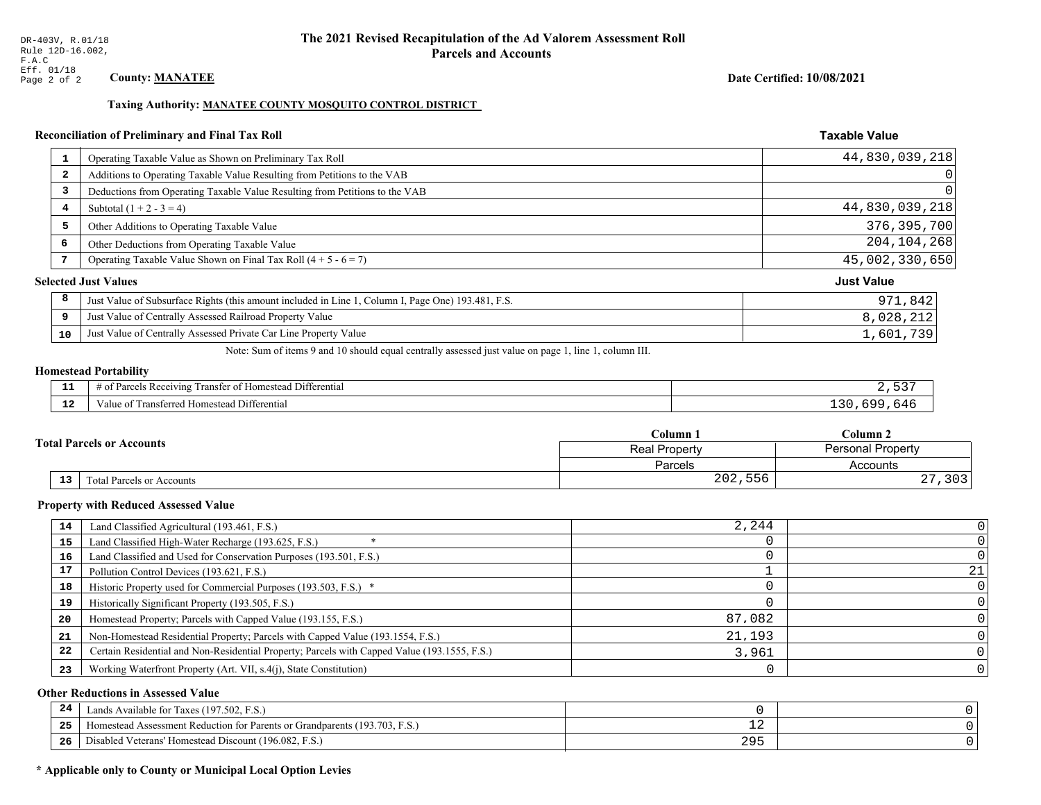## Taxing Authority: MANATEE COUNTY MOSQUITO CONTROL DISTRICT

## Reconciliation of Preliminary and Final Tax Roll

| $\mathbf{1}$            | Operating Taxable Value as Shown on Preliminary Tax Roll                                           | 44,830,039,218    |
|-------------------------|----------------------------------------------------------------------------------------------------|-------------------|
| $\overline{\mathbf{2}}$ | Additions to Operating Taxable Value Resulting from Petitions to the VAB                           | 0                 |
| 3                       | Deductions from Operating Taxable Value Resulting from Petitions to the VAB                        | 0                 |
| 4                       | Subtotal $(1 + 2 - 3 = 4)$                                                                         | 44,830,039,218    |
| 5                       | Other Additions to Operating Taxable Value                                                         | 376, 395, 700     |
| 6                       | Other Deductions from Operating Taxable Value                                                      | 204, 104, 268     |
|                         | Operating Taxable Value Shown on Final Tax Roll $(4 + 5 - 6 = 7)$                                  | 45,002,330,650    |
|                         | <b>Selected Just Values</b>                                                                        | <b>Just Value</b> |
| 8                       | Just Value of Subsurface Rights (this amount included in Line 1, Column I, Page One) 193.481, F.S. | 971,842           |
| 9                       | Just Value of Centrally Assessed Railroad Property Value                                           | 8,028,212         |
| 10                      | Just Value of Centrally Assessed Private Car Line Property Value                                   | 1,601,739         |

Note: Sum of items 9 and 10 should equal centrally assessed just value on page 1, line 1, column III.

## **Homestead Portability**

| .   | $\cdots$<br>$\sim$ $-$<br>. Differential<br>Parce.<br>ranster<br>' ot F<br>≅ Rec∈<br>eivins<br>ΩŤ<br><b>The Contract Contract of the Contract of the Contract of the Contract of the Contract of the Contract of the Contract of the Contract of The Contract of The Contract of The Contract of The Contract of The Contract of The </b> | $ -$ |
|-----|-------------------------------------------------------------------------------------------------------------------------------------------------------------------------------------------------------------------------------------------------------------------------------------------------------------------------------------------|------|
| -44 | --<br>omestead Differential<br><b>CHAMATALLA HIMM.</b><br>alue oi<br>Transferred Ho                                                                                                                                                                                                                                                       | nд   |

| <b>Fotal Parcels or Accounts</b> |                           | Column 1      | Column <sub>2</sub>      |  |
|----------------------------------|---------------------------|---------------|--------------------------|--|
|                                  |                           | Real Property | <b>Personal Property</b> |  |
|                                  |                           | Parcels       | Accounts                 |  |
| 13                               | Total Parcels or Accounts | 202,556       | າ ດາ<br>ر ں ر<br>، ہے    |  |

#### **Property with Reduced Assessed Value**

| 14 | Land Classified Agricultural (193.461, F.S.)                                                 | 2,244  |    |
|----|----------------------------------------------------------------------------------------------|--------|----|
| 15 | Land Classified High-Water Recharge (193.625, F.S.)                                          |        |    |
| 16 | Land Classified and Used for Conservation Purposes (193.501, F.S.)                           |        |    |
| 17 | Pollution Control Devices (193.621, F.S.)                                                    |        | 21 |
| 18 | Historic Property used for Commercial Purposes (193.503, F.S.) *                             |        |    |
| 19 | Historically Significant Property (193.505, F.S.)                                            |        |    |
| 20 | Homestead Property; Parcels with Capped Value (193.155, F.S.)                                | 87,082 |    |
| 21 | Non-Homestead Residential Property; Parcels with Capped Value (193.1554, F.S.)               | 21,193 |    |
| 22 | Certain Residential and Non-Residential Property; Parcels with Capped Value (193.1555, F.S.) | 3,961  |    |
| 23 | Working Waterfront Property (Art. VII, s.4(j), State Constitution)                           |        |    |

## **Other Reductions in Assessed Value**

| 24    | Lands Available for Taxes (197.502, F.S.)                                  |             |  |
|-------|----------------------------------------------------------------------------|-------------|--|
| - - - | Homestead Assessment Reduction for Parents or Grandparents (193.703, F.S.) | - 4         |  |
| -26   | Disabled Veterans' Homestead Discount (196.082, F.<br>F.S.                 | 20r<br>ر رے |  |

## \* Applicable only to County or Municipal Local Option Levies

Date Certified: 10/08/2021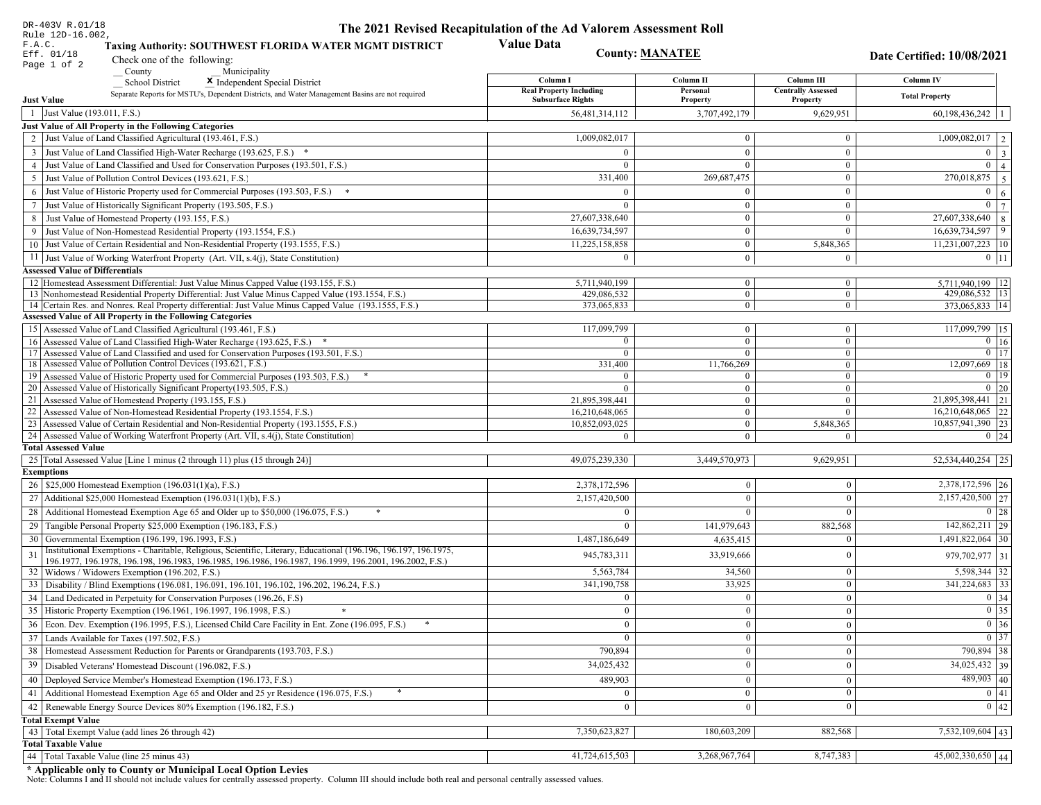| DR-403V R.01/18                                                                                                                                                                                             | The 2021 Revised Recapitulation of the Ad Valorem Assessment Roll |                                  |                                         |                                      |  |
|-------------------------------------------------------------------------------------------------------------------------------------------------------------------------------------------------------------|-------------------------------------------------------------------|----------------------------------|-----------------------------------------|--------------------------------------|--|
| Rule 12D-16.002,<br>Taxing Authority: SOUTHWEST FLORIDA WATER MGMT DISTRICT<br>F.A.C.<br>Eff. 01/18<br>Check one of the following:                                                                          | <b>Value Data</b>                                                 | <b>County: MANATEE</b>           |                                         | Date Certified: 10/08/2021           |  |
| Page 1 of 2<br>County<br>Municipality                                                                                                                                                                       |                                                                   |                                  |                                         |                                      |  |
| <b>School District</b><br>X Independent Special District                                                                                                                                                    | Column I<br><b>Real Property Including</b>                        | Column II<br>Personal            | Column III<br><b>Centrally Assessed</b> | Column IV                            |  |
| Separate Reports for MSTU's, Dependent Districts, and Water Management Basins are not required<br><b>Just Value</b>                                                                                         | <b>Subsurface Rights</b>                                          | Property                         | Property                                | <b>Total Property</b>                |  |
| 1 Just Value (193.011, F.S.)                                                                                                                                                                                | 56,481,314,112                                                    | 3,707,492,179                    | 9,629,951                               | 60,198,436,242                       |  |
| Just Value of All Property in the Following Categories                                                                                                                                                      |                                                                   |                                  |                                         |                                      |  |
| 2 Just Value of Land Classified Agricultural (193.461, F.S.)                                                                                                                                                | 1,009,082,017                                                     | $\bf{0}$                         | $\bf{0}$                                | $\overline{1,009,082,017}$   2       |  |
| 3 Just Value of Land Classified High-Water Recharge (193.625, F.S.) *                                                                                                                                       | $\Omega$                                                          | $\mathbf{0}$                     | $\bf{0}$                                | $0 \mid 3 \mid$                      |  |
| 4 Just Value of Land Classified and Used for Conservation Purposes (193.501, F.S.)                                                                                                                          | $\Omega$                                                          | $\overline{0}$                   | $\mathbf{0}$                            | $\overline{0}$   4                   |  |
| 5 Just Value of Pollution Control Devices (193.621, F.S.)                                                                                                                                                   | 331,400                                                           | 269,687,475                      | $\bf{0}$                                | 270,018,875 5                        |  |
| 6 Just Value of Historic Property used for Commercial Purposes (193.503, F.S.) $*$                                                                                                                          | $\Omega$                                                          | $\Omega$                         | $\bf{0}$                                | $\mathbf{0}$<br>6                    |  |
| 7 Just Value of Historically Significant Property (193.505, F.S.)                                                                                                                                           | $\Omega$                                                          | $\overline{0}$                   | $\mathbf{0}$                            | $0 \mid 7 \mid$                      |  |
| 8 Just Value of Homestead Property (193.155, F.S.)                                                                                                                                                          | 27,607,338,640                                                    | $\bf{0}$                         | $\overline{0}$                          | 27,607,338,640<br>$\overline{8}$     |  |
| 9 Just Value of Non-Homestead Residential Property (193.1554, F.S.)                                                                                                                                         | 16,639,734,597                                                    | $\overline{0}$                   | $\overline{0}$                          | 16,639,734,597<br>9                  |  |
| 10 Just Value of Certain Residential and Non-Residential Property (193.1555, F.S.)                                                                                                                          | 11,225,158,858                                                    | $\mathbf{0}$                     | 5,848,365                               | $11,231,007,223$   10                |  |
| 11 Just Value of Working Waterfront Property (Art. VII, s.4(j), State Constitution)                                                                                                                         | $\Omega$                                                          | $\mathbf{0}$                     | $\bf{0}$                                | $0 \mid 11$                          |  |
| <b>Assessed Value of Differentials</b>                                                                                                                                                                      |                                                                   |                                  |                                         |                                      |  |
| 12 Homestead Assessment Differential: Just Value Minus Capped Value (193.155, F.S.)                                                                                                                         | 5,711,940,199                                                     | $\bf{0}$                         | $\bf{0}$                                | 5,711,940,199   12                   |  |
| 13 Nonhomestead Residential Property Differential: Just Value Minus Capped Value (193.1554, F.S.)<br>14 Certain Res. and Nonres. Real Property differential: Just Value Minus Capped Value (193.1555, F.S.) | 429,086,532<br>373,065,833                                        | $\overline{0}$<br>$\overline{0}$ | $\overline{0}$<br>$\mathbf{0}$          | 429,086,532   13<br>373,065,833   14 |  |
| Assessed Value of All Property in the Following Categories                                                                                                                                                  |                                                                   |                                  |                                         |                                      |  |
| 15 Assessed Value of Land Classified Agricultural (193.461, F.S.)                                                                                                                                           | 117,099,799                                                       | $\mathbf{0}$                     | $\bf{0}$                                | 117,099,799 15                       |  |
| 16 Assessed Value of Land Classified High-Water Recharge (193.625, F.S.) *                                                                                                                                  |                                                                   | $\overline{0}$                   | $\bf{0}$                                | $0 \mid 16$                          |  |
| Assessed Value of Land Classified and used for Conservation Purposes (193.501, F.S.)<br>17                                                                                                                  | $\Omega$                                                          | $\mathbf{0}$                     | $\mathbf{0}$                            | $0$   17                             |  |
| Assessed Value of Pollution Control Devices (193.621, F.S.)<br>18                                                                                                                                           | 331,400                                                           | 11,766,269                       | $\mathbf{0}$                            | 12,097,669 18                        |  |
| 19 Assessed Value of Historic Property used for Commercial Purposes (193.503, F.S.)                                                                                                                         | $\Omega$                                                          | $\bf{0}$                         | $\mathbf{0}$                            | $0$   19                             |  |
| 20 Assessed Value of Historically Significant Property (193.505, F.S.)<br>21 Assessed Value of Homestead Property (193.155, F.S.)                                                                           | $\Omega$                                                          | $\overline{0}$<br>$\overline{0}$ | $\overline{0}$<br>$\mathbf{0}$          | $0 \mid 20$<br>21,895,398,441 21     |  |
| 22 Assessed Value of Non-Homestead Residential Property (193.1554, F.S.)                                                                                                                                    | 21,895,398,441<br>16,210,648,065                                  | $\overline{0}$                   | $\overline{0}$                          | $16,210,648,065$ 22                  |  |
| 23 Assessed Value of Certain Residential and Non-Residential Property (193.1555, F.S.)                                                                                                                      | 10,852,093,025                                                    | $\overline{0}$                   | 5,848,365                               | 10,857,941,390 23                    |  |
| 24 Assessed Value of Working Waterfront Property (Art. VII, s.4(j), State Constitution)                                                                                                                     |                                                                   | $\overline{0}$                   | $\theta$                                | $0 \mid 24$                          |  |
| <b>Total Assessed Value</b>                                                                                                                                                                                 |                                                                   |                                  |                                         |                                      |  |
| 25 Total Assessed Value [Line 1 minus (2 through 11) plus (15 through 24)]                                                                                                                                  | 49,075,239,330                                                    | 3,449,570,973                    | 9,629,951                               | 52,534,440,254 25                    |  |
| <b>Exemptions</b>                                                                                                                                                                                           |                                                                   |                                  |                                         |                                      |  |
| 26   \$25,000 Homestead Exemption (196.031(1)(a), F.S.)                                                                                                                                                     | 2,378,172,596                                                     | $\theta$                         | $\mathbf{0}$                            | 2,378,172,596 26                     |  |
| 27   Additional \$25,000 Homestead Exemption (196.031(1)(b), F.S.)                                                                                                                                          | 2,157,420,500                                                     | $\Omega$                         | $\Omega$                                | 2,157,420,500 27                     |  |
| 28 Additional Homestead Exemption Age 65 and Older up to \$50,000 (196.075, F.S.)                                                                                                                           | $\Omega$                                                          | $\Omega$                         | $\Omega$                                | $0 \mid 28$                          |  |
| 29 Tangible Personal Property \$25,000 Exemption (196.183, F.S.)                                                                                                                                            |                                                                   | 141,979,643                      | 882,568                                 | $142,862,211$   29                   |  |
| 30 Governmental Exemption (196.199, 196.1993, F.S.)                                                                                                                                                         | 1,487,186,649                                                     | 4,635,415                        | $\Omega$                                | 1,491,822,064 30                     |  |
| Institutional Exemptions - Charitable, Religious, Scientific, Literary, Educational (196.196, 196.197, 196.1975,                                                                                            | 945,783,311                                                       | 33,919,666                       | $\mathbf{0}$                            | 979,702,977 31                       |  |
| 196.1977, 196.1978, 196.198, 196.1983, 196.1985, 196.1986, 196.1987, 196.1999, 196.2001, 196.2002, F.S.)<br>32 Widows / Widowers Exemption (196.202, F.S.)                                                  | 5,563,784                                                         | 34,560                           | $\mathbf{0}$                            | 5,598,344 32                         |  |
| 33 Disability / Blind Exemptions (196.081, 196.091, 196.101, 196.102, 196.202, 196.24, F.S.)                                                                                                                | 341,190,758                                                       | 33,925                           | $\mathbf{0}$                            | 341,224,683 33                       |  |
| 34 Land Dedicated in Perpetuity for Conservation Purposes (196.26, F.S)                                                                                                                                     |                                                                   | $\theta$                         | $\theta$                                | $0 \mid 34$                          |  |
| 35 Historic Property Exemption (196.1961, 196.1997, 196.1998, F.S.)                                                                                                                                         | 0                                                                 | $\mathbf{U}$                     | $\mathbf{0}$                            | $\boxed{0}$ 35                       |  |
| 36 Econ. Dev. Exemption (196.1995, F.S.), Licensed Child Care Facility in Ent. Zone (196.095, F.S.)                                                                                                         | $\Omega$                                                          | $\Omega$                         | $\Omega$                                | $\boxed{0}$ 36                       |  |
| 37 Lands Available for Taxes (197.502, F.S.)                                                                                                                                                                |                                                                   | $\Omega$                         | $\mathbf{0}$                            | $0 \mid 37$                          |  |
| 38   Homestead Assessment Reduction for Parents or Grandparents (193.703, F.S.)                                                                                                                             | 790,894                                                           | $\bf{0}$                         | $\boldsymbol{0}$                        | 790,894 38                           |  |
| 39   Disabled Veterans' Homestead Discount (196.082, F.S.)                                                                                                                                                  | 34,025,432                                                        |                                  | $\mathbf{0}$                            | $34,025,432$ 39                      |  |
| 40 Deployed Service Member's Homestead Exemption (196.173, F.S.)                                                                                                                                            |                                                                   | $\theta$                         |                                         | $489,903$ 40                         |  |
|                                                                                                                                                                                                             | 489,903                                                           |                                  | $\Omega$<br>$\mathbf{0}$                | $\boxed{0}$ 41                       |  |
| 41   Additional Homestead Exemption Age 65 and Older and 25 yr Residence (196.075, F.S.)                                                                                                                    | $\mathbf{0}$                                                      | $\mathbf{0}$                     | $\mathbf{0}$                            |                                      |  |
| 42 Renewable Energy Source Devices 80% Exemption (196.182, F.S.)                                                                                                                                            | $\bf{0}$                                                          | $\theta$                         |                                         | 0 42                                 |  |
| <b>Total Exempt Value</b><br>43 Total Exempt Value (add lines 26 through 42)                                                                                                                                | 7,350,623,827                                                     | 180,603,209                      | 882,568                                 | $7,532,109,604$ 43                   |  |
| <b>Total Taxable Value</b>                                                                                                                                                                                  |                                                                   |                                  |                                         |                                      |  |
| 44   Total Taxable Value (line 25 minus 43)                                                                                                                                                                 | 41,724,615,503                                                    | 3,268,967,764                    | 8,747,383                               | $45,002,330,650$ 44                  |  |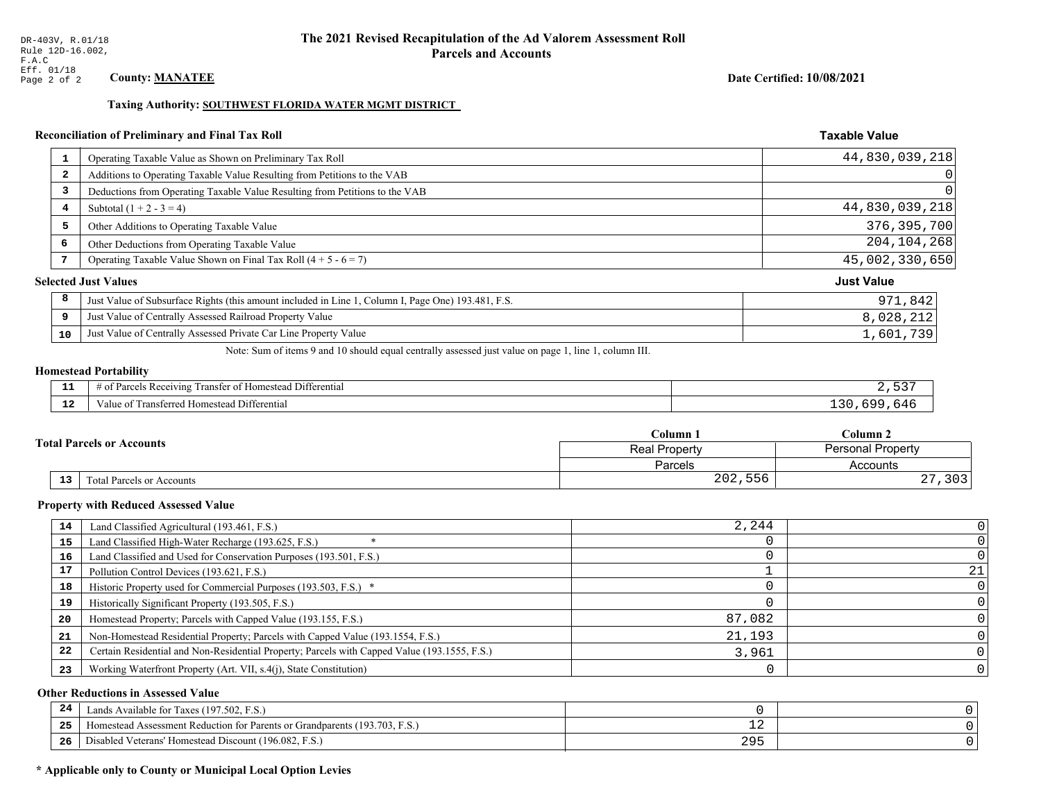## Taxing Authority: SOUTHWEST FLORIDA WATER MGMT DISTRICT

## Reconciliation of Preliminary and Final Tax Roll

| 1                       | Operating Taxable Value as Shown on Preliminary Tax Roll                                           | 44,830,039,218    |
|-------------------------|----------------------------------------------------------------------------------------------------|-------------------|
| $\overline{\mathbf{2}}$ | Additions to Operating Taxable Value Resulting from Petitions to the VAB                           | 0                 |
| 3                       | Deductions from Operating Taxable Value Resulting from Petitions to the VAB                        | $\Omega$          |
| 4                       | Subtotal $(1 + 2 - 3 = 4)$                                                                         | 44,830,039,218    |
| 5                       | Other Additions to Operating Taxable Value                                                         | 376, 395, 700     |
| 6                       | Other Deductions from Operating Taxable Value                                                      | 204, 104, 268     |
| 7                       | Operating Taxable Value Shown on Final Tax Roll $(4 + 5 - 6 = 7)$                                  | 45,002,330,650    |
|                         | <b>Selected Just Values</b>                                                                        | <b>Just Value</b> |
| 8                       | Just Value of Subsurface Rights (this amount included in Line 1, Column I, Page One) 193.481, F.S. | 971,842           |
| 9                       | Just Value of Centrally Assessed Railroad Property Value                                           | 8,028,212         |
| 10                      | Just Value of Centrally Assessed Private Car Line Property Value                                   | 1,601,739         |

Note: Sum of items 9 and 10 should equal centrally assessed just value on page 1, line 1, column III.

### **Homestead Portability**

| --       | $\mathbf{r}$<br>f Darcale<br>l Differentia.<br><b>Receiving</b><br>' ∩†<br>anstei<br>esteau<br>Hom<br>ະດ† | $ -$        |
|----------|-----------------------------------------------------------------------------------------------------------|-------------|
| . .<br>. | -<br>Transferred Homestead Differential<br>alue                                                           | <u>. 11</u> |

| <b>Fotal Parcels or Accounts</b> |                           | Column 1      | Column <sub>2</sub>      |  |
|----------------------------------|---------------------------|---------------|--------------------------|--|
|                                  |                           | Real Property | <b>Personal Property</b> |  |
|                                  |                           | Parcels       | Accounts                 |  |
| 13                               | Total Parcels or Accounts | 202,556       | າ ດາ<br>ر ں ر<br>، ہے    |  |

#### **Property with Reduced Assessed Value**

| 14 | Land Classified Agricultural (193.461, F.S.)                                                 | 2,244  |    |
|----|----------------------------------------------------------------------------------------------|--------|----|
| 15 | Land Classified High-Water Recharge (193.625, F.S.)                                          |        |    |
| 16 | Land Classified and Used for Conservation Purposes (193.501, F.S.)                           |        |    |
| 17 | Pollution Control Devices (193.621, F.S.)                                                    |        | 21 |
| 18 | Historic Property used for Commercial Purposes (193.503, F.S.) *                             |        |    |
| 19 | Historically Significant Property (193.505, F.S.)                                            |        |    |
| 20 | Homestead Property; Parcels with Capped Value (193.155, F.S.)                                | 87,082 |    |
| 21 | Non-Homestead Residential Property; Parcels with Capped Value (193.1554, F.S.)               | 21,193 |    |
| 22 | Certain Residential and Non-Residential Property; Parcels with Capped Value (193.1555, F.S.) | 3,961  |    |
| 23 | Working Waterfront Property (Art. VII, s.4(j), State Constitution)                           |        |    |

## **Other Reductions in Assessed Value**

| 24    | Lands Available for Taxes (197.502, F.S.)                                  |             |  |
|-------|----------------------------------------------------------------------------|-------------|--|
| - - - | Homestead Assessment Reduction for Parents or Grandparents (193.703, F.S.) | - 4         |  |
| -26   | Disabled Veterans' Homestead Discount (196.082, F.<br>F.S.                 | 20r<br>ر رے |  |

## \* Applicable only to County or Municipal Local Option Levies

**Taxable Value** 

Date Certified: 10/08/2021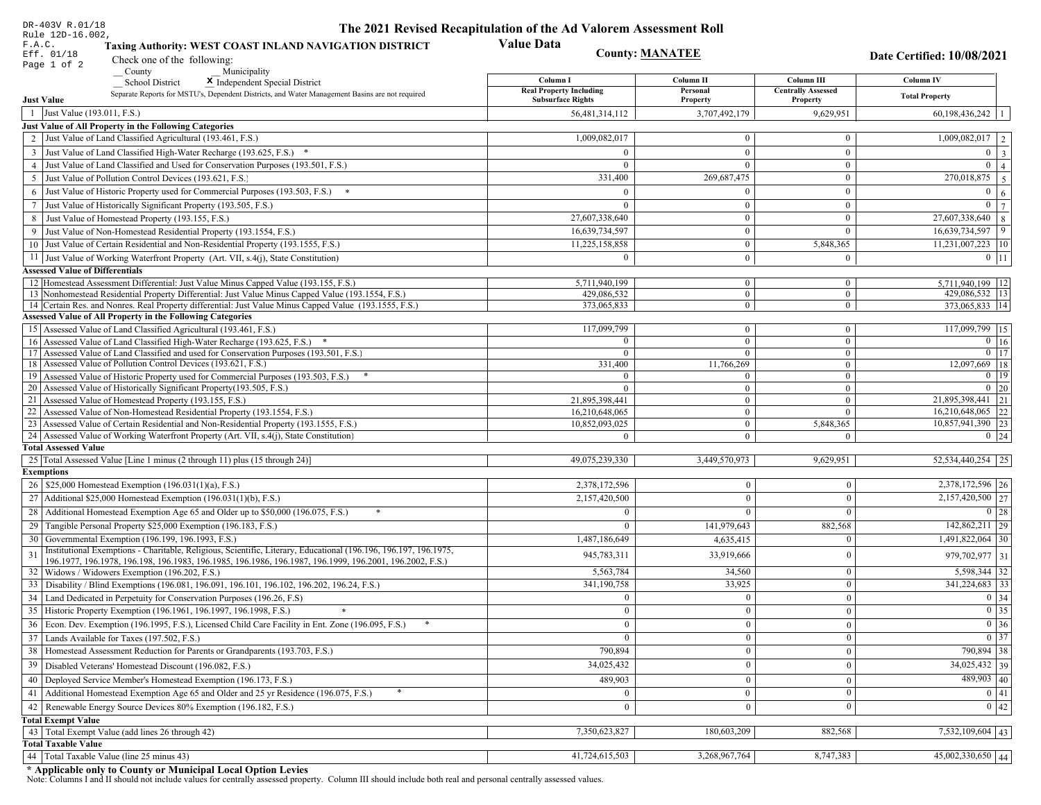| DR-403V R.01/18                                                                                                                                                         | The 2021 Revised Recapitulation of the Ad Valorem Assessment Roll |                            |                                |                                   |  |
|-------------------------------------------------------------------------------------------------------------------------------------------------------------------------|-------------------------------------------------------------------|----------------------------|--------------------------------|-----------------------------------|--|
| Rule 12D-16.002,<br>F.A.C.<br>Taxing Authority: WEST COAST INLAND NAVIGATION DISTRICT<br>Eff. 01/18                                                                     | <b>County: MANATEE</b>                                            |                            | Date Certified: 10/08/2021     |                                   |  |
| Check one of the following:<br>Page 1 of 2                                                                                                                              |                                                                   |                            |                                |                                   |  |
| County<br>Municipality<br><b>School District</b><br>X Independent Special District                                                                                      | Column I                                                          | Column II                  | Column III                     | <b>Column IV</b>                  |  |
| Separate Reports for MSTU's, Dependent Districts, and Water Management Basins are not required                                                                          | <b>Real Property Including</b>                                    | Personal                   | <b>Centrally Assessed</b>      | <b>Total Property</b>             |  |
| <b>Just Value</b>                                                                                                                                                       | <b>Subsurface Rights</b>                                          | Property                   | Property                       |                                   |  |
| 1 Just Value (193.011, F.S.)                                                                                                                                            | 56,481,314,112                                                    | 3,707,492,179              | 9,629,951                      | 60,198,436,242                    |  |
| Just Value of All Property in the Following Categories<br>2 Just Value of Land Classified Agricultural (193.461, F.S.)                                                  | 1,009,082,017                                                     | $\mathbf{0}$               | $\mathbf{0}$                   | $\overline{1,009,082,017}$   2    |  |
| 3 Just Value of Land Classified High-Water Recharge (193.625, F.S.) *                                                                                                   | $\Omega$                                                          | $\mathbf{0}$               | $\mathbf{0}$                   | $0 \mid 3 \mid$                   |  |
| 4 Just Value of Land Classified and Used for Conservation Purposes (193.501, F.S.)                                                                                      | $\Omega$                                                          | $\overline{0}$             | $\mathbf{0}$                   | $0 \mid 4 \mid$                   |  |
| 5 Just Value of Pollution Control Devices (193.621, F.S.)                                                                                                               | 331,400                                                           | 269,687,475                | $\mathbf{0}$                   | 270,018,875 5                     |  |
| 6 Just Value of Historic Property used for Commercial Purposes (193.503, F.S.) *                                                                                        | $\Omega$                                                          | $\Omega$                   | $\mathbf{0}$                   | $\mathbf{0}$                      |  |
| 7 Just Value of Historically Significant Property (193.505, F.S.)                                                                                                       | $\theta$                                                          | $\overline{0}$             | $\mathbf{0}$                   | 6 <sup>1</sup><br>$0 \mid 7 \mid$ |  |
| 8 Just Value of Homestead Property (193.155, F.S.)                                                                                                                      | 27,607,338,640                                                    | $\overline{0}$             | $\mathbf{0}$                   | $27,607,338,640$ 8                |  |
| 9 Just Value of Non-Homestead Residential Property (193.1554, F.S.)                                                                                                     | 16,639,734,597                                                    | $\boldsymbol{0}$           | $\overline{0}$                 | 16,639,734,597<br>9               |  |
| 10 Just Value of Certain Residential and Non-Residential Property (193.1555, F.S.)                                                                                      | 11,225,158,858                                                    | $\mathbf{0}$               | 5,848,365                      | $11,231,007,223$   10             |  |
|                                                                                                                                                                         | $\Omega$                                                          | $\overline{0}$             |                                |                                   |  |
| 11 Just Value of Working Waterfront Property (Art. VII, s.4(j), State Constitution)<br><b>Assessed Value of Differentials</b>                                           |                                                                   |                            | $\bf{0}$                       | $0$   11                          |  |
| 12   Homestead Assessment Differential: Just Value Minus Capped Value (193.155, F.S.)                                                                                   | 5,711,940,199                                                     | $\mathbf{0}$               | $\bf{0}$                       | 5,711,940,199   12                |  |
| 13 Nonhomestead Residential Property Differential: Just Value Minus Capped Value (193.1554, F.S.)                                                                       | 429.086.532                                                       | $\overline{0}$             | $\overline{0}$                 | 429,086,532   13                  |  |
| 14 Certain Res. and Nonres. Real Property differential: Just Value Minus Capped Value (193.1555, F.S.)                                                                  | 373,065,833                                                       | $\mathbf{0}$               | $\mathbf{0}$                   | 373,065,833 14                    |  |
| <b>Assessed Value of All Property in the Following Categories</b>                                                                                                       |                                                                   |                            |                                |                                   |  |
| 15 Assessed Value of Land Classified Agricultural (193.461, F.S.)                                                                                                       | 117,099,799                                                       | $\mathbf{0}$               | $\mathbf{0}$                   | 117,099,799 15                    |  |
| 16 Assessed Value of Land Classified High-Water Recharge (193.625, F.S.)                                                                                                |                                                                   | $\overline{0}$             | $\overline{0}$                 | $0 \t16$                          |  |
| 17 Assessed Value of Land Classified and used for Conservation Purposes (193.501, F.S.)                                                                                 | $\Omega$                                                          | $\overline{0}$             | $\overline{0}$                 | $\boxed{0}$ 17                    |  |
| 18 Assessed Value of Pollution Control Devices (193.621, F.S.)                                                                                                          | 331,400<br>$\Omega$                                               | 11,766,269<br>$\mathbf{0}$ | $\overline{0}$<br>$\mathbf{0}$ | 12,097,669   18<br>$\boxed{0}$ 19 |  |
| 19 Assessed Value of Historic Property used for Commercial Purposes (193.503, F.S.)<br>20 Assessed Value of Historically Significant Property (193.505, F.S.)           | $\Omega$                                                          | $\overline{0}$             | $\overline{0}$                 | $0 \mid 20$                       |  |
| 21 Assessed Value of Homestead Property (193.155, F.S.)                                                                                                                 | 21,895,398,441                                                    | $\mathbf{0}$               | $\mathbf{0}$                   | 21,895,398,441 21                 |  |
| 22 Assessed Value of Non-Homestead Residential Property (193.1554, F.S.)                                                                                                | 16,210,648,065                                                    | $\mathbf{0}$               | $\mathbf{0}$                   | $16,210,648,065$ 22               |  |
| 23 Assessed Value of Certain Residential and Non-Residential Property (193.1555, F.S.)                                                                                  | 10,852,093,025                                                    | $\mathbf{0}$               | 5,848,365                      | 10,857,941,390 23                 |  |
| 24 Assessed Value of Working Waterfront Property (Art. VII, s.4(j), State Constitution)                                                                                 |                                                                   | $\overline{0}$             | $\Omega$                       | $0 \mid 24$                       |  |
| <b>Total Assessed Value</b>                                                                                                                                             |                                                                   |                            |                                |                                   |  |
| 25 Total Assessed Value [Line 1 minus (2 through 11) plus (15 through 24)]                                                                                              | 49,075,239,330                                                    | 3,449,570,973              | 9,629,951                      | 52,534,440,254 25                 |  |
| <b>Exemptions</b>                                                                                                                                                       |                                                                   |                            |                                |                                   |  |
| 26   \$25,000 Homestead Exemption (196.031(1)(a), F.S.)                                                                                                                 | 2,378,172,596                                                     | 0                          | $\mathbf{0}$                   | 2,378,172,596 26                  |  |
| 27   Additional \$25,000 Homestead Exemption $(196.031(1)(b), F.S.)$                                                                                                    | 2,157,420,500                                                     | $\Omega$                   | $\theta$                       | 2,157,420,500 27                  |  |
| 28 Additional Homestead Exemption Age 65 and Older up to \$50,000 (196.075, F.S.)                                                                                       | $\Omega$                                                          | $\Omega$                   | $\Omega$                       | $0 \mid 28$                       |  |
| 29 Tangible Personal Property \$25,000 Exemption (196.183, F.S.)                                                                                                        |                                                                   | 141,979,643                | 882,568                        | $142,862,211$   29                |  |
| 30 Governmental Exemption (196.199, 196.1993, F.S.)                                                                                                                     | 1,487,186,649                                                     | 4,635,415                  | $\Omega$                       | 1,491,822,064   30                |  |
| Institutional Exemptions - Charitable, Religious, Scientific, Literary, Educational (196.196, 196.197, 196.1975,<br>31                                                  | 945,783,311                                                       | 33,919,666                 | $\theta$                       | 979,702,977 31                    |  |
| 196.1977, 196.1978, 196.198, 196.1983, 196.1985, 196.1986, 196.1987, 196.1999, 196.2001, 196.2002, F.S.)                                                                | 5,563,784                                                         | 34,560                     | $\mathbf{0}$                   | 5,598,344 32                      |  |
| 32   Widows / Widowers Exemption (196.202, F.S.)                                                                                                                        | 341,190,758                                                       | 33,925                     | $\mathbf{0}$                   | 341,224,683 33                    |  |
| 33 Disability / Blind Exemptions (196.081, 196.091, 196.101, 196.102, 196.202, 196.24, F.S.)<br>34 Land Dedicated in Perpetuity for Conservation Purposes (196.26, F.S) | $\Omega$                                                          | $\theta$                   | $\theta$                       | $0 \mid 34$                       |  |
| 35 Historic Property Exemption (196.1961, 196.1997, 196.1998, F.S.)                                                                                                     |                                                                   |                            |                                | $\boxed{0}$ 35                    |  |
|                                                                                                                                                                         | 0<br>$\Omega$                                                     | $\mathbf{0}$               | $\mathbf{0}$                   | $\boxed{0}$ 36                    |  |
| 36 Econ. Dev. Exemption (196.1995, F.S.), Licensed Child Care Facility in Ent. Zone (196.095, F.S.)                                                                     |                                                                   | $\Omega$                   | $\theta$<br>$\mathbf{0}$       | $0 \mid 37$                       |  |
| 37 Lands Available for Taxes (197.502, F.S.)                                                                                                                            |                                                                   | $\theta$                   |                                |                                   |  |
| 38   Homestead Assessment Reduction for Parents or Grandparents (193.703, F.S.)                                                                                         | 790,894                                                           | 0                          | $\boldsymbol{0}$               | 790,894 38                        |  |
| 39   Disabled Veterans' Homestead Discount (196.082, F.S.)                                                                                                              | 34,025,432                                                        |                            | $\mathbf{0}$                   | $34,025,432$ 39                   |  |
| 40 Deployed Service Member's Homestead Exemption (196.173, F.S.)                                                                                                        | 489,903                                                           | $\Omega$                   | $\mathbf{0}$                   | $489,903$ 40                      |  |
| 41 Additional Homestead Exemption Age 65 and Older and 25 yr Residence (196.075, F.S.)                                                                                  |                                                                   | $\mathbf{0}$               | $\mathbf{0}$                   | $\boxed{0}$ 41                    |  |
| 42 Renewable Energy Source Devices 80% Exemption (196.182, F.S.)                                                                                                        | $\overline{0}$                                                    | $\Omega$                   | $\mathbf{0}$                   | 0 42                              |  |
| <b>Total Exempt Value</b>                                                                                                                                               |                                                                   |                            |                                |                                   |  |
| 43 Total Exempt Value (add lines 26 through 42)                                                                                                                         | 7,350,623,827                                                     | 180,603,209                | 882,568                        | 7,532,109,604 43                  |  |
| <b>Total Taxable Value</b><br>44   Total Taxable Value (line 25 minus 43)                                                                                               | 41,724,615,503                                                    | 3,268,967,764              | 8,747,383                      | $\overline{45,002,330,650}$ 44    |  |
|                                                                                                                                                                         |                                                                   |                            |                                |                                   |  |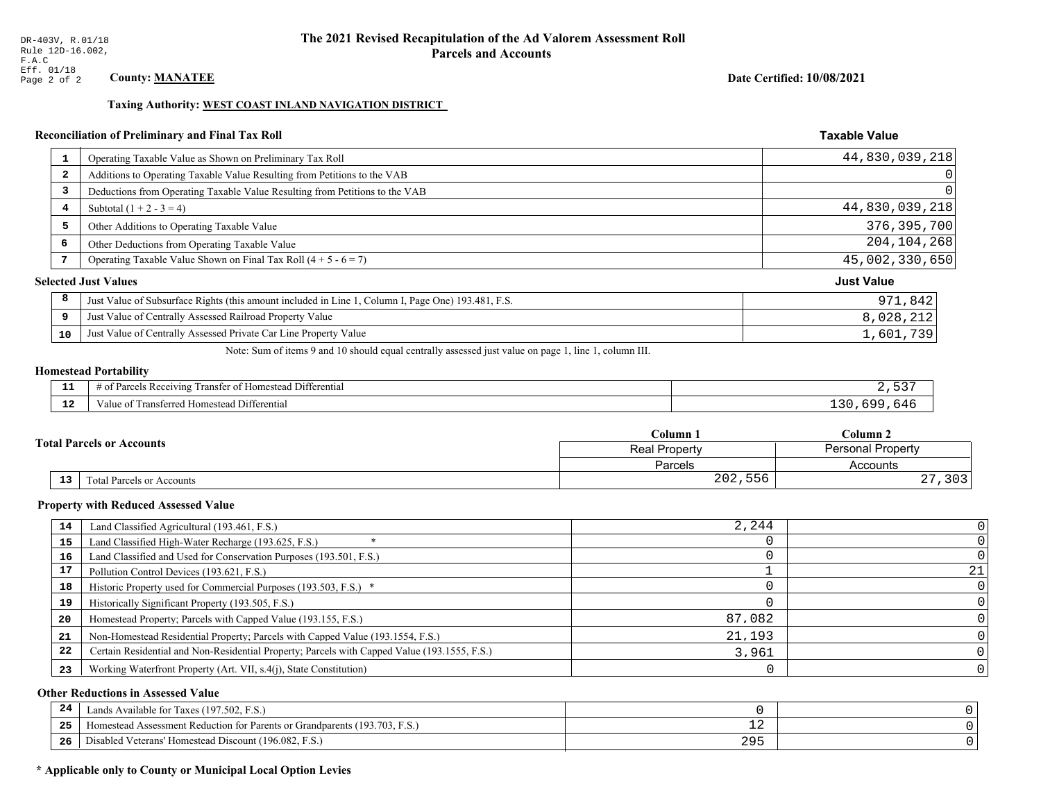## Taxing Authority: WEST COAST INLAND NAVIGATION DISTRICT

## Reconciliation of Preliminary and Final Tax Roll

| $\mathbf{1}$ | Operating Taxable Value as Shown on Preliminary Tax Roll                                           | 44,830,039,218    |
|--------------|----------------------------------------------------------------------------------------------------|-------------------|
| 2            | Additions to Operating Taxable Value Resulting from Petitions to the VAB                           | 0                 |
| 3            | Deductions from Operating Taxable Value Resulting from Petitions to the VAB                        | 0                 |
| 4            | Subtotal $(1 + 2 - 3 = 4)$                                                                         | 44,830,039,218    |
| 5            | Other Additions to Operating Taxable Value                                                         | 376, 395, 700     |
| 6            | Other Deductions from Operating Taxable Value                                                      | 204, 104, 268     |
| 7            | Operating Taxable Value Shown on Final Tax Roll $(4 + 5 - 6 = 7)$                                  | 45,002,330,650    |
|              | <b>Selected Just Values</b>                                                                        | <b>Just Value</b> |
| 8            | Just Value of Subsurface Rights (this amount included in Line 1, Column I, Page One) 193.481, F.S. | 971,842           |
| 9            | Just Value of Centrally Assessed Railroad Property Value                                           | 8,028,212         |
| 10           | Just Value of Centrally Assessed Private Car Line Property Value                                   | 1,601,739         |

Note: Sum of items 9 and 10 should equal centrally assessed just value on page 1, line 1, column III.

## **Homestead Portability**

| .   | 1.72.20<br>$\sim$ $-$<br>Differential<br>t Parcels Receiving<br>l ranster of Homestead .<br>ΩŤ |           |
|-----|------------------------------------------------------------------------------------------------|-----------|
| -44 | l Homestead Differential<br>Fransferred<br>alue of                                             | 64<br>. ب |

|  |            |                                  | Column 1                                         | Column 2            |  |
|--|------------|----------------------------------|--------------------------------------------------|---------------------|--|
|  |            | <b>Total Parcels or Accounts</b> | <b>Personal Property</b><br><b>Real Property</b> |                     |  |
|  |            |                                  | Parcels                                          | Accounts            |  |
|  | ${\bf 13}$ | <b>Fotal Parcels or Accounts</b> | 202,556                                          | つのつ<br>د ∪ د<br>، ت |  |

#### **Property with Reduced Assessed Value**

|    |                                                                                              | 2,244  |    |
|----|----------------------------------------------------------------------------------------------|--------|----|
| 14 | Land Classified Agricultural (193.461, F.S.)                                                 |        |    |
| 15 | Land Classified High-Water Recharge (193.625, F.S.)                                          |        |    |
| 16 | Land Classified and Used for Conservation Purposes (193.501, F.S.)                           |        |    |
| 17 | Pollution Control Devices (193.621, F.S.)                                                    |        | 21 |
| 18 | Historic Property used for Commercial Purposes (193.503, F.S.) *                             |        |    |
| 19 | Historically Significant Property (193.505, F.S.)                                            |        |    |
| 20 | Homestead Property; Parcels with Capped Value (193.155, F.S.)                                | 87,082 |    |
| 21 | Non-Homestead Residential Property; Parcels with Capped Value (193.1554, F.S.)               | 21,193 |    |
| 22 | Certain Residential and Non-Residential Property; Parcels with Capped Value (193.1555, F.S.) | 3,961  |    |
| 23 | Working Waterfront Property (Art. VII, s.4(j), State Constitution)                           |        |    |

## **Other Reductions in Assessed Value**

| -24   | Lands Available for Taxes (197.502, F.S.)                                  |   |  |
|-------|----------------------------------------------------------------------------|---|--|
| - - - | Homestead Assessment Reduction for Parents or Grandparents (193.703, F.S.) |   |  |
| -26   | Disabled Veterans' Homestead Discount (196.082, F.S.)                      | ້ |  |

## \* Applicable only to County or Municipal Local Option Levies

Date Certified: 10/08/2021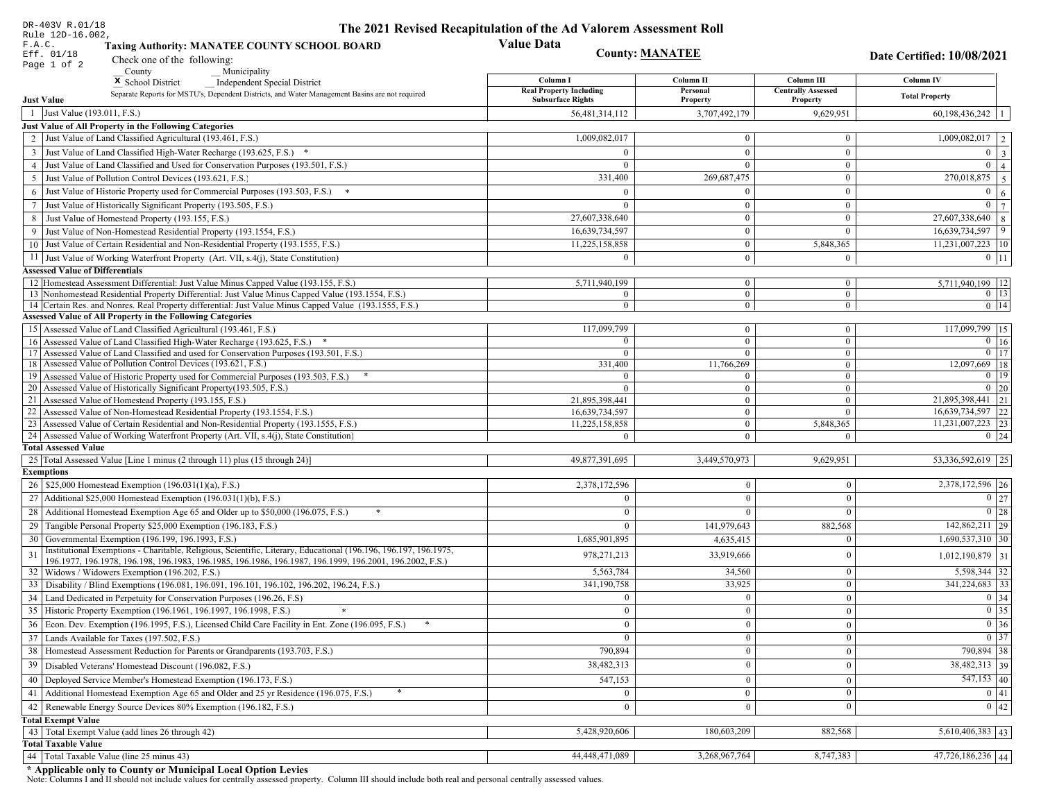| DR-403V R.01/18                                                                                                                                                                                             | The 2021 Revised Recapitulation of the Ad Valorem Assessment Roll |                                  |                                  |                                        |
|-------------------------------------------------------------------------------------------------------------------------------------------------------------------------------------------------------------|-------------------------------------------------------------------|----------------------------------|----------------------------------|----------------------------------------|
| Rule 12D-16.002,<br>F.A.C.<br><b>Taxing Authority: MANATEE COUNTY SCHOOL BOARD</b>                                                                                                                          | <b>Value Data</b>                                                 |                                  |                                  |                                        |
| Eff. 01/18<br>Check one of the following:<br>Page 1 of 2                                                                                                                                                    | <b>County: MANATEE</b>                                            |                                  |                                  | Date Certified: 10/08/2021             |
| County<br>Municipality                                                                                                                                                                                      | Column I                                                          | Column II                        | Column III                       | <b>Column IV</b>                       |
| <sup>x</sup> School District<br>Independent Special District<br>Separate Reports for MSTU's, Dependent Districts, and Water Management Basins are not required                                              | <b>Real Property Including</b>                                    | Personal                         | <b>Centrally Assessed</b>        |                                        |
| <b>Just Value</b>                                                                                                                                                                                           | <b>Subsurface Rights</b>                                          | Property                         | Property                         | <b>Total Property</b>                  |
| 1 Just Value (193.011, F.S.)                                                                                                                                                                                | 56,481,314,112                                                    | 3,707,492,179                    | 9,629,951                        | 60,198,436,242                         |
| Just Value of All Property in the Following Categories                                                                                                                                                      |                                                                   |                                  |                                  |                                        |
| 2 Just Value of Land Classified Agricultural (193.461, F.S.)                                                                                                                                                | 1,009,082,017                                                     | $\bf{0}$                         | $\bf{0}$                         | $1,009,082,017$   2                    |
| 3 Just Value of Land Classified High-Water Recharge (193.625, F.S.) *                                                                                                                                       |                                                                   | $\mathbf{0}$                     | $\theta$                         | $0 \mid 3$                             |
| 4 Just Value of Land Classified and Used for Conservation Purposes (193.501, F.S.)                                                                                                                          | $\Omega$                                                          | $\overline{0}$                   | $\boldsymbol{0}$                 | $\overline{0}$<br>$\vert$ 4            |
| 5 Just Value of Pollution Control Devices (193.621, F.S.)                                                                                                                                                   | 331,400                                                           | 269,687,475                      | $\bf{0}$                         | $\boxed{270,018,875}$ 5                |
| 6 Just Value of Historic Property used for Commercial Purposes (193.503, F.S.) $*$                                                                                                                          |                                                                   | $\Omega$                         | $\mathbf{0}$                     | $\mathbf{0}$<br><sup>6</sup>           |
| 7 Just Value of Historically Significant Property (193.505, F.S.)                                                                                                                                           | $\Omega$                                                          | $\bf{0}$                         | $\overline{0}$                   | $0 \overline{7}$                       |
| 8 Just Value of Homestead Property (193.155, F.S.)                                                                                                                                                          | 27,607,338,640                                                    | $\bf{0}$                         | $\boldsymbol{0}$                 | $27,607,338,640$ 8                     |
| 9 Just Value of Non-Homestead Residential Property (193.1554, F.S.)                                                                                                                                         | 16,639,734,597                                                    | $\bf{0}$                         | $\Omega$                         | 16,639,734,597<br>$ 9\rangle$          |
| 10 Just Value of Certain Residential and Non-Residential Property (193.1555, F.S.)                                                                                                                          | 11,225,158,858                                                    | $\mathbf{0}$                     | 5,848,365                        | $11,231,007,223$   10                  |
| 11 Just Value of Working Waterfront Property (Art. VII, s.4(j), State Constitution)                                                                                                                         | $\Omega$                                                          | $\mathbf{0}$                     | $\mathbf{0}$                     | $0$   11                               |
| <b>Assessed Value of Differentials</b>                                                                                                                                                                      |                                                                   |                                  |                                  |                                        |
| 12 Homestead Assessment Differential: Just Value Minus Capped Value (193.155, F.S.)                                                                                                                         | 5,711,940,199                                                     | $\bf{0}$                         | $\bf{0}$                         | 5,711,940,199   12                     |
| 13 Nonhomestead Residential Property Differential: Just Value Minus Capped Value (193.1554, F.S.)<br>14 Certain Res. and Nonres. Real Property differential: Just Value Minus Capped Value (193.1555, F.S.) | $\overline{0}$<br>$\overline{0}$                                  | $\overline{0}$<br>$\overline{0}$ | $\mathbf{0}$<br>$\overline{0}$   | $0$   13 <br>$0$   14                  |
| <b>Assessed Value of All Property in the Following Categories</b>                                                                                                                                           |                                                                   |                                  |                                  |                                        |
| 15 Assessed Value of Land Classified Agricultural (193.461, F.S.)                                                                                                                                           | 117,099,799                                                       | $\mathbf{0}$                     | $\bf{0}$                         | 117,099,799 15                         |
| 16 Assessed Value of Land Classified High-Water Recharge (193.625, F.S.) *                                                                                                                                  | $\Omega$                                                          | $\overline{0}$                   | $\mathbf{0}$                     | $\overline{0}$ 16                      |
| 17 Assessed Value of Land Classified and used for Conservation Purposes (193.501, F.S.)                                                                                                                     | $\Omega$                                                          | $\overline{0}$                   | $\bf{0}$                         | $0$   17                               |
| 18 Assessed Value of Pollution Control Devices (193.621, F.S.)                                                                                                                                              | 331,400                                                           | 11,766,269                       | $\mathbf{0}$                     | $12,097,669$ 18                        |
| 19 Assessed Value of Historic Property used for Commercial Purposes (193.503, F.S.)                                                                                                                         | $\Omega$                                                          | $\mathbf{0}$                     | $\bf{0}$                         | $0 \mid 19$                            |
| 20 Assessed Value of Historically Significant Property (193.505, F.S.)                                                                                                                                      | $\Omega$                                                          | $\overline{0}$                   | $\mathbf{0}$                     | $0 \mid 20$                            |
| 21 Assessed Value of Homestead Property (193.155, F.S.)                                                                                                                                                     | 21,895,398,441                                                    | $\mathbf{0}$<br>$\overline{0}$   | $\boldsymbol{0}$<br>$\mathbf{0}$ | 21,895,398,441 21<br>16,639,734,597 22 |
| 22 Assessed Value of Non-Homestead Residential Property (193.1554, F.S.)<br>23 Assessed Value of Certain Residential and Non-Residential Property (193.1555, F.S.)                                          | 16,639,734,597<br>11,225,158,858                                  | $\overline{0}$                   | 5,848,365                        | $11,231,007,223$ 23                    |
| 24 Assessed Value of Working Waterfront Property (Art. VII, s.4(j), State Constitution)                                                                                                                     | $\Omega$                                                          | $\overline{0}$                   | $\mathbf{0}$                     | $0 \mid 24$                            |
| <b>Total Assessed Value</b>                                                                                                                                                                                 |                                                                   |                                  |                                  |                                        |
| 25 Total Assessed Value [Line 1 minus (2 through 11) plus (15 through 24)]                                                                                                                                  | 49,877,391,695                                                    | 3,449,570,973                    | 9,629,951                        | 53,336,592,619   25                    |
| <b>Exemptions</b>                                                                                                                                                                                           |                                                                   |                                  |                                  |                                        |
| 26   \$25,000 Homestead Exemption (196.031(1)(a), F.S.)                                                                                                                                                     | 2,378,172,596                                                     | $\mathbf{0}$                     | $\mathbf{0}$                     | 2,378,172,596 26                       |
| 27   Additional \$25,000 Homestead Exemption (196.031(1)(b), F.S.)                                                                                                                                          | $\Omega$                                                          | $\Omega$                         | $\Omega$                         | $\boxed{0}$ 27                         |
| 28 Additional Homestead Exemption Age 65 and Older up to \$50,000 (196.075, F.S.)                                                                                                                           | $\Omega$                                                          | $\mathbf{0}$                     | $\Omega$                         | 0 28                                   |
| 29 Tangible Personal Property \$25,000 Exemption (196.183, F.S.)                                                                                                                                            | $\theta$                                                          | 141,979,643                      | 882,568                          | $\overline{142,862,211}$   29          |
| 30 Governmental Exemption (196.199, 196.1993, F.S.)                                                                                                                                                         | 1,685,901,895                                                     | 4,635,415                        | $\Omega$                         | $1,690,537,310$ 30                     |
| Institutional Exemptions - Charitable, Religious, Scientific, Literary, Educational (196.196, 196.197, 196.1975,<br>31                                                                                      | 978, 271, 213                                                     | 33,919,666                       | $\Omega$                         | 1,012,190,879 31                       |
| 196.1977, 196.1978, 196.198, 196.1983, 196.1985, 196.1986, 196.1987, 196.1999, 196.2001, 196.2002, F.S.)                                                                                                    |                                                                   |                                  |                                  |                                        |
| 32   Widows / Widowers Exemption (196.202, F.S.)                                                                                                                                                            | 5,563,784                                                         | 34,560                           | $\mathbf{0}$                     | 5,598,344 32                           |
| 33<br>Disability / Blind Exemptions (196.081, 196.091, 196.101, 196.102, 196.202, 196.24, F.S.)                                                                                                             | 341,190,758                                                       | 33,925                           | $\Omega$                         | $341,224,683$ 33                       |
| Land Dedicated in Perpetuity for Conservation Purposes (196.26, F.S)                                                                                                                                        | $\Omega$                                                          | $\mathbf{0}$                     | $\Omega$                         | 0 34                                   |
| 35 Historic Property Exemption (196.1961, 196.1997, 196.1998, F.S.)                                                                                                                                         | 0.                                                                | $\mathbf{0}$                     | $\mathbf{0}$                     | $\boxed{0}$ 35                         |
| 36 Econ. Dev. Exemption (196.1995, F.S.), Licensed Child Care Facility in Ent. Zone (196.095, F.S.)                                                                                                         | $\Omega$                                                          | $\boldsymbol{0}$                 | $\Omega$                         | $\boxed{0}$ 36                         |
| 37 Lands Available for Taxes $(197.502, F.S.)$                                                                                                                                                              |                                                                   | $\mathbf{0}$                     | $\Omega$                         | 0 37                                   |
| 38   Homestead Assessment Reduction for Parents or Grandparents (193.703, F.S.)                                                                                                                             | 790,894                                                           | $\bf{0}$                         | $\mathbf{0}$                     | 790,894 38                             |
| Disabled Veterans' Homestead Discount (196.082, F.S.)<br>39                                                                                                                                                 | 38,482,313                                                        | $\mathbf{0}$                     | $\mathbf{0}$                     | 38,482,313 39                          |
| Deployed Service Member's Homestead Exemption (196.173, F.S.)<br>40                                                                                                                                         | 547,153                                                           | $\mathbf{0}$                     | $\Omega$                         | $\overline{547,153}$ 40                |
| 41   Additional Homestead Exemption Age 65 and Older and 25 yr Residence (196.075, F.S.)                                                                                                                    | $\overline{0}$                                                    | $\overline{0}$                   | $\mathbf{0}$                     | 0 41                                   |
| 42 Renewable Energy Source Devices 80% Exemption (196.182, F.S.)                                                                                                                                            | $\mathbf{0}$                                                      | $\mathbf{0}$                     | $\Omega$                         | 0 42                                   |
| <b>Total Exempt Value</b>                                                                                                                                                                                   |                                                                   |                                  |                                  |                                        |
| 43 Total Exempt Value (add lines 26 through 42)                                                                                                                                                             | 5,428,920,606                                                     | 180,603,209                      | 882,568                          | $5,610,406,383$ 43                     |
| <b>Total Taxable Value</b>                                                                                                                                                                                  |                                                                   |                                  |                                  |                                        |
| 44   Total Taxable Value (line 25 minus 43)                                                                                                                                                                 | 44,448,471,089                                                    | 3,268,967,764                    | 8,747,383                        | 47,726,186,236 44                      |